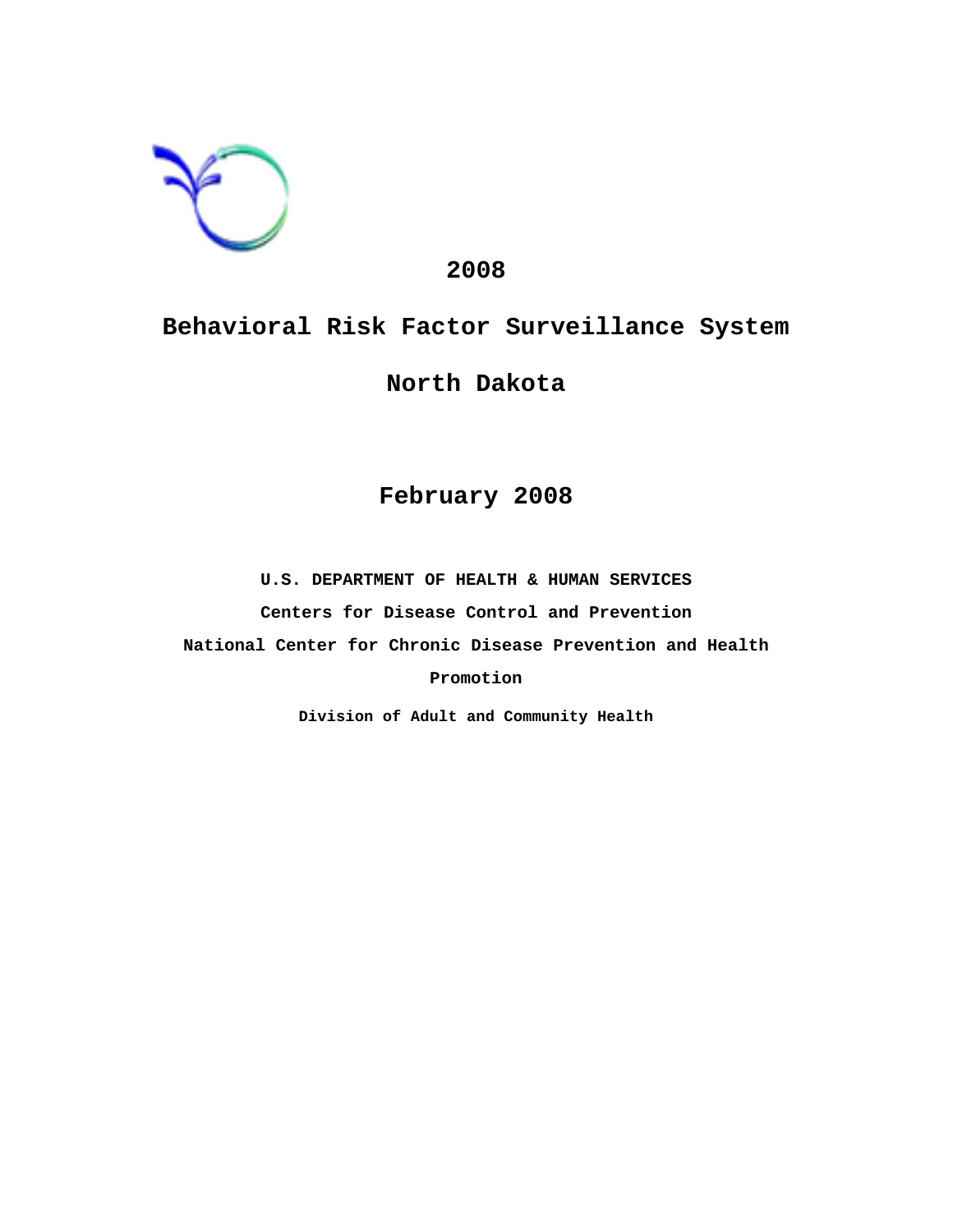

# **2008**

# **Behavioral Risk Factor Surveillance System**

# **North Dakota**

# **February 2008**

**U.S. DEPARTMENT OF HEALTH & HUMAN SERVICES Centers for Disease Control and Prevention National Center for Chronic Disease Prevention and Health Promotion**

**Division of Adult and Community Health**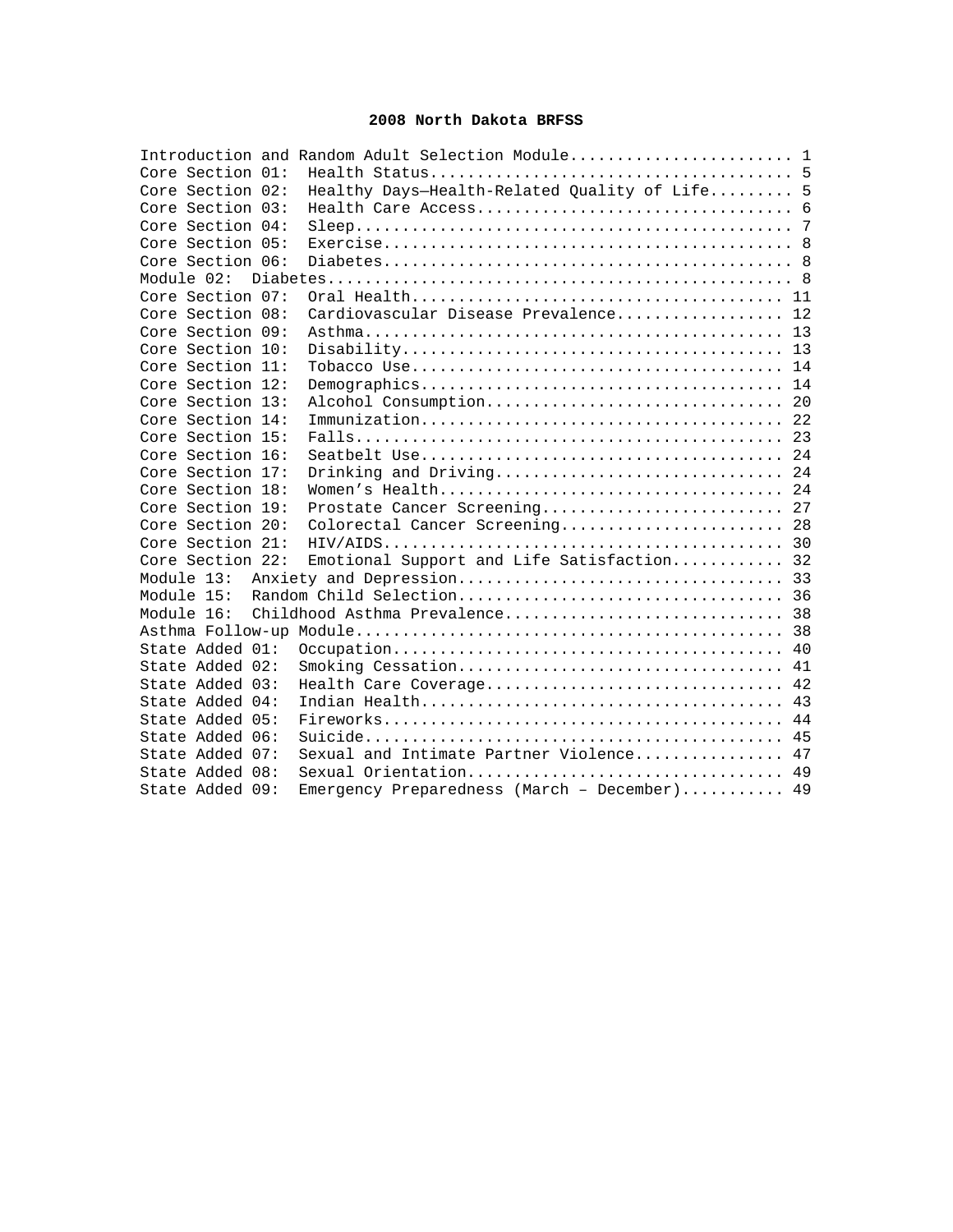# **2008 North Dakota BRFSS**

|                  | Introduction and Random Adult Selection Module 1 |  |
|------------------|--------------------------------------------------|--|
| Core Section 01: |                                                  |  |
| Core Section 02: | Healthy Days-Health-Related Quality of Life 5    |  |
| Core Section 03: |                                                  |  |
| Core Section 04: |                                                  |  |
| Core Section 05: |                                                  |  |
| Core Section 06: |                                                  |  |
|                  |                                                  |  |
| Core Section 07: |                                                  |  |
| Core Section 08: | Cardiovascular Disease Prevalence 12             |  |
| Core Section 09: |                                                  |  |
| Core Section 10: |                                                  |  |
| Core Section 11: |                                                  |  |
| Core Section 12: |                                                  |  |
| Core Section 13: |                                                  |  |
| Core Section 14: |                                                  |  |
| Core Section 15: |                                                  |  |
| Core Section 16: |                                                  |  |
| Core Section 17: | Drinking and Driving 24                          |  |
| Core Section 18: |                                                  |  |
| Core Section 19: | Prostate Cancer Screening 27                     |  |
| Core Section 20: | Colorectal Cancer Screening 28                   |  |
| Core Section 21: |                                                  |  |
| Core Section 22: | Emotional Support and Life Satisfaction 32       |  |
|                  |                                                  |  |
|                  |                                                  |  |
| Module 16:       |                                                  |  |
|                  |                                                  |  |
| State Added 01:  |                                                  |  |
| State Added 02:  |                                                  |  |
| State Added 03:  | Health Care Coverage 42                          |  |
| State Added 04:  |                                                  |  |
| State Added 05:  |                                                  |  |
| State Added 06:  |                                                  |  |
| State Added 07:  | Sexual and Intimate Partner Violence 47          |  |
| State Added 08:  | Sexual Orientation 49                            |  |
| State Added 09:  | Emergency Preparedness (March - December) 49     |  |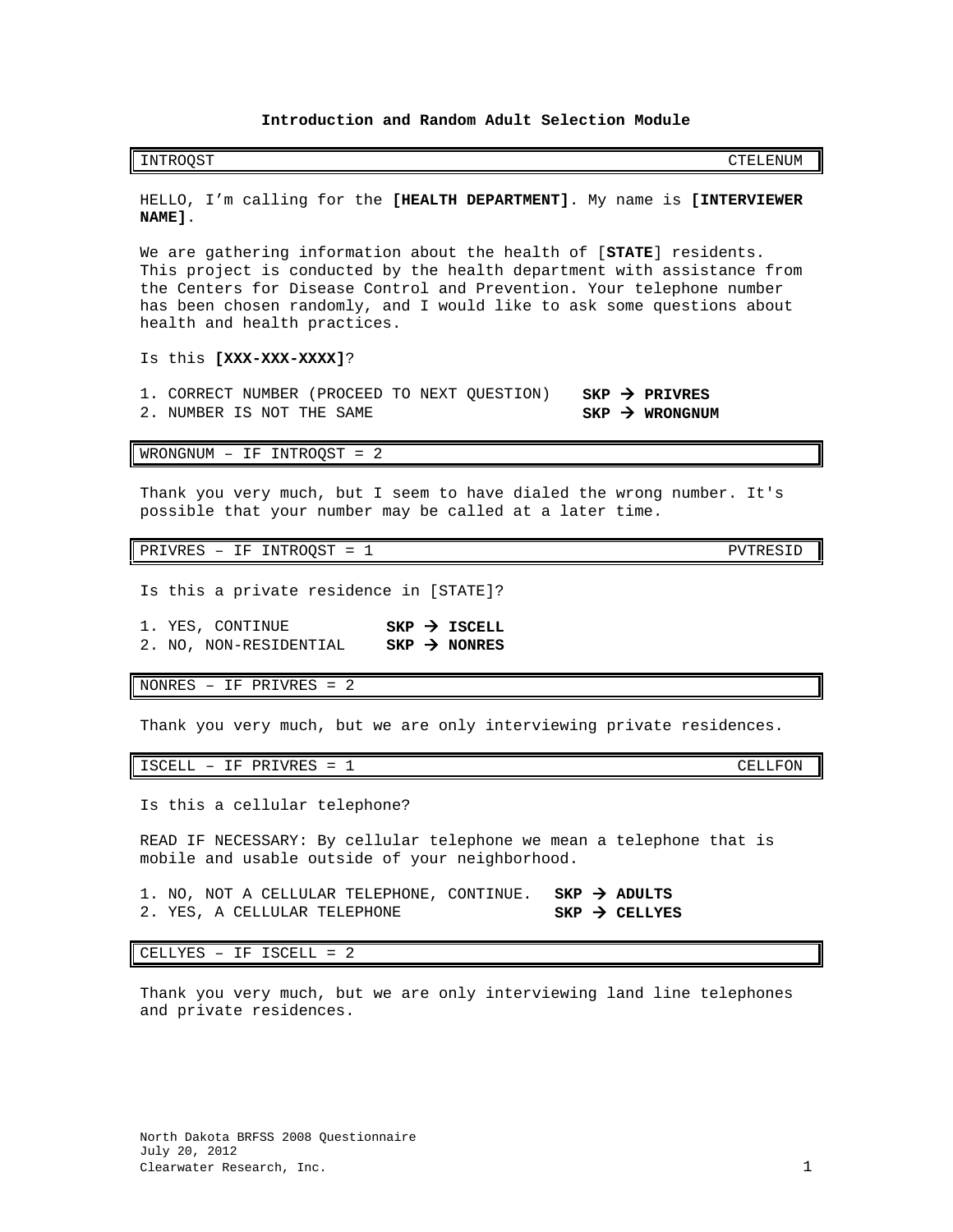# **Introduction and Random Adult Selection Module**

<span id="page-2-0"></span>INTROQST CTELENUM

HELLO, I'm calling for the **[HEALTH DEPARTMENT]**. My name is **[INTERVIEWER NAME]**.

We are gathering information about the health of [**STATE**] residents. This project is conducted by the health department with assistance from the Centers for Disease Control and Prevention. Your telephone number has been chosen randomly, and I would like to ask some questions about health and health practices.

Is this **[XXX-XXX-XXXX]**?

1. CORRECT NUMBER (PROCEED TO NEXT QUESTION) **SKP > PRIVRES**<br>2. NUMBER IS NOT THE SAME 2. NUMBER IS NOT THE SAME

WRONGNUM – IF INTROQST = 2

Thank you very much, but I seem to have dialed the wrong number. It's possible that your number may be called at a later time.

PRIVRES - IF INTROQST = 1 PVTRESID

- Is this a private residence in [STATE]?
- 1. YES, CONTINUE **SKP > ISCELL**<br>2. NO, NON-RESIDENTIAL **SKP > NONRES** 2. NO, NON-RESIDENTIAL **SKP NONRES**

NONRES – IF PRIVRES = 2

Thank you very much, but we are only interviewing private residences.

ISCELL – IF PRIVRES = 1 CELLFON

Is this a cellular telephone?

READ IF NECESSARY: By cellular telephone we mean a telephone that is mobile and usable outside of your neighborhood.

1. NO, NOT A CELLULAR TELEPHONE, CONTINUE. **SKP > ADULTS**<br>2. YES, A CELLULAR TELEPHONE **SKP > CELLYES** 2. YES, A CELLULAR TELEPHONE

CELLYES – IF ISCELL = 2

North Dakota BRFSS 2008 Questionnaire

July 20, 2012

Thank you very much, but we are only interviewing land line telephones and private residences.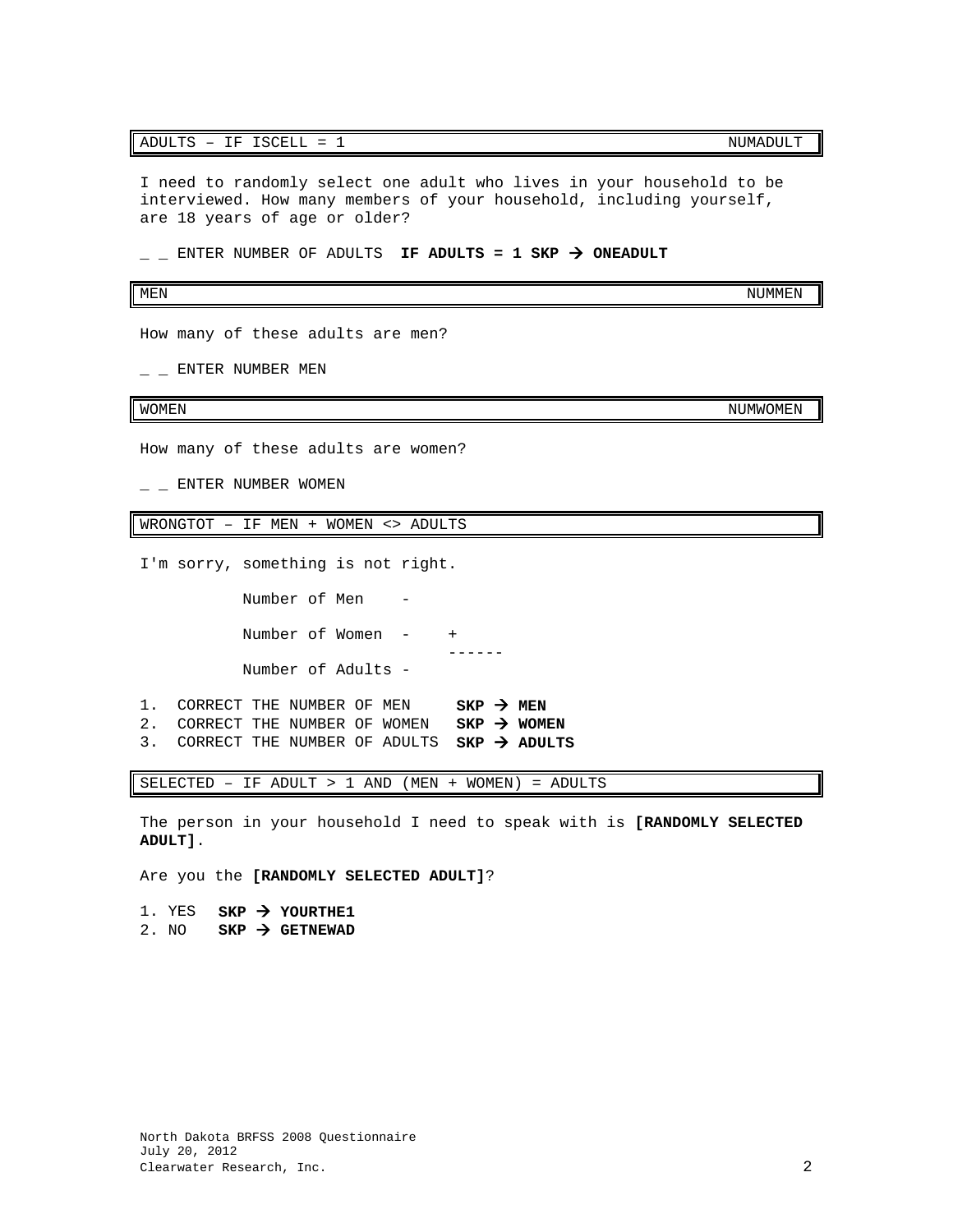# ADULTS - IF ISCELL = 1 NUMADULT

I need to randomly select one adult who lives in your household to be interviewed. How many members of your household, including yourself, are 18 years of age or older?

 $\angle$   $\angle$  ENTER NUMBER OF ADULTS **IF ADULTS = 1 SKP**  $\rightarrow$  **ONEADULT** 

### MEN NUMMEN AND A SERIES OF THE SERIES OF THE SERIES OF THE SERIES OF THE SERIES OF THE SERIES OF THE SERIES OF

How many of these adults are men?

 $-$  ENTER NUMBER MEN

How many of these adults are women?

 $-$  ENTER NUMBER WOMEN

WRONGTOT – IF MEN + WOMEN <> ADULTS

I'm sorry, something is not right.

 Number of Men - Number of Women -  $+$  ------ Number of Adults -

- 1. CORRECT THE NUMBER OF MEN **SKP > MEN** 2. CORRECT THE NUMBER OF WOMEN  $SKP \rightarrow WOMEN$
- 3. CORRECT THE NUMBER OF ADULTS **SKP ADULTS**

SELECTED – IF ADULT > 1 AND (MEN + WOMEN) = ADULTS

The person in your household I need to speak with is **[RANDOMLY SELECTED ADULT]**.

Are you the **[RANDOMLY SELECTED ADULT]**?

1. YES  $SKP \rightarrow YOURTHE1$ 2. NO  $SKP \rightarrow GETNEWAD$ 

WOMEN NUMWOMEN AND THE SERVICE OF THE SERVICE OF THE SERVICE OF THE SERVICE OF THE SERVICE OF THE SERVICE OF T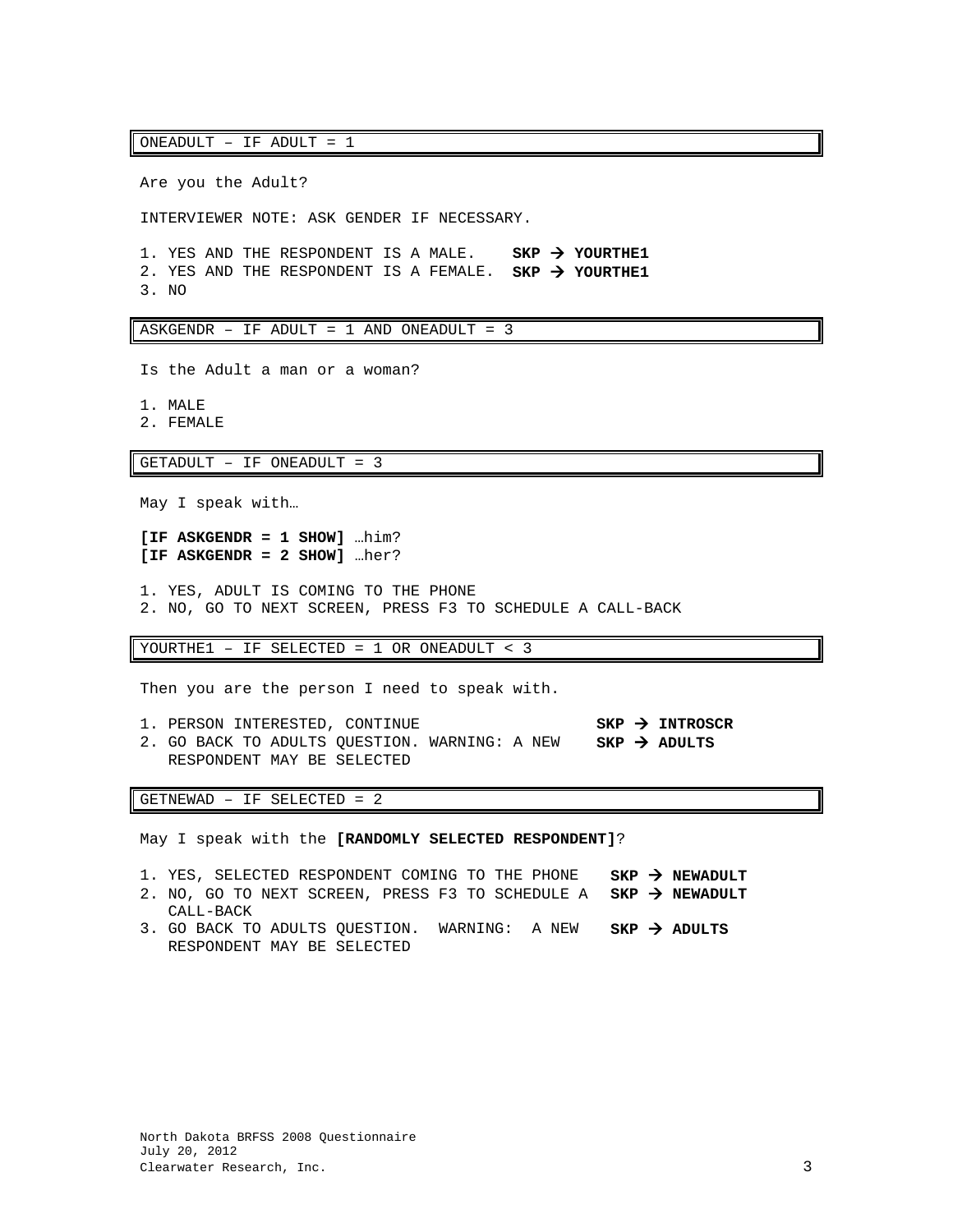ONEADULT – IF ADULT = 1

Are you the Adult?

INTERVIEWER NOTE: ASK GENDER IF NECESSARY.

1. YES AND THE RESPONDENT IS A MALE. **SKP YOURTHE1** 2. YES AND THE RESPONDENT IS A FEMALE. **SKP YOURTHE1** 3. NO

ASKGENDR – IF ADULT = 1 AND ONEADULT = 3

Is the Adult a man or a woman?

1. MALE

2. FEMALE

GETADULT – IF ONEADULT = 3

May I speak with…

**[IF ASKGENDR = 1 SHOW]** …him? **[IF ASKGENDR = 2 SHOW]** …her?

1. YES, ADULT IS COMING TO THE PHONE 2. NO, GO TO NEXT SCREEN, PRESS F3 TO SCHEDULE A CALL-BACK

YOURTHE1 – IF SELECTED = 1 OR ONEADULT < 3

Then you are the person I need to speak with.

1. PERSON INTERESTED, CONTINUE **SKP INTROSCR** 2. GO BACK TO ADULTS QUESTION. WARNING: A NEW RESPONDENT MAY BE SELECTED **SKP ADULTS**

GETNEWAD – IF SELECTED = 2

May I speak with the **[RANDOMLY SELECTED RESPONDENT]**?

- 1. YES, SELECTED RESPONDENT COMING TO THE PHONE **SKP NEWADULT**
- 2. NO, GO TO NEXT SCREEN, PRESS F3 TO SCHEDULE A **SKP NEWADULT**
- CALL-BACK 3. GO BACK TO ADULTS QUESTION. WARNING: A NEW RESPONDENT MAY BE SELECTED **SKP ADULTS**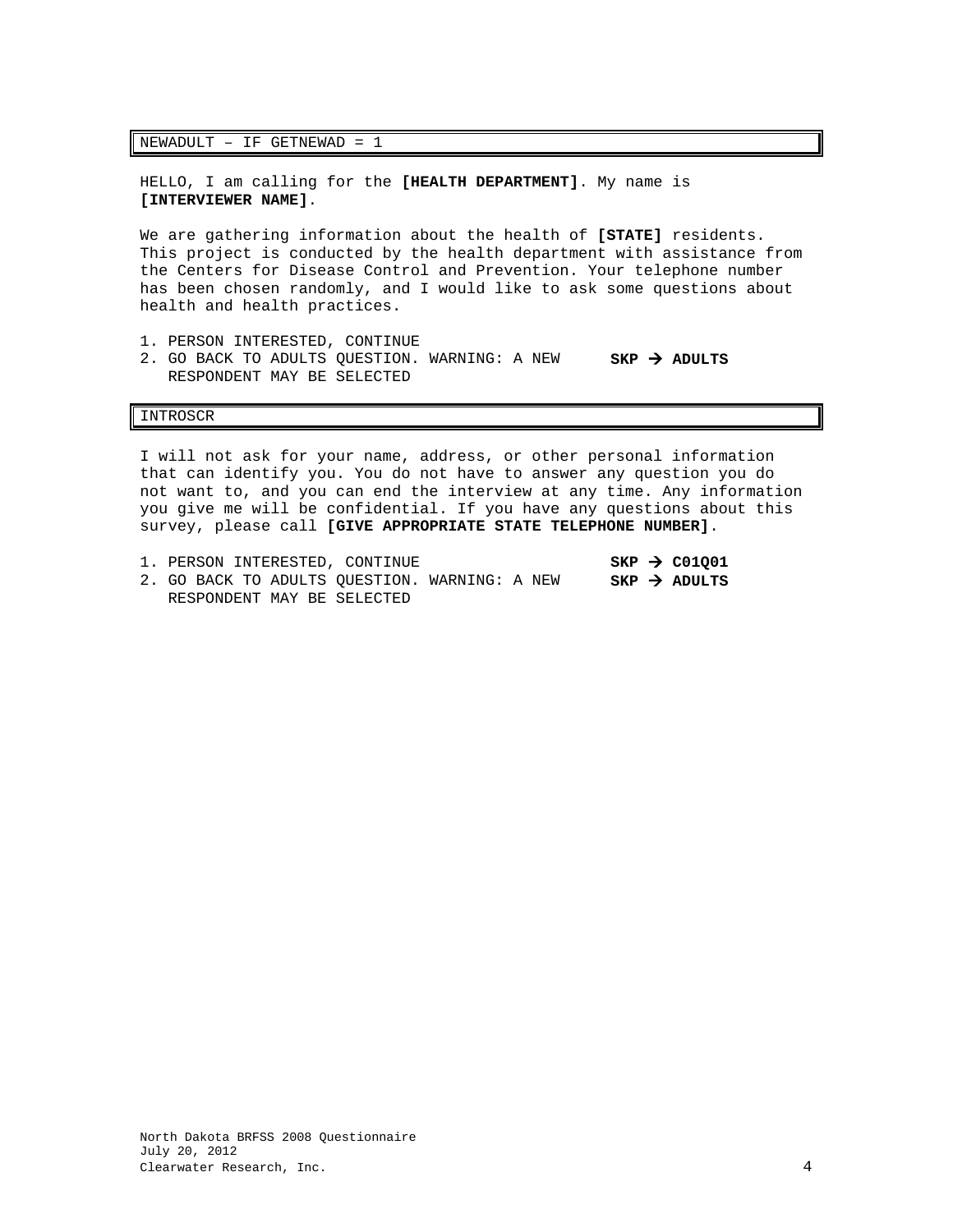### NEWADULT – IF GETNEWAD = 1

HELLO, I am calling for the **[HEALTH DEPARTMENT]**. My name is **[INTERVIEWER NAME]**.

We are gathering information about the health of **[STATE]** residents. This project is conducted by the health department with assistance from the Centers for Disease Control and Prevention. Your telephone number has been chosen randomly, and I would like to ask some questions about health and health practices.

- 1. PERSON INTERESTED, CONTINUE
- 2. GO BACK TO ADULTS QUESTION. WARNING: A NEW RESPONDENT MAY BE SELECTED **SKP ADULTS**

### INTROSCR

I will not ask for your name, address, or other personal information that can identify you. You do not have to answer any question you do not want to, and you can end the interview at any time. Any information you give me will be confidential. If you have any questions about this survey, please call **[GIVE APPROPRIATE STATE TELEPHONE NUMBER]**.

|  |  | 1. PERSON INTERESTED, CONTINUE                |  |  | $SKP \rightarrow CO1001$ |
|--|--|-----------------------------------------------|--|--|--------------------------|
|  |  | 2. GO BACK TO ADULTS OUESTION. WARNING: A NEW |  |  | $SKP \rightarrow ADULTS$ |
|  |  | RESPONDENT MAY BE SELECTED                    |  |  |                          |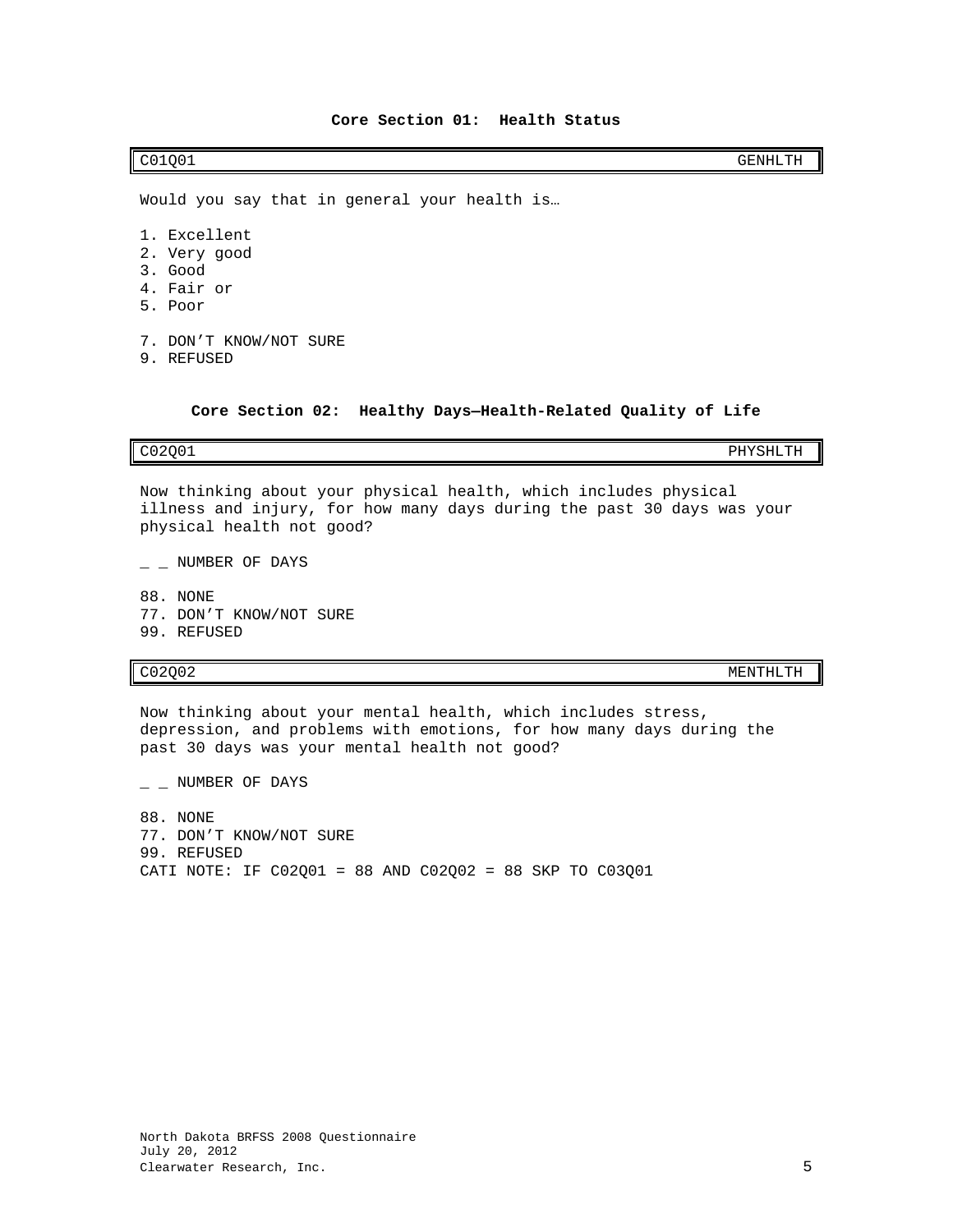<span id="page-6-0"></span>C01Q01 GENHLTH

Would you say that in general your health is…

- 1. Excellent
- 2. Very good
- 3. Good
- 4. Fair or
- 5. Poor
- 7. DON'T KNOW/NOT SURE
- 9. REFUSED

**Core Section 02: Healthy Days—Health-Related Quality of Life**

<span id="page-6-1"></span>C02Q01 PHYSHLTH

Now thinking about your physical health, which includes physical illness and injury, for how many days during the past 30 days was your physical health not good?

 $-$  NUMBER OF DAYS

88. NONE 77. DON'T KNOW/NOT SURE 99. REFUSED

C02Q02 MENTHLTH

Now thinking about your mental health, which includes stress, depression, and problems with emotions, for how many days during the past 30 days was your mental health not good?

 $-$  NUMBER OF DAYS

88. NONE 77. DON'T KNOW/NOT SURE 99. REFUSED CATI NOTE: IF C02Q01 = 88 AND C02Q02 = 88 SKP TO C03Q01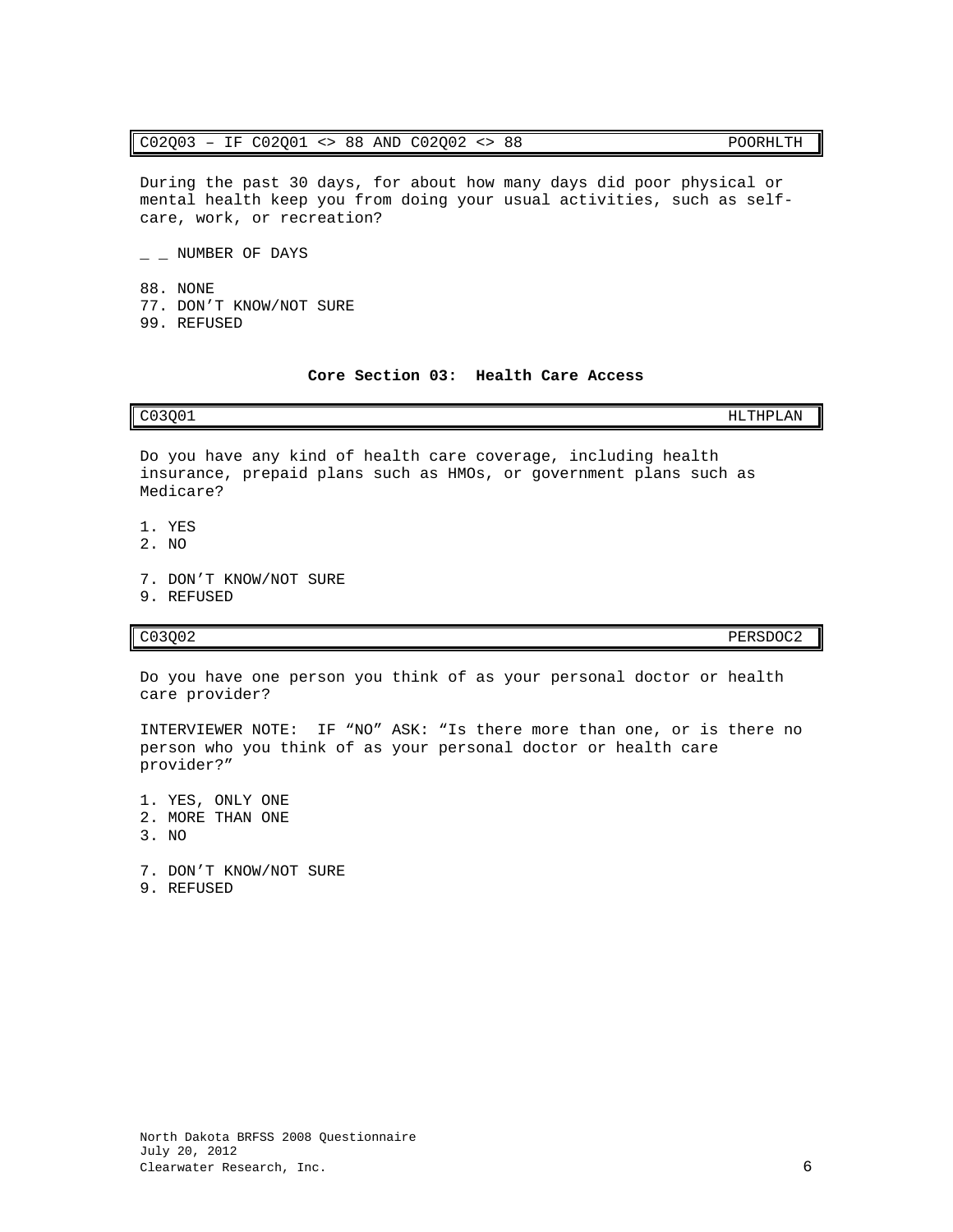# C02Q03 – IF C02Q01 <> 88 AND C02Q02 <> 88 POORHLTH

During the past 30 days, for about how many days did poor physical or mental health keep you from doing your usual activities, such as selfcare, work, or recreation?

 $-$  NUMBER OF DAYS

88. NONE 77. DON'T KNOW/NOT SURE 99. REFUSED

# **Core Section 03: Health Care Access**

Do you have any kind of health care coverage, including health insurance, prepaid plans such as HMOs, or government plans such as Medicare?

- 1. YES
- 2. NO
- 7. DON'T KNOW/NOT SURE
- 9. REFUSED

# C03Q02 PERSDOC2

Do you have one person you think of as your personal doctor or health care provider?

INTERVIEWER NOTE: IF "NO" ASK: "Is there more than one, or is there no person who you think of as your personal doctor or health care provider?"

1. YES, ONLY ONE 2. MORE THAN ONE  $3$  NO

7. DON'T KNOW/NOT SURE

9. REFUSED

<span id="page-7-0"></span>C03Q01 HLTHPLAN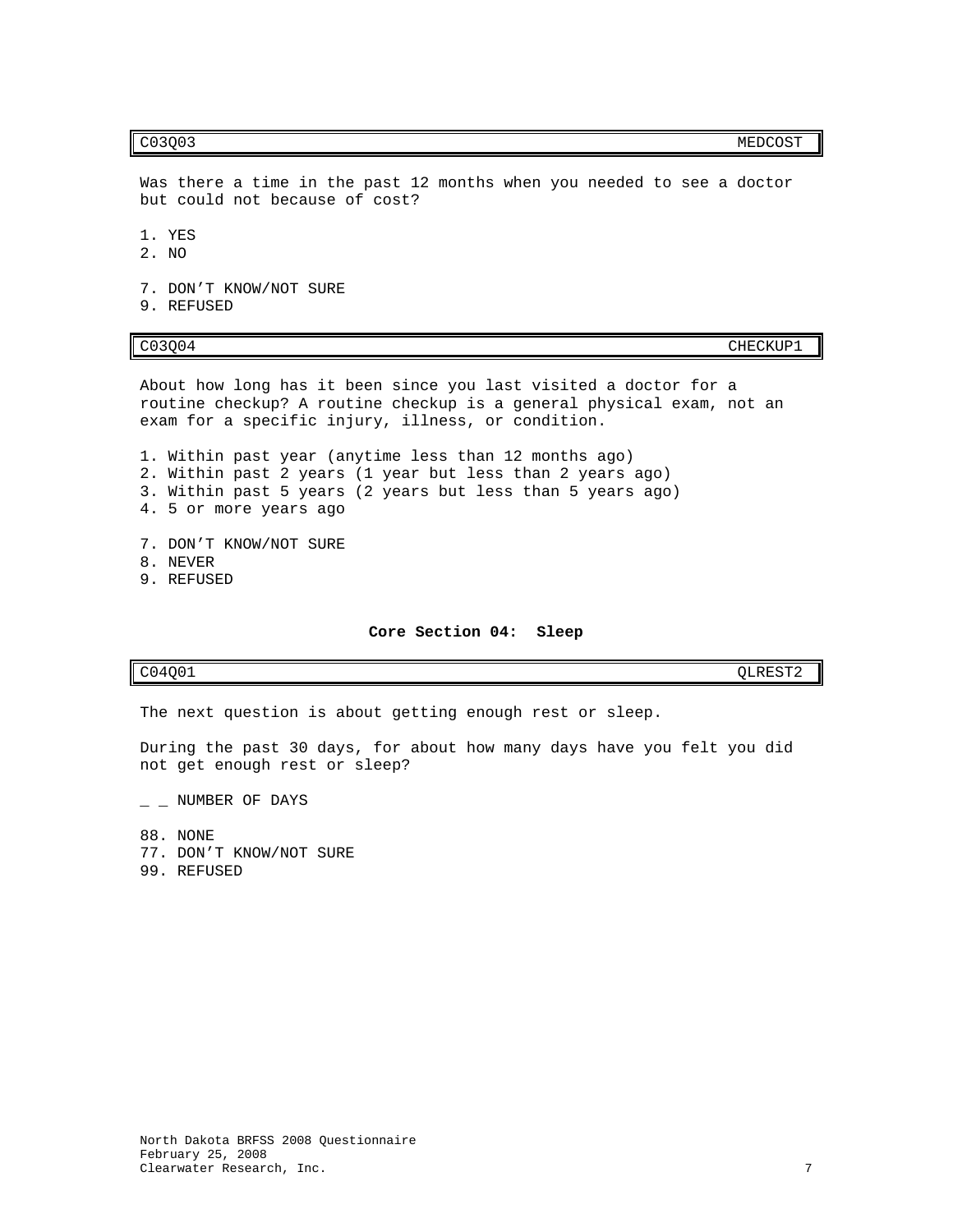### c03Q03 MEDCOST

Was there a time in the past 12 months when you needed to see a doctor but could not because of cost?

1. YES

2. NO

7. DON'T KNOW/NOT SURE 9. REFUSED

CO3Q04 CHECKUP1

About how long has it been since you last visited a doctor for a routine checkup? A routine checkup is a general physical exam, not an exam for a specific injury, illness, or condition.

1. Within past year (anytime less than 12 months ago) 2. Within past 2 years (1 year but less than 2 years ago) 3. Within past 5 years (2 years but less than 5 years ago) 4. 5 or more years ago

7. DON'T KNOW/NOT SURE 8. NEVER 9. REFUSED

### **Core Section 04: Sleep**

<span id="page-8-0"></span> $CO4Q01$   $QLREST2$ 

The next question is about getting enough rest or sleep.

During the past 30 days, for about how many days have you felt you did not get enough rest or sleep?

 $-$  NUMBER OF DAYS

88. NONE

- 77. DON'T KNOW/NOT SURE
- 99. REFUSED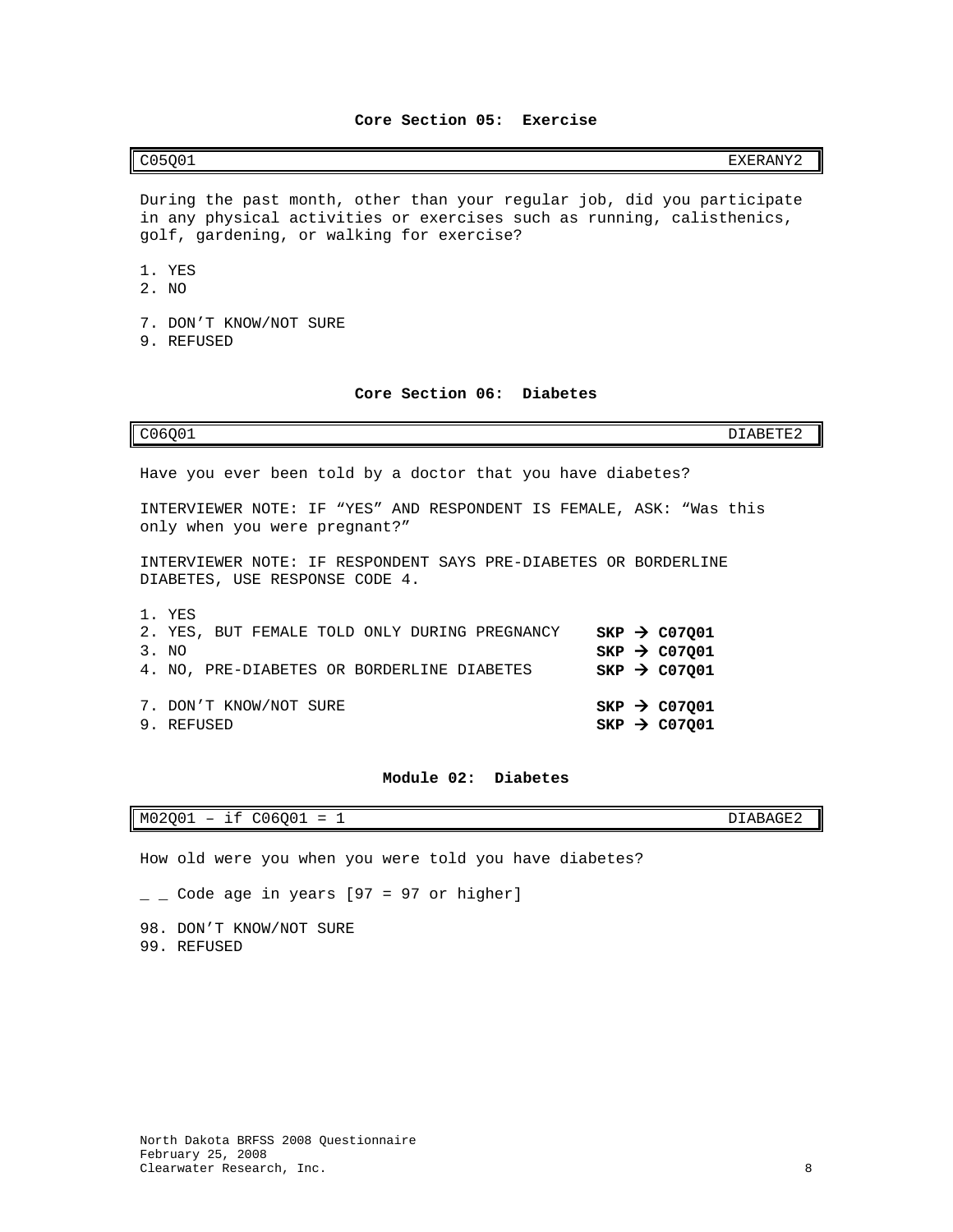<span id="page-9-0"></span>C05Q01 EXERANY2

During the past month, other than your regular job, did you participate in any physical activities or exercises such as running, calisthenics, golf, gardening, or walking for exercise?

1. YES

- 2. NO
- 7. DON'T KNOW/NOT SURE
- 9. REFUSED

# **Core Section 06: Diabetes**

<span id="page-9-1"></span>

| C06001                                                                                                         | DIABETE2                                                                         |
|----------------------------------------------------------------------------------------------------------------|----------------------------------------------------------------------------------|
| Have you ever been told by a doctor that you have diabetes?                                                    |                                                                                  |
| INTERVIEWER NOTE: IF "YES" AND RESPONDENT IS FEMALE, ASK: "Was this<br>only when you were pregnant?"           |                                                                                  |
| INTERVIEWER NOTE: IF RESPONDENT SAYS PRE-DIABETES OR BORDERLINE<br>DIABETES, USE RESPONSE CODE 4.              |                                                                                  |
| 1. YES<br>2. YES, BUT FEMALE TOLD ONLY DURING PREGNANCY<br>3. NO<br>4. NO, PRE-DIABETES OR BORDERLINE DIABETES | $SKP \rightarrow CO7Q01$<br>$SKP \rightarrow CO7001$<br>$SKP \rightarrow CO7001$ |
| 7. DON'T KNOW/NOT SURE<br>9. REFUSED                                                                           | $SKP$ $\rightarrow$ C07001<br>$SKP \rightarrow CO7001$                           |

# **Module 02: Diabetes**

<span id="page-9-2"></span>M02Q01 – if C06Q01 = 1 DIABAGE2

How old were you when you were told you have diabetes?

 $\angle$   $\angle$  Code age in years [97 = 97 or higher]

98. DON'T KNOW/NOT SURE 99. REFUSED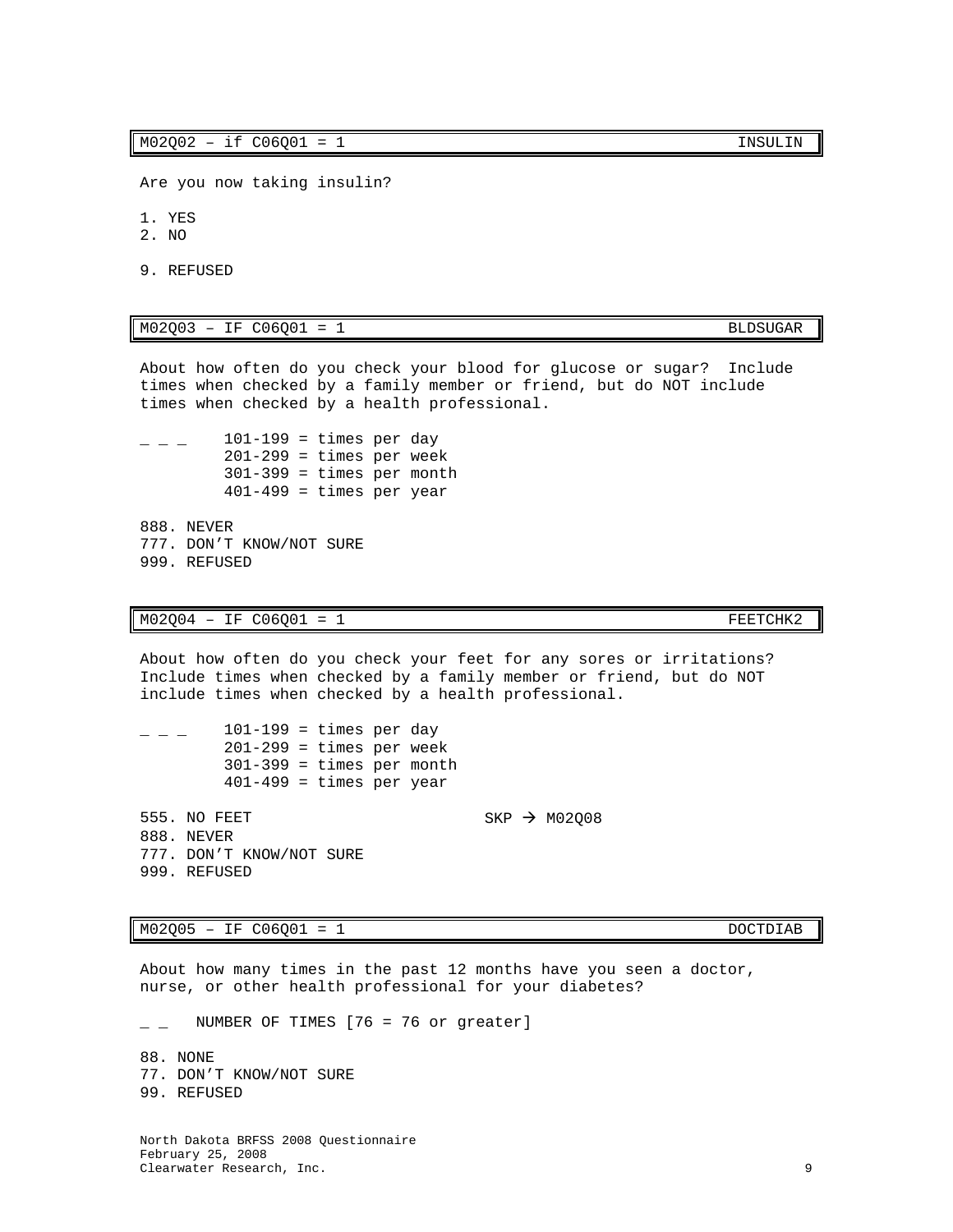About how often do you check your blood for glucose or sugar? Include times when checked by a family member or friend, but do NOT include times when checked by a health professional.

 $\frac{101-199}{ }$  = times per day  $201-299$  = times per week  $301-399$  = times per month  $401-499$  = times per year

888. NEVER 777. DON'T KNOW/NOT SURE 999. REFUSED

 $M02Q04 - IF C06Q01 = 1$  FEETCHK2

About how often do you check your feet for any sores or irritations? Include times when checked by a family member or friend, but do NOT include times when checked by a health professional.

|                                            | $101-199$ = times per day<br>$201-299$ = times per week<br>$301-399$ = times per month<br>$401-499$ = times per year |  |  |  |                          |
|--------------------------------------------|----------------------------------------------------------------------------------------------------------------------|--|--|--|--------------------------|
| 555. NO FEET<br>888. NEVER<br>999. REFUSED | 777. DON'T KNOW/NOT SURE                                                                                             |  |  |  | SKP $\rightarrow$ M02008 |

M02Q05 – IF C06Q01 = 1 DOCTDIAB

About how many times in the past 12 months have you seen a doctor, nurse, or other health professional for your diabetes?

NUMBER OF TIMES  $[76 = 76$  or greater]

88. NONE 77. DON'T KNOW/NOT SURE 99. REFUSED

North Dakota BRFSS 2008 Questionnaire February 25, 2008 Clearwater Research, Inc. 9

Are you now taking insulin?

- 1. YES
- 2. NO
- 9. REFUSED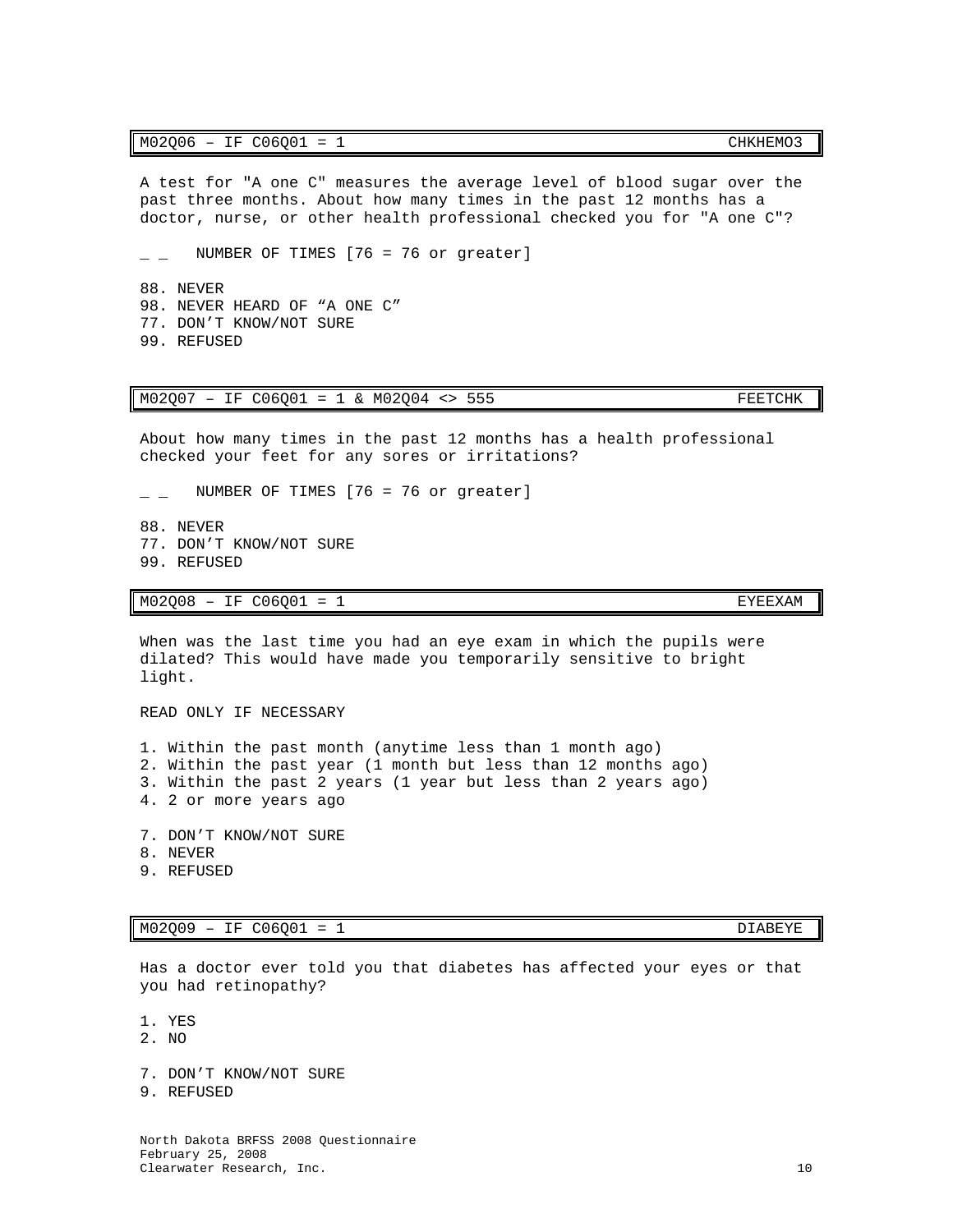### M02O06 - IF C06O01 = 1 CHKHEMO3

A test for "A one C" measures the average level of blood sugar over the past three months. About how many times in the past 12 months has a doctor, nurse, or other health professional checked you for "A one C"?

 $\_$  NUMBER OF TIMES [76 = 76 or greater]

88. NEVER 98. NEVER HEARD OF "A ONE C" 77. DON'T KNOW/NOT SURE 99. REFUSED

M02Q07 - IF C06Q01 = 1 & M02Q04 <> 555 FEETCHK

About how many times in the past 12 months has a health professional checked your feet for any sores or irritations?

 $\angle$  \_ NUMBER OF TIMES [76 = 76 or greater]

88. NEVER 77. DON'T KNOW/NOT SURE 99. REFUSED

M02Q08 - IF C06Q01 = 1 EXEEXAM

When was the last time you had an eye exam in which the pupils were dilated? This would have made you temporarily sensitive to bright light.

READ ONLY IF NECESSARY

1. Within the past month (anytime less than 1 month ago) 2. Within the past year (1 month but less than 12 months ago) 3. Within the past 2 years (1 year but less than 2 years ago) 4. 2 or more years ago

- 7. DON'T KNOW/NOT SURE
- 8. NEVER
- 9. REFUSED

M02Q09 – IF C06Q01 = 1

Has a doctor ever told you that diabetes has affected your eyes or that you had retinopathy?

1. YES

- 2. NO
- 7. DON'T KNOW/NOT SURE
- 9. REFUSED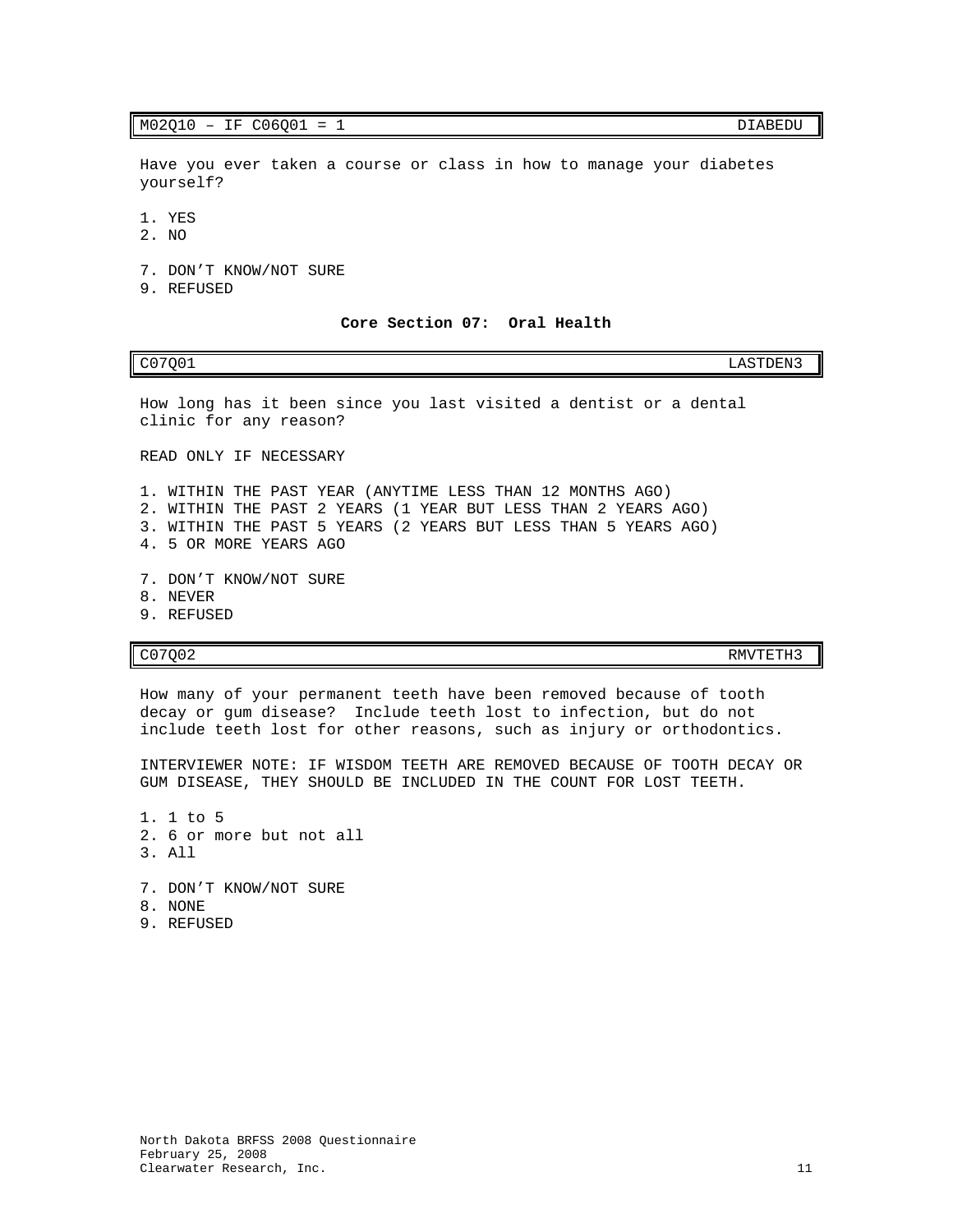# M02Q10 - IF C06Q01 = 1 DIABEDU

Have you ever taken a course or class in how to manage your diabetes yourself?

- 1. YES
- 2. NO
- 7. DON'T KNOW/NOT SURE
- <span id="page-12-0"></span>9. REFUSED

### **Core Section 07: Oral Health**

C07Q01 LASTDEN3

How long has it been since you last visited a dentist or a dental clinic for any reason?

READ ONLY IF NECESSARY

1. WITHIN THE PAST YEAR (ANYTIME LESS THAN 12 MONTHS AGO) 2. WITHIN THE PAST 2 YEARS (1 YEAR BUT LESS THAN 2 YEARS AGO) 3. WITHIN THE PAST 5 YEARS (2 YEARS BUT LESS THAN 5 YEARS AGO) 4. 5 OR MORE YEARS AGO

- 7. DON'T KNOW/NOT SURE
- 8. NEVER
- 9. REFUSED

C07Q02 RMVTETH3

How many of your permanent teeth have been removed because of tooth decay or gum disease? Include teeth lost to infection, but do not include teeth lost for other reasons, such as injury or orthodontics.

INTERVIEWER NOTE: IF WISDOM TEETH ARE REMOVED BECAUSE OF TOOTH DECAY OR GUM DISEASE, THEY SHOULD BE INCLUDED IN THE COUNT FOR LOST TEETH.

1. 1 to 5 2. 6 or more but not all 3. All 7. DON'T KNOW/NOT SURE 8. NONE 9. REFUSED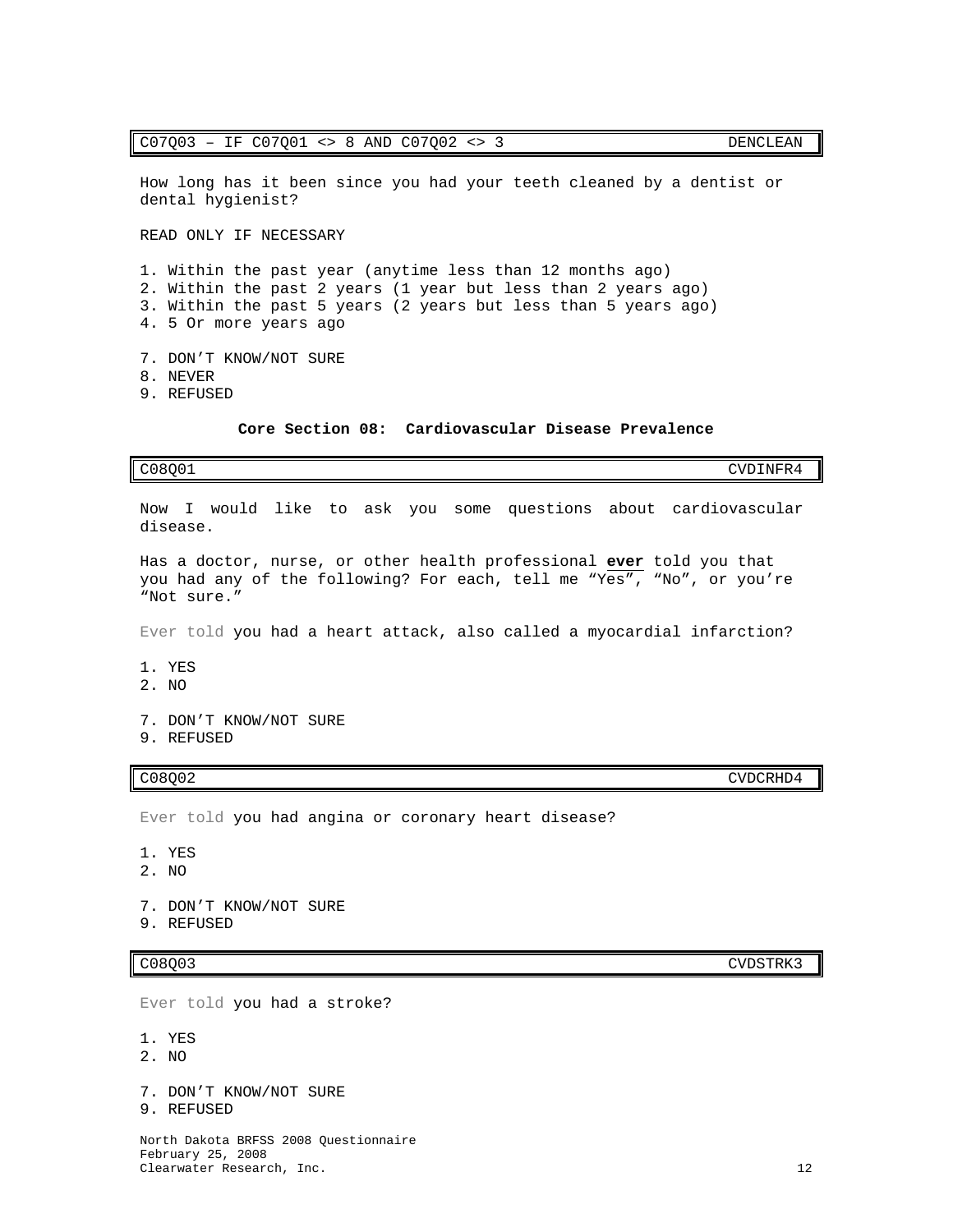### C07Q03 – IF C07Q01 <> 8 AND C07Q02 <> 3 DENCLEAN

How long has it been since you had your teeth cleaned by a dentist or dental hygienist?

READ ONLY IF NECESSARY

1. Within the past year (anytime less than 12 months ago) 2. Within the past 2 years (1 year but less than 2 years ago) 3. Within the past 5 years (2 years but less than 5 years ago) 4. 5 Or more years ago

- 7. DON'T KNOW/NOT SURE
- 8. NEVER
- <span id="page-13-0"></span>9. REFUSED

# **Core Section 08: Cardiovascular Disease Prevalence**

C08Q01 CVDINFR4

Now I would like to ask you some questions about cardiovascular disease.

Has a doctor, nurse, or other health professional **ever** told you that you had any of the following? For each, tell me "Yes", "No", or you're "Not sure."

Ever told you had a heart attack, also called a myocardial infarction?

- 1. YES
- 2. NO
- 7. DON'T KNOW/NOT SURE
- 9. REFUSED

# C08Q02 CVDCRHD4

Ever told you had angina or coronary heart disease?

- 1. YES
- 2. NO

7. DON'T KNOW/NOT SURE

9. REFUSED

Ever told you had a stroke?

- 1. YES
- 2. NO
- 7. DON'T KNOW/NOT SURE
- 9. REFUSED

North Dakota BRFSS 2008 Questionnaire February 25, 2008 Clearwater Research, Inc. 12

C08Q03 CVDSTRK3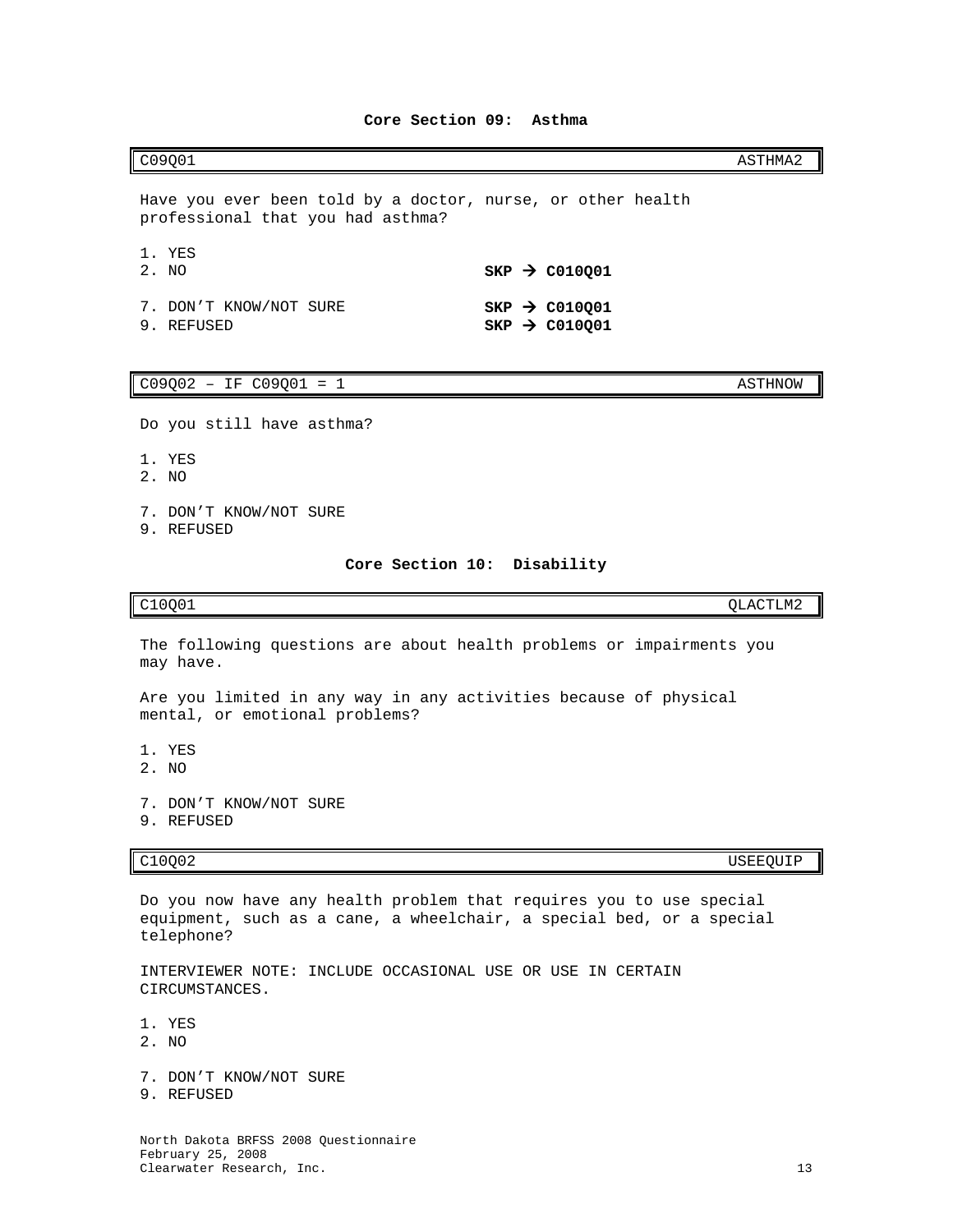# <span id="page-14-0"></span> $CO9Q01$  and  $C09Q01$

Have you ever been told by a doctor, nurse, or other health professional that you had asthma?

| 1. YES<br>2. NO                      |  | $SKP \rightarrow CO10Q01$                              |
|--------------------------------------|--|--------------------------------------------------------|
| 7. DON'T KNOW/NOT SURE<br>9. REFUSED |  | $SKP \rightarrow CO10001$<br>$SKP \rightarrow CO10Q01$ |

## $C09Q02 - IF C09Q01 = 1$  ASTHNOW

Do you still have asthma?

- 1. YES
- 2. NO
- 7. DON'T KNOW/NOT SURE
- <span id="page-14-1"></span>9. REFUSED

# **Core Section 10: Disability**

C10Q01 QLACTLM2

The following questions are about health problems or impairments you may have.

Are you limited in any way in any activities because of physical mental, or emotional problems?

- 1. YES
- 2. NO
- 7. DON'T KNOW/NOT SURE
- 9. REFUSED

C10Q02 USEEQUIP

Do you now have any health problem that requires you to use special equipment, such as a cane, a wheelchair, a special bed, or a special telephone?

INTERVIEWER NOTE: INCLUDE OCCASIONAL USE OR USE IN CERTAIN CIRCUMSTANCES.

1. YES

- 2. NO
- 7. DON'T KNOW/NOT SURE
- 9. REFUSED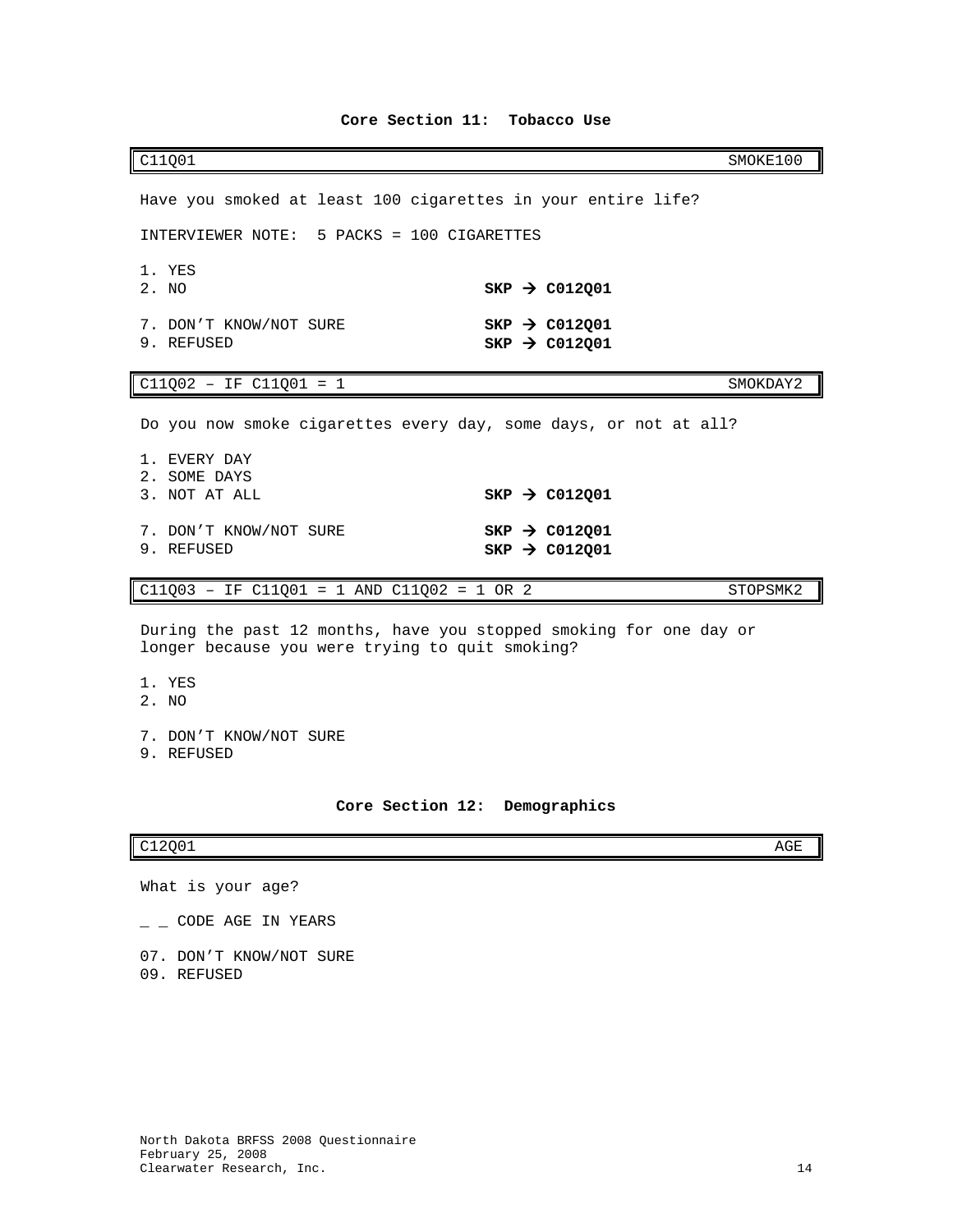<span id="page-15-0"></span>

| C11Q01                                                                                                                                                    | SMOKE100                                                                            |
|-----------------------------------------------------------------------------------------------------------------------------------------------------------|-------------------------------------------------------------------------------------|
| Have you smoked at least 100 cigarettes in your entire life?                                                                                              |                                                                                     |
| INTERVIEWER NOTE: 5 PACKS = 100 CIGARETTES                                                                                                                |                                                                                     |
| 1. YES<br>2. NO                                                                                                                                           | $SKP$ $\rightarrow$ C012Q01                                                         |
| 7. DON'T KNOW/NOT SURE<br>9. REFUSED                                                                                                                      | $SKP \rightarrow CO12Q01$<br>$SKP$ $\rightarrow$ C012Q01                            |
| $C11Q02 - IF C11Q01 = 1$                                                                                                                                  | SMOKDAY2                                                                            |
| Do you now smoke cigarettes every day, some days, or not at all?<br>1. EVERY DAY<br>2. SOME DAYS<br>3. NOT AT ALL<br>7. DON'T KNOW/NOT SURE<br>9. REFUSED | $SKP \rightarrow CO12Q01$<br>$SKP \rightarrow CO12Q01$<br>SKP $\rightarrow$ C012Q01 |
| $C11Q03 - IF C11Q01 = 1 AND C11Q02 = 1 OR 2$                                                                                                              | STOPSMK2                                                                            |
| During the past 12 months, have you stopped smoking for one day or<br>longer because you were trying to quit smoking?<br>1. YES<br>2. NO                  |                                                                                     |

- 7. DON'T KNOW/NOT SURE
- 9. REFUSED

# **Core Section 12: Demographics**

# <span id="page-15-1"></span> $C12Q01$  and  $C12Q01$

- What is your age?
- $-$  CODE AGE IN YEARS
- 07. DON'T KNOW/NOT SURE
- 09. REFUSED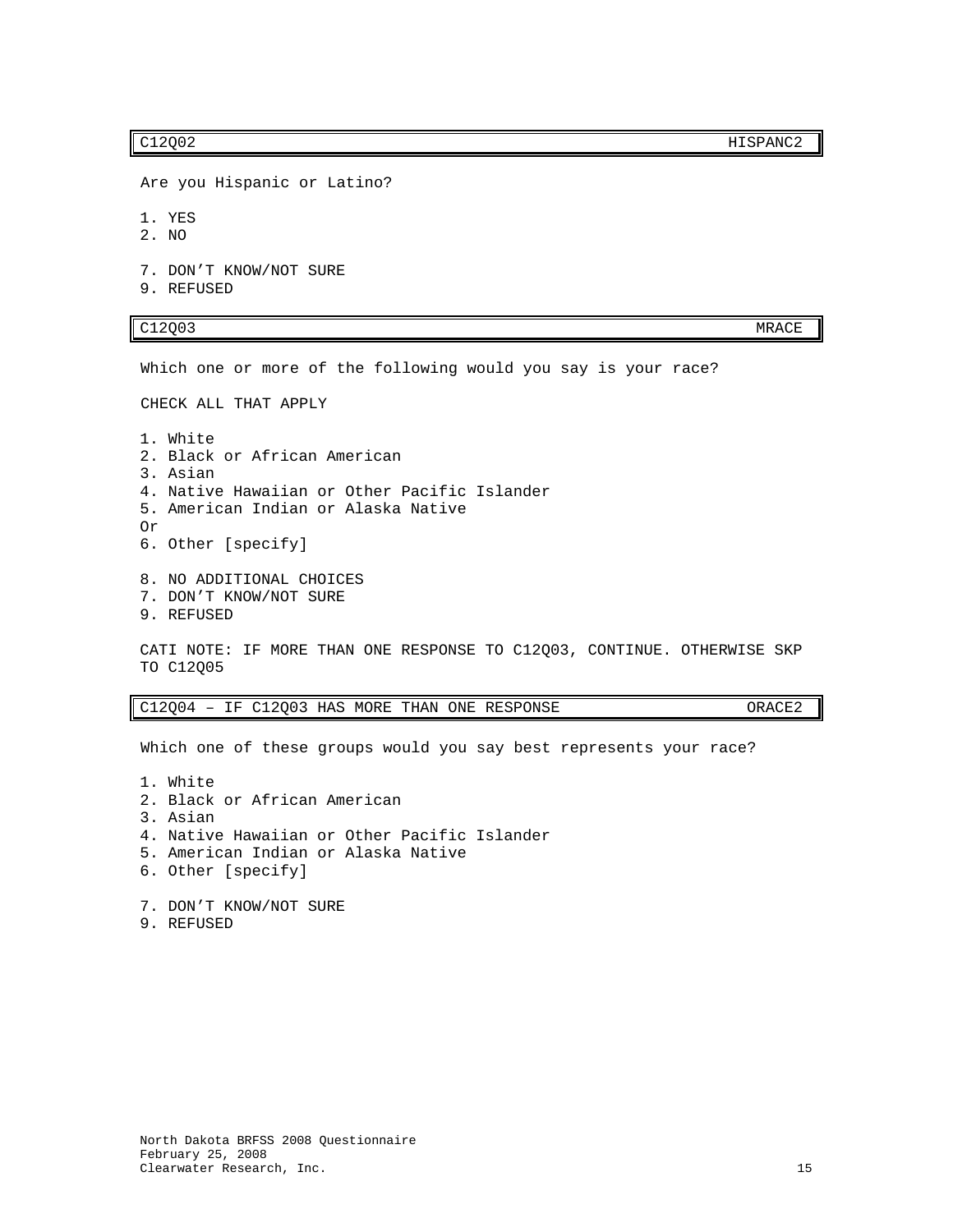C12Q02 HISPANC2

Are you Hispanic or Latino?

1. YES

2. NO

7. DON'T KNOW/NOT SURE

9. REFUSED

# C12Q03 MRACE

Which one or more of the following would you say is your race?

CHECK ALL THAT APPLY

1. White 2. Black or African American 3. Asian 4. Native Hawaiian or Other Pacific Islander 5. American Indian or Alaska Native Or 6. Other [specify]

8. NO ADDITIONAL CHOICES

- 7. DON'T KNOW/NOT SURE
- 9. REFUSED

CATI NOTE: IF MORE THAN ONE RESPONSE TO C12Q03, CONTINUE. OTHERWISE SKP TO C12Q05

C12Q04 – IF C12Q03 HAS MORE THAN ONE RESPONSE ORACE2

Which one of these groups would you say best represents your race?

1. White 2. Black or African American 3. Asian 4. Native Hawaiian or Other Pacific Islander 5. American Indian or Alaska Native 6. Other [specify]

7. DON'T KNOW/NOT SURE 9. REFUSED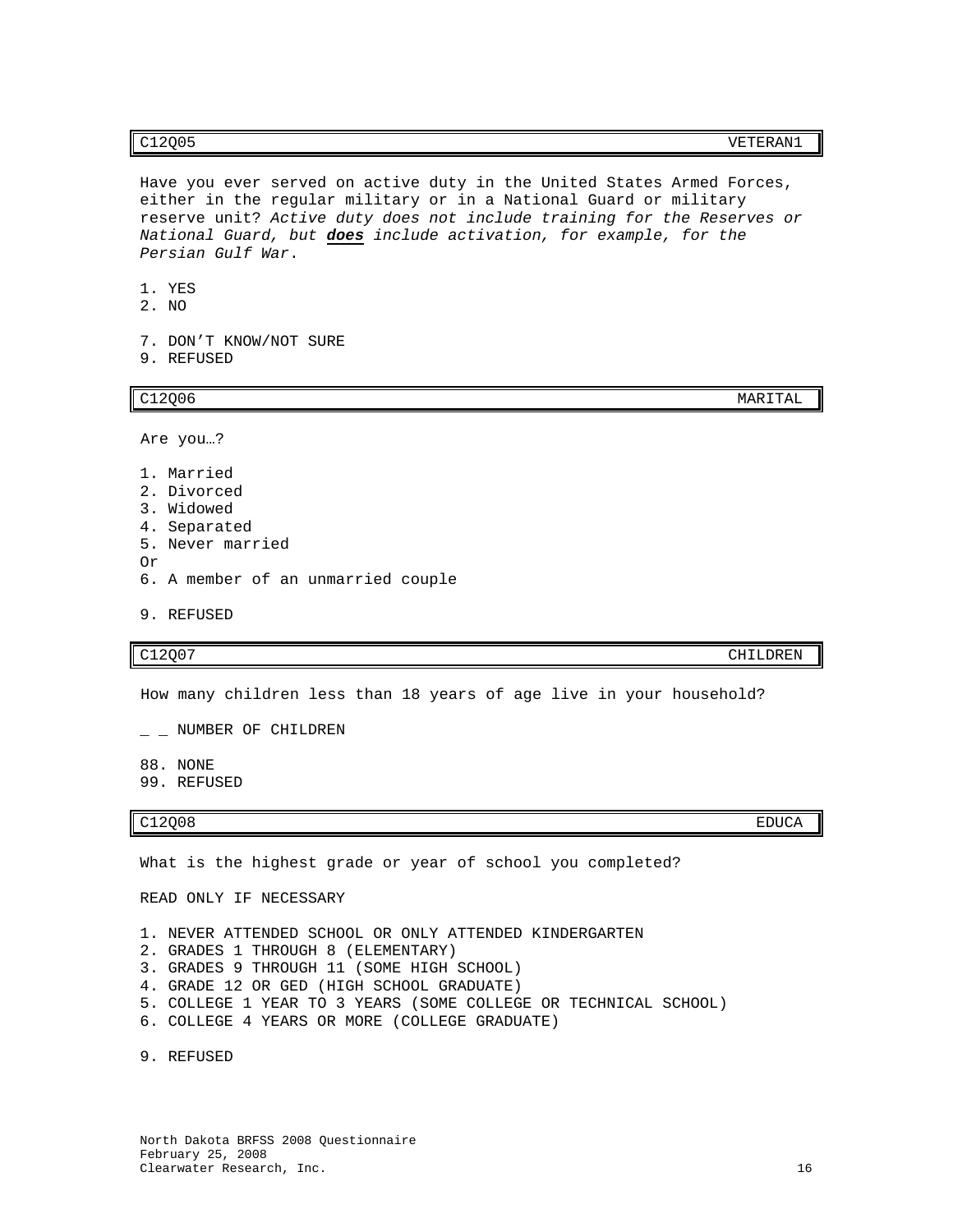# C12Q05 VETERAN1

- 1. YES
- 2. NO
- 7. DON'T KNOW/NOT SURE

*Persian Gulf War*.

9. REFUSED

 $C12Q06$  MARITAL

Are you…?

- 1. Married
- 2. Divorced
- 3. Widowed
- 4. Separated
- 5. Never married Or
- 6. A member of an unmarried couple
- 9. REFUSED

C12Q07 CHILDREN

How many children less than 18 years of age live in your household?

 $-$  NUMBER OF CHILDREN

- 88. NONE
- 99. REFUSED

### C12Q08 EDUCA

What is the highest grade or year of school you completed?

READ ONLY IF NECESSARY

- 1. NEVER ATTENDED SCHOOL OR ONLY ATTENDED KINDERGARTEN
- 2. GRADES 1 THROUGH 8 (ELEMENTARY)
- 3. GRADES 9 THROUGH 11 (SOME HIGH SCHOOL)
- 4. GRADE 12 OR GED (HIGH SCHOOL GRADUATE)
- 5. COLLEGE 1 YEAR TO 3 YEARS (SOME COLLEGE OR TECHNICAL SCHOOL)
- 6. COLLEGE 4 YEARS OR MORE (COLLEGE GRADUATE)

9. REFUSED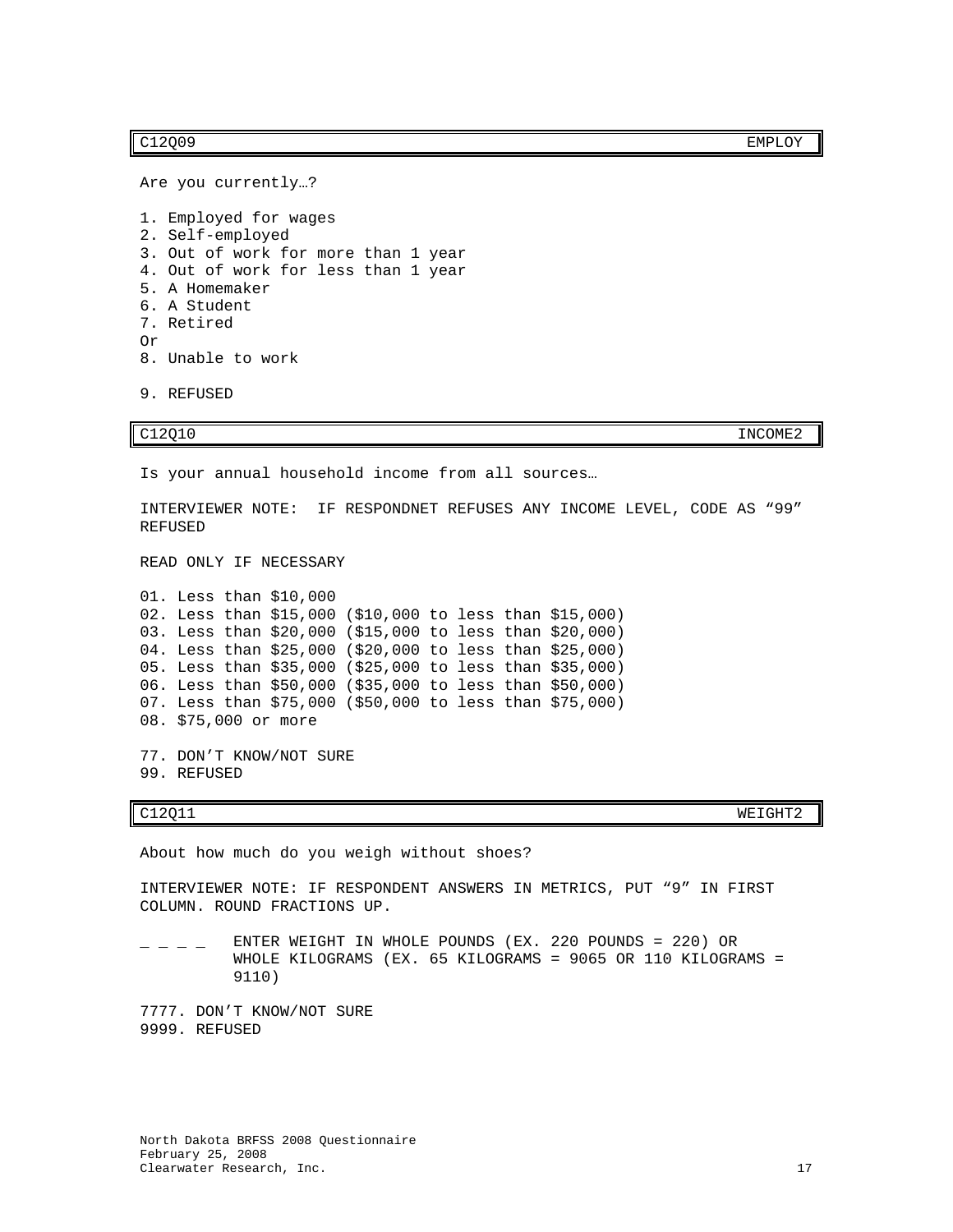C12Q09 EMPLOY

Are you currently…?

```
1. Employed for wages
2. Self-employed
3. Out of work for more than 1 year
4. Out of work for less than 1 year
5. A Homemaker
6. A Student
7. Retired
Or
8. Unable to work
```
9. REFUSED

C12Q10 INCOME2

Is your annual household income from all sources…

INTERVIEWER NOTE: IF RESPONDNET REFUSES ANY INCOME LEVEL, CODE AS "99" REFUSED

READ ONLY IF NECESSARY

01. Less than \$10,000 02. Less than \$15,000 (\$10,000 to less than \$15,000) 03. Less than \$20,000 (\$15,000 to less than \$20,000) 04. Less than \$25,000 (\$20,000 to less than \$25,000) 05. Less than \$35,000 (\$25,000 to less than \$35,000) 06. Less than \$50,000 (\$35,000 to less than \$50,000) 07. Less than \$75,000 (\$50,000 to less than \$75,000) 08. \$75,000 or more 77. DON'T KNOW/NOT SURE

99. REFUSED

C12Q11 WEIGHT2

About how much do you weigh without shoes?

INTERVIEWER NOTE: IF RESPONDENT ANSWERS IN METRICS, PUT "9" IN FIRST COLUMN. ROUND FRACTIONS UP.

 $\angle$   $\angle$   $\angle$   $\angle$   $\angle$   $\angle$  ENTER WEIGHT IN WHOLE POUNDS (EX. 220 POUNDS = 220) OR WHOLE KILOGRAMS (EX. 65 KILOGRAMS = 9065 OR 110 KILOGRAMS = 9110)

7777. DON'T KNOW/NOT SURE 9999. REFUSED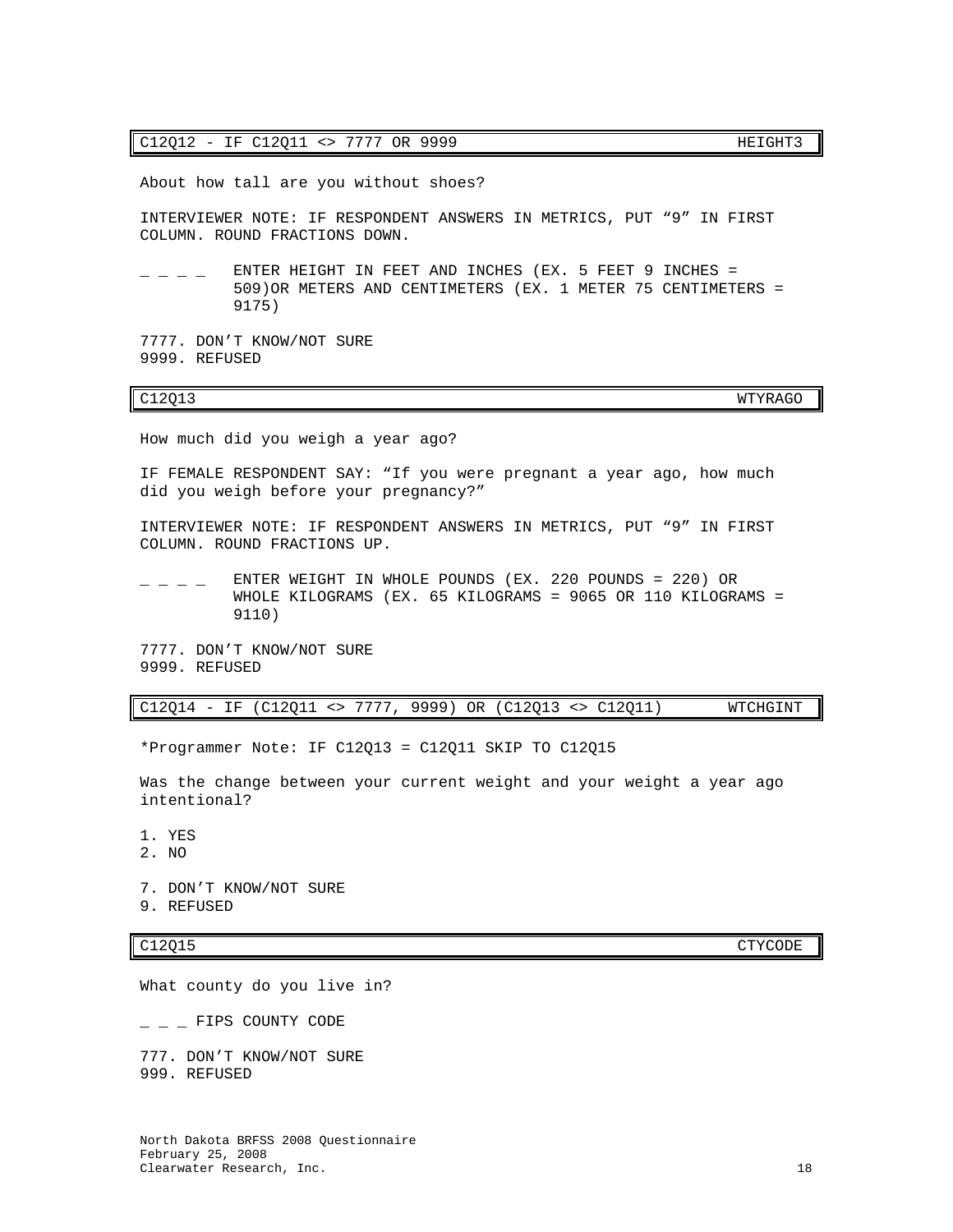# C12Q12 - IF C12Q11 <> 7777 OR 9999 HEIGHT3

About how tall are you without shoes?

INTERVIEWER NOTE: IF RESPONDENT ANSWERS IN METRICS, PUT "9" IN FIRST COLUMN. ROUND FRACTIONS DOWN.

 $-$  ENTER HEIGHT IN FEET AND INCHES (EX. 5 FEET 9 INCHES = 509)OR METERS AND CENTIMETERS (EX. 1 METER 75 CENTIMETERS = 9175)

7777. DON'T KNOW/NOT SURE 9999. REFUSED

# C12Q13 WTYRAGO

How much did you weigh a year ago?

IF FEMALE RESPONDENT SAY: "If you were pregnant a year ago, how much did you weigh before your pregnancy?"

INTERVIEWER NOTE: IF RESPONDENT ANSWERS IN METRICS, PUT "9" IN FIRST COLUMN. ROUND FRACTIONS UP.

 $\_$   $\_$  ENTER WEIGHT IN WHOLE POUNDS (EX. 220 POUNDS = 220) OR WHOLE KILOGRAMS (EX. 65 KILOGRAMS = 9065 OR 110 KILOGRAMS = 9110)

7777. DON'T KNOW/NOT SURE 9999. REFUSED

# C12Q14 - IF (C12Q11 <> 7777, 9999) OR (C12Q13 <> C12Q11) WTCHGINT

\*Programmer Note: IF C12Q13 = C12Q11 SKIP TO C12Q15

Was the change between your current weight and your weight a year ago intentional?

1. YES

- 2. NO
- 7. DON'T KNOW/NOT SURE
- 9. REFUSED

What county do you live in?

 $\_$   $\_$  FIPS COUNTY CODE

777. DON'T KNOW/NOT SURE 999. REFUSED

C12Q15 CTYCODE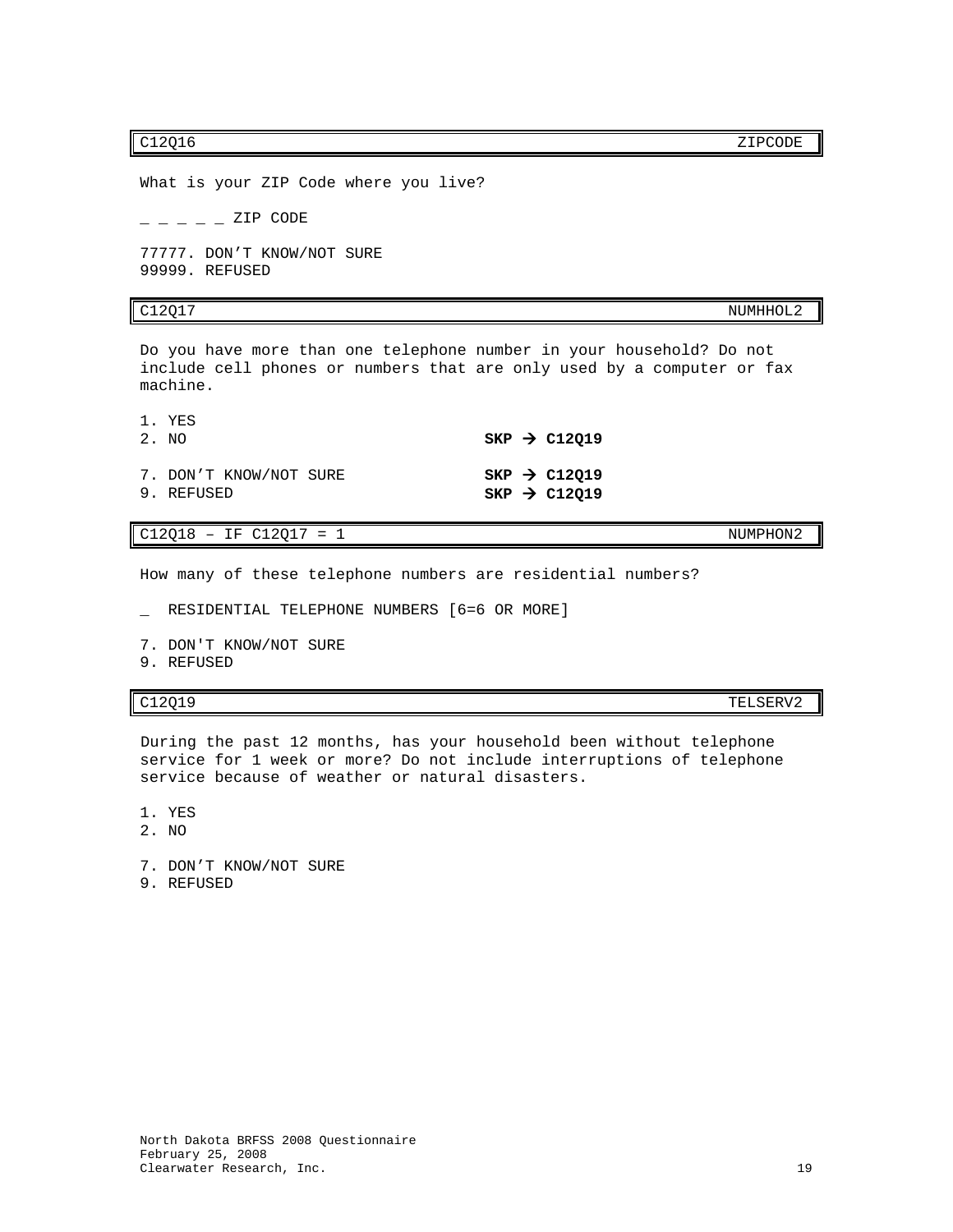c12Q16 ZIPCODE

What is your ZIP Code where you live?  $-- ZIP$  CODE 77777. DON'T KNOW/NOT SURE 99999. REFUSED

C12Q17 NUMHHOL2

Do you have more than one telephone number in your household? Do not include cell phones or numbers that are only used by a computer or fax machine.

| 1. YES<br>2. NO                      |  | $SKP \rightarrow C12Q19$                             |
|--------------------------------------|--|------------------------------------------------------|
| 7. DON'T KNOW/NOT SURE<br>9. REFUSED |  | $SKP \rightarrow C12Q19$<br>SKP $\rightarrow$ C12019 |

 $C12Q18 - IF C12Q17 = 1$  NUMPHON2

How many of these telephone numbers are residential numbers?

\_ RESIDENTIAL TELEPHONE NUMBERS [6=6 OR MORE]

- 7. DON'T KNOW/NOT SURE
- 9. REFUSED

C12Q19 TELSERV2

During the past 12 months, has your household been without telephone service for 1 week or more? Do not include interruptions of telephone service because of weather or natural disasters.

1. YES

- 2. NO
- 7. DON'T KNOW/NOT SURE
- 9. REFUSED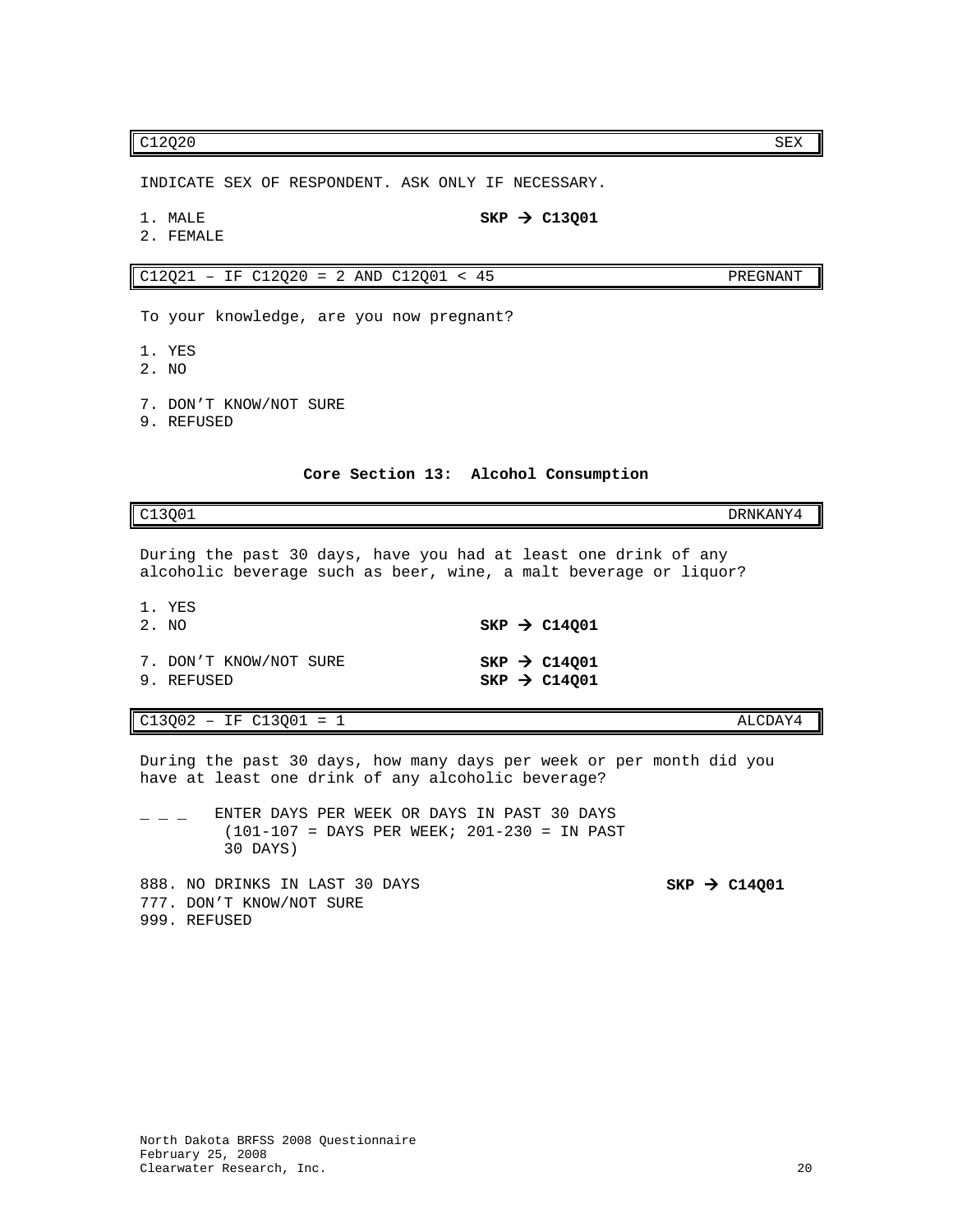# $C12Q20$  SEX

INDICATE SEX OF RESPONDENT. ASK ONLY IF NECESSARY.

1. MALE  $SKP \rightarrow C13Q01$ 

2. FEMALE

 $C12Q21 - IF C12Q20 = 2 AND C12Q01 < 45$  PREGNANT

To your knowledge, are you now pregnant?

- 1. YES
- 2. NO
- 7. DON'T KNOW/NOT SURE
- 9. REFUSED

**Core Section 13: Alcohol Consumption**

<span id="page-21-0"></span>C13Q01 DRNKANY4

During the past 30 days, have you had at least one drink of any alcoholic beverage such as beer, wine, a malt beverage or liquor?

| 1. YES<br>2. NO                      |  | $SKP \rightarrow C14001$                               |
|--------------------------------------|--|--------------------------------------------------------|
| 7. DON'T KNOW/NOT SURE<br>9. REFUSED |  | SKP $\rightarrow$ C14001<br>$SKP$ $\rightarrow$ C14001 |

C13Q02 – IF C13Q01 = 1 ALCDAY4

777. DON'T KNOW/NOT SURE

999. REFUSED

During the past 30 days, how many days per week or per month did you have at least one drink of any alcoholic beverage?

 $\angle$  \_ \_ ENTER DAYS PER WEEK OR DAYS IN PAST 30 DAYS (101-107 = DAYS PER WEEK; 201-230 = IN PAST 30 DAYS) 888. NO DRINKS IN LAST 30 DAYS **SKP > C14Q01**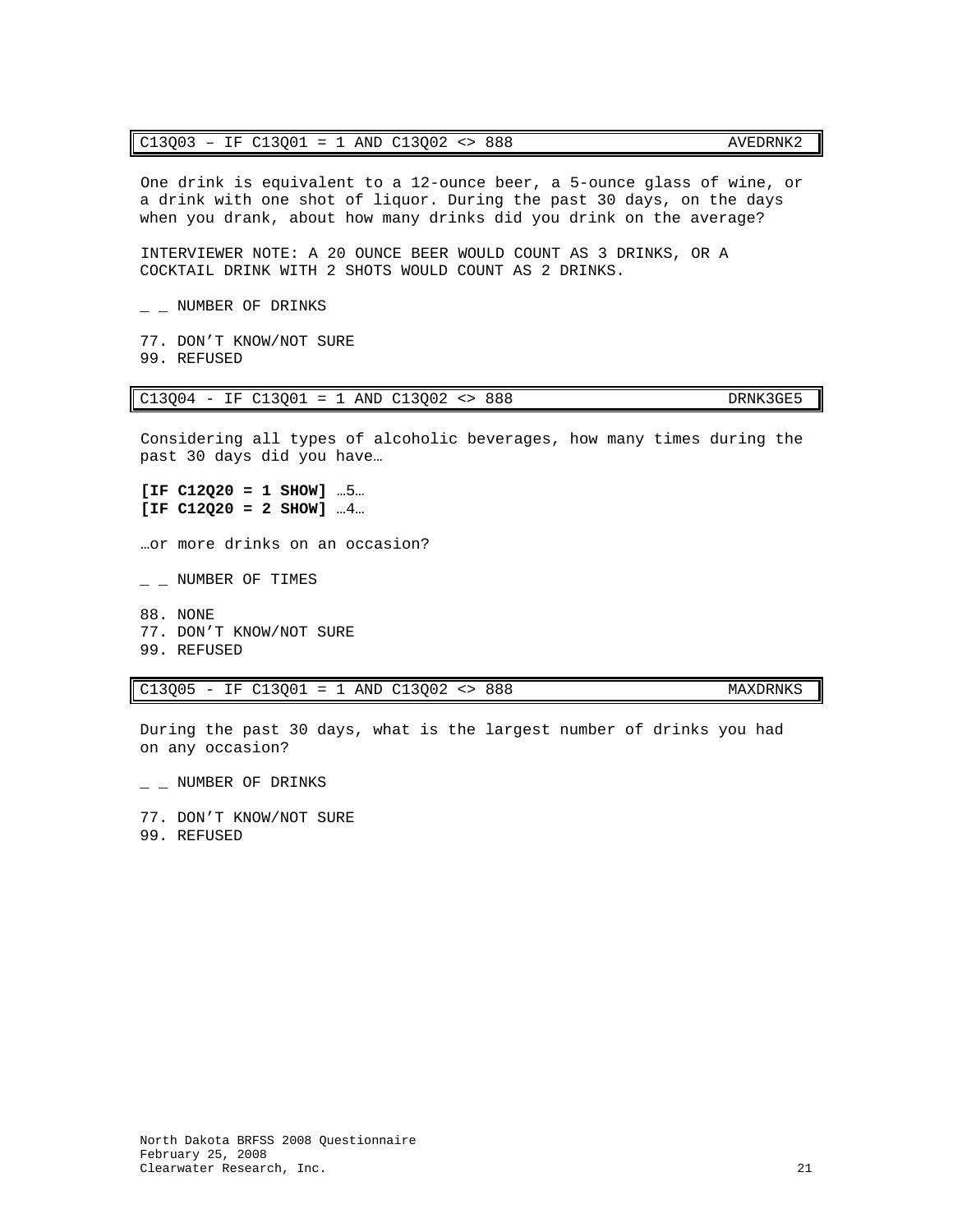# C13Q03 – IF C13Q01 = 1 AND C13Q02 <> 888 AVEDRNK2

One drink is equivalent to a 12-ounce beer, a 5-ounce glass of wine, or a drink with one shot of liquor. During the past 30 days, on the days when you drank, about how many drinks did you drink on the average?

INTERVIEWER NOTE: A 20 OUNCE BEER WOULD COUNT AS 3 DRINKS, OR A COCKTAIL DRINK WITH 2 SHOTS WOULD COUNT AS 2 DRINKS.

 $\_$  NUMBER OF DRINKS

77. DON'T KNOW/NOT SURE 99. REFUSED

C13Q04 - IF C13Q01 = 1 AND C13Q02 <> 888 DRNK3GE5

Considering all types of alcoholic beverages, how many times during the past 30 days did you have…

**[IF C12Q20 = 1 SHOW]** …5… **[IF C12Q20 = 2 SHOW]** …4…

…or more drinks on an occasion?

- $-$  NUMBER OF TIMES
- 88. NONE 77. DON'T KNOW/NOT SURE 99. REFUSED

C13Q05 - IF C13Q01 = 1 AND C13Q02 <> 888 MAXDRNKS

During the past 30 days, what is the largest number of drinks you had on any occasion?

 $-$  NUMBER OF DRINKS

77. DON'T KNOW/NOT SURE 99. REFUSED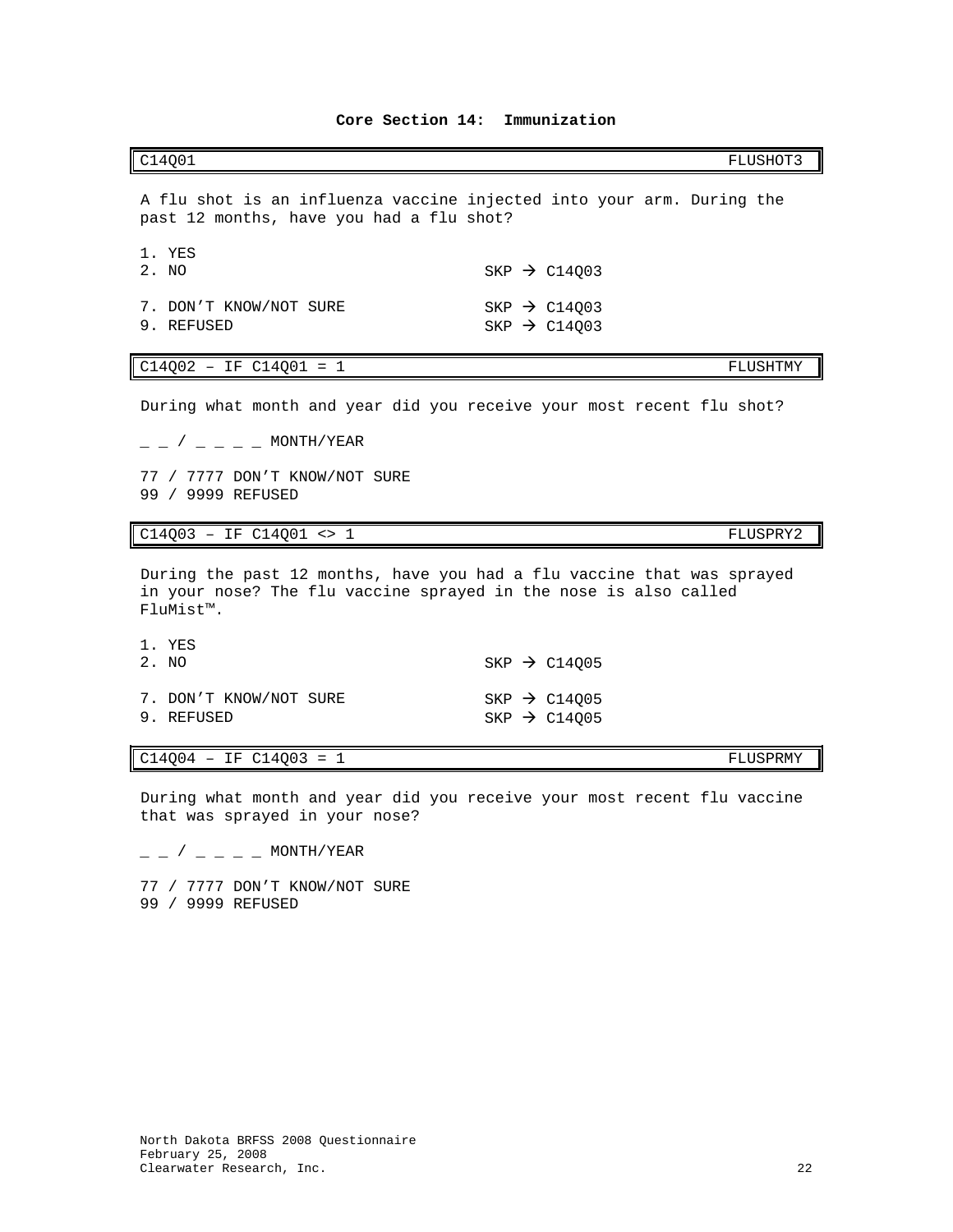<span id="page-23-0"></span>C14Q01 FLUSHOT3

A flu shot is an influenza vaccine injected into your arm. During the past 12 months, have you had a flu shot?

| 1. YES<br>2. NO                      |  | SKP $\rightarrow$ C14003                             |
|--------------------------------------|--|------------------------------------------------------|
| 7. DON'T KNOW/NOT SURE<br>9. REFUSED |  | SKP $\rightarrow$ C14003<br>SKP $\rightarrow$ C14003 |

## $C14Q02 - IF C14Q01 = 1$  FLUSHTMY

During what month and year did you receive your most recent flu shot?

 $/$   $-$  MONTH/YEAR

77 / 7777 DON'T KNOW/NOT SURE 99 / 9999 REFUSED

C14Q03 – IF C14Q01 <> 1 FLUSPRY2

During the past 12 months, have you had a flu vaccine that was sprayed in your nose? The flu vaccine sprayed in the nose is also called FluMist™.

| 1. YES<br>2. NO                      |  | SKP $\rightarrow$ C14005                             |
|--------------------------------------|--|------------------------------------------------------|
| 7. DON'T KNOW/NOT SURE<br>9. REFUSED |  | SKP $\rightarrow$ C14005<br>SKP $\rightarrow$ C14005 |

### $C14Q04 - IF C14Q03 = 1$  FLUSPRMY

During what month and year did you receive your most recent flu vaccine that was sprayed in your nose?

 $/$   $-$  MONTH/YEAR

77 / 7777 DON'T KNOW/NOT SURE 99 / 9999 REFUSED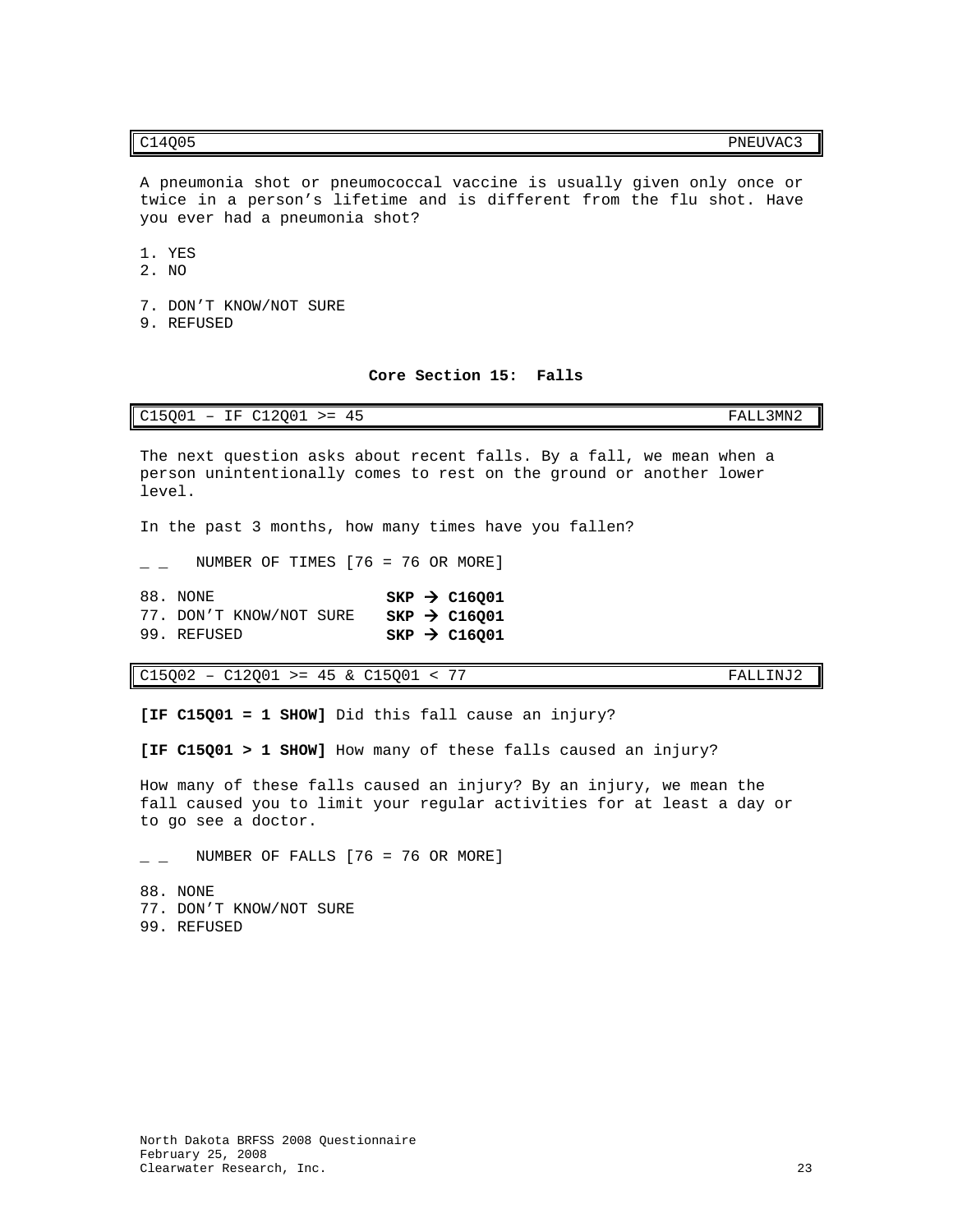# 1. YES

- 2. NO
- 7. DON'T KNOW/NOT SURE

you ever had a pneumonia shot?

9. REFUSED

### **Core Section 15: Falls**

A pneumonia shot or pneumococcal vaccine is usually given only once or twice in a person's lifetime and is different from the flu shot. Have

## <span id="page-24-0"></span>C15Q01 – IF C12Q01 >= 45 FALL3MN2

The next question asks about recent falls. By a fall, we mean when a person unintentionally comes to rest on the ground or another lower level.

In the past 3 months, how many times have you fallen?

 $\_$  NUMBER OF TIMES [76 = 76 OR MORE]

88. NONE **SKP > C16Q01**<br>77. DON'T KNOW/NOT SURE **SKP > C16Q01** 77. DON'T KNOW/NOT SURE<br>99. REFUSED  $SKP$   $\rightarrow$  C16Q01

C15Q02 – C12Q01 >= 45 & C15Q01 < 77 FALLINJ2

**[IF C15Q01 = 1 SHOW]** Did this fall cause an injury?

**[IF C15Q01 > 1 SHOW]** How many of these falls caused an injury?

How many of these falls caused an injury? By an injury, we mean the fall caused you to limit your regular activities for at least a day or to go see a doctor.

 $\_$  NUMBER OF FALLS [76 = 76 OR MORE]

88. NONE 77. DON'T KNOW/NOT SURE 99. REFUSED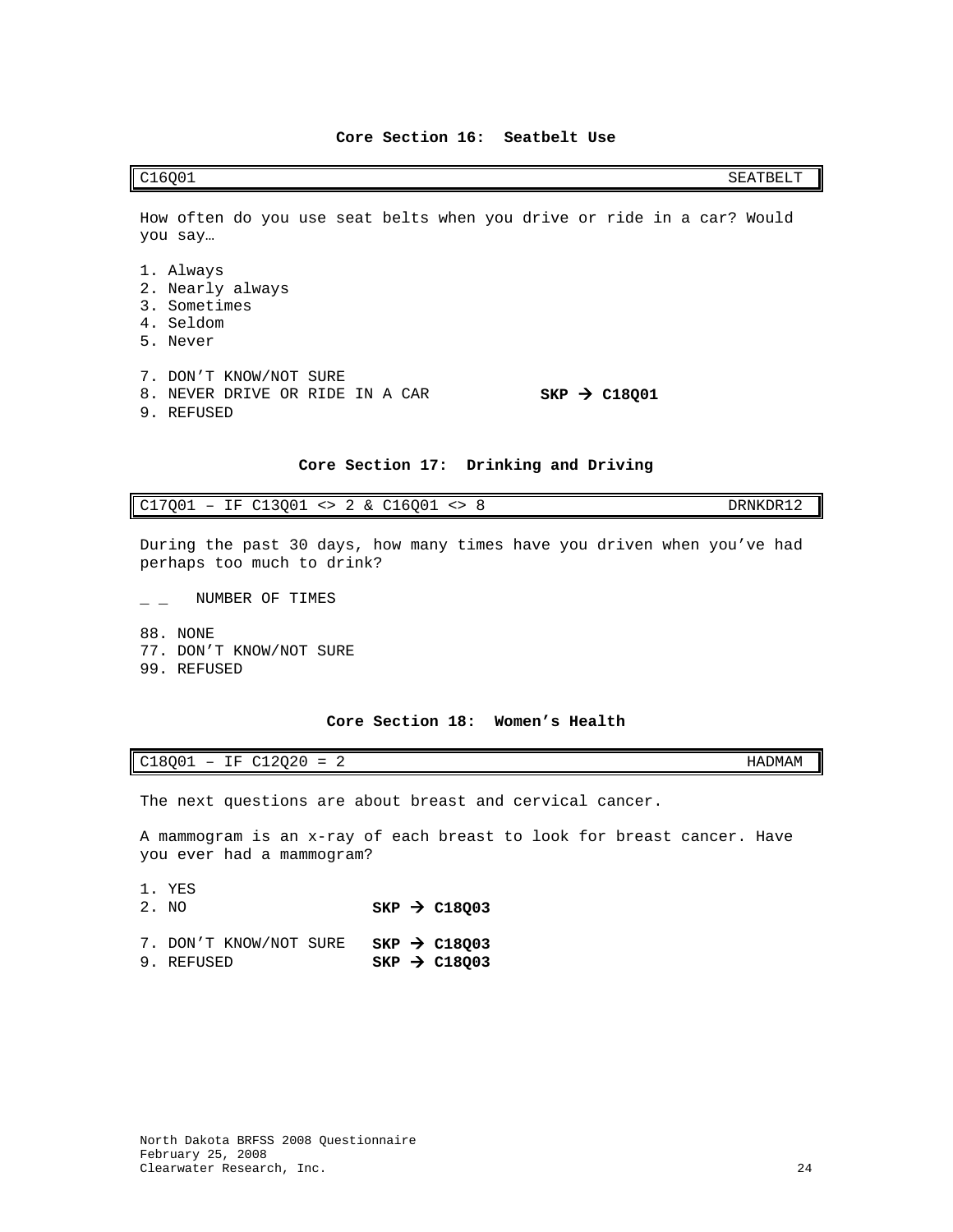<span id="page-25-0"></span>How often do you use seat belts when you drive or ride in a car? Would you say…

- 1. Always
- 2. Nearly always
- 3. Sometimes
- 4. Seldom
- 5. Never
- 7. DON'T KNOW/NOT SURE
- 8. NEVER DRIVE OR RIDE IN A CAR **SKP**  $\rightarrow$  **C18Q01**
- 9. REFUSED

### **Core Section 17: Drinking and Driving**

# <span id="page-25-1"></span>C17Q01 – IF C13Q01 <> 2 & C16Q01 <> 8 DRNKDR12

During the past 30 days, how many times have you driven when you've had perhaps too much to drink?

 $\overline{\phantom{a}}$  \_ NUMBER OF TIMES

88. NONE 77. DON'T KNOW/NOT SURE 99. REFUSED

# **Core Section 18: Women's Health**

# <span id="page-25-2"></span>C18Q01 – IF C12Q20 = 2 HADMAM

The next questions are about breast and cervical cancer.

A mammogram is an x-ray of each breast to look for breast cancer. Have you ever had a mammogram?

- 1. YES<br>2. NO
- 2. NO **SKP C18Q03**
- 7. DON'T KNOW/NOT SURE **SKP > C18Q03**<br>9. REFUSED **SKP > C18O03**  $SKP \rightarrow C18Q03$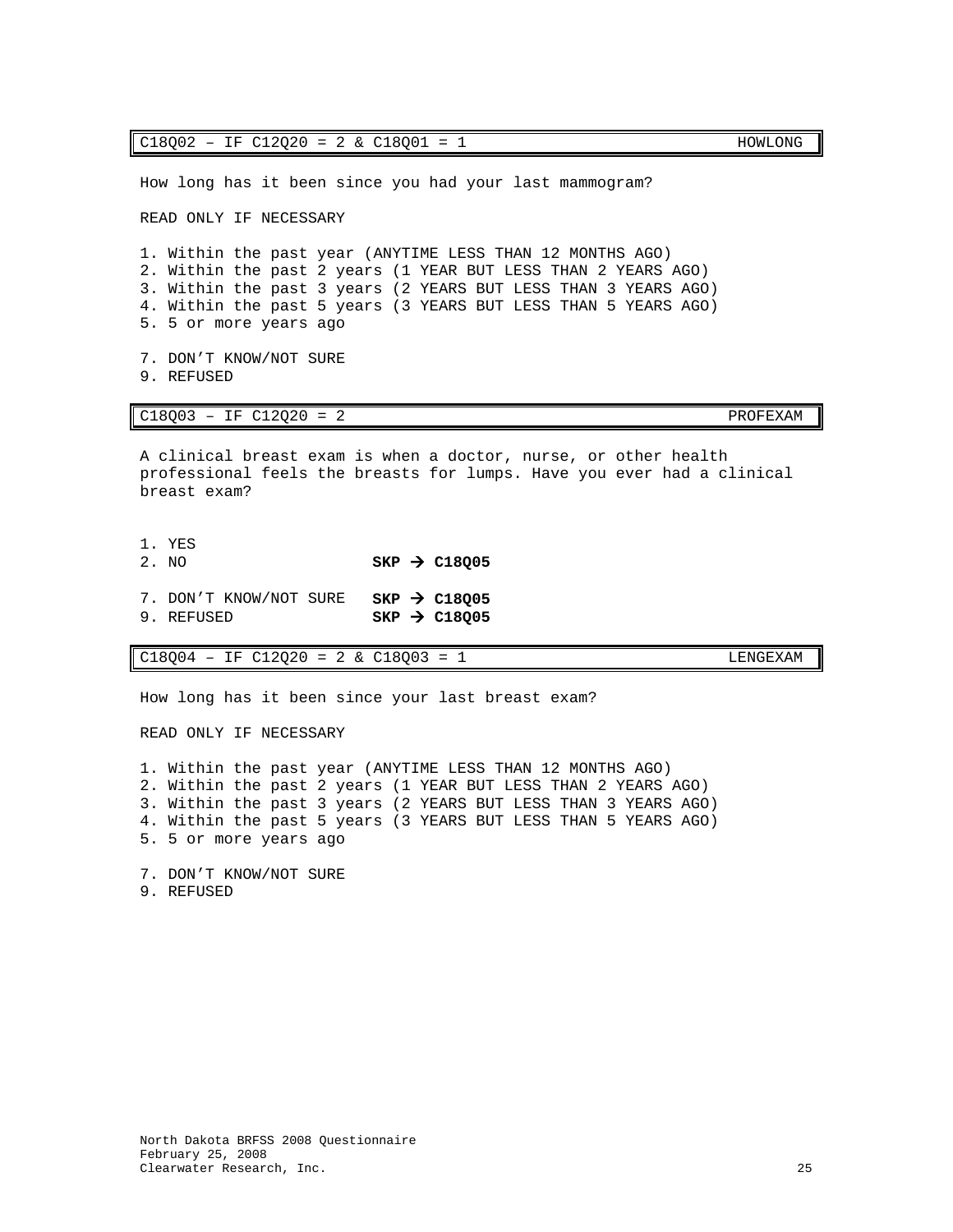| $C18Q02 - IF C12Q20 = 2 & C18Q01 = 1$                                                                                                                                                                                                                                                    | HOWLONG  |
|------------------------------------------------------------------------------------------------------------------------------------------------------------------------------------------------------------------------------------------------------------------------------------------|----------|
| How long has it been since you had your last mammogram?                                                                                                                                                                                                                                  |          |
| READ ONLY IF NECESSARY                                                                                                                                                                                                                                                                   |          |
| 1. Within the past year (ANYTIME LESS THAN 12 MONTHS AGO)<br>2. Within the past 2 years (1 YEAR BUT LESS THAN 2 YEARS AGO)<br>3. Within the past 3 years (2 YEARS BUT LESS THAN 3 YEARS AGO)<br>4. Within the past 5 years (3 YEARS BUT LESS THAN 5 YEARS AGO)<br>5. 5 or more years ago |          |
| 7. DON'T KNOW/NOT SURE<br>9. REFUSED                                                                                                                                                                                                                                                     |          |
|                                                                                                                                                                                                                                                                                          |          |
| $C18Q03 - IF C12Q20 = 2$                                                                                                                                                                                                                                                                 | PROFEXAM |
| A clinical breast exam is when a doctor, nurse, or other health<br>professional feels the breasts for lumps. Have you ever had a clinical<br>breast exam?                                                                                                                                |          |
| 1. YES<br>$SKP$ $\rightarrow$ C18005<br>2. NO                                                                                                                                                                                                                                            |          |
| 7. DON'T KNOW/NOT SURE SKP $\rightarrow$ C18005<br>9. REFUSED<br>$SKP \rightarrow C18005$                                                                                                                                                                                                |          |

 $Cl8Q02 - IF C12Q20 = 2 & Cl8Q01 = 1$  HOWLONG

How long has it been since your last breast exam?

READ ONLY IF NECESSARY

1. Within the past year (ANYTIME LESS THAN 12 MONTHS AGO) 2. Within the past 2 years (1 YEAR BUT LESS THAN 2 YEARS AGO) 3. Within the past 3 years (2 YEARS BUT LESS THAN 3 YEARS AGO) 4. Within the past 5 years (3 YEARS BUT LESS THAN 5 YEARS AGO) 5. 5 or more years ago

7. DON'T KNOW/NOT SURE 9. REFUSED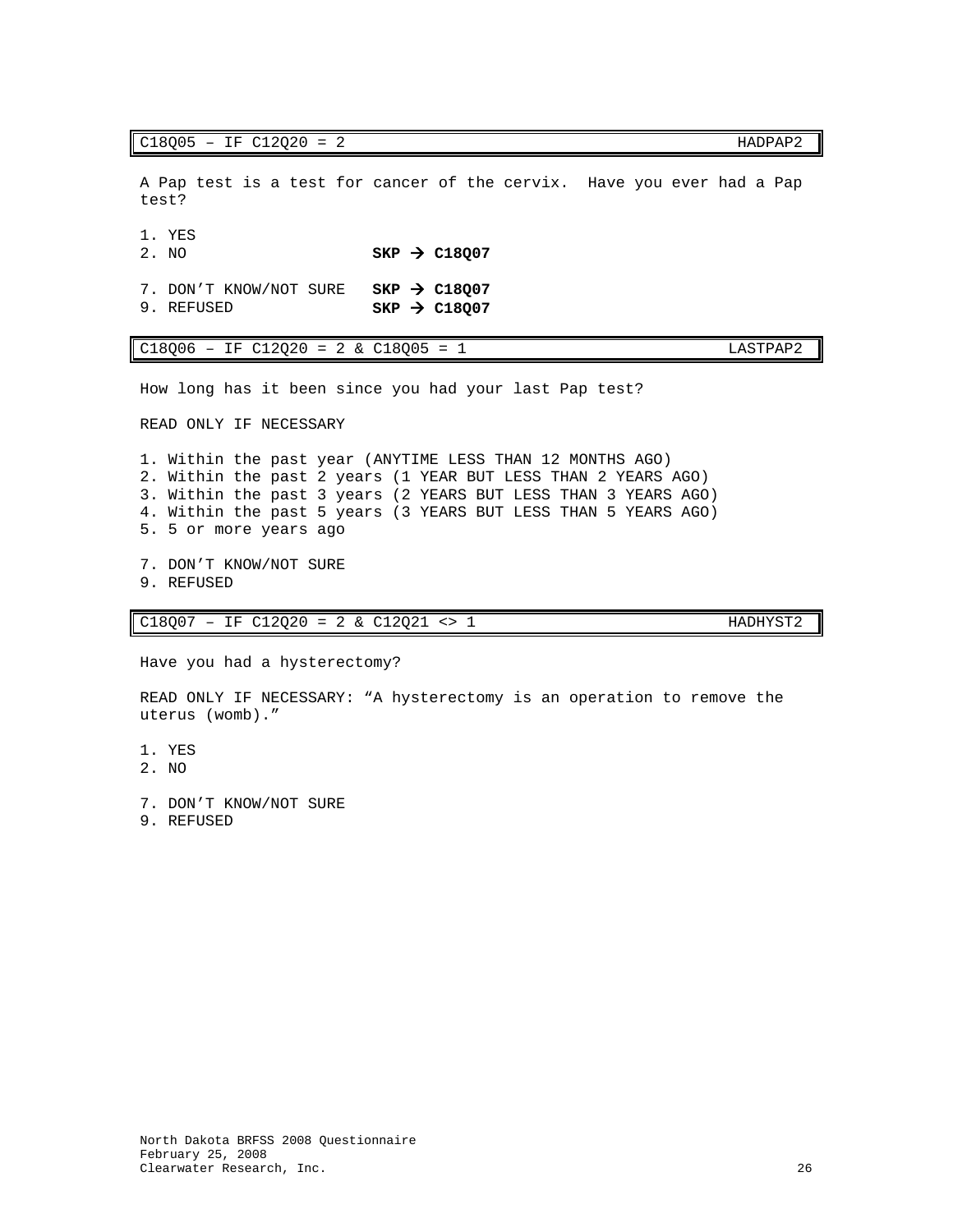$C18005 - IF C12Q20 = 2$  HADPAP2

A Pap test is a test for cancer of the cervix. Have you ever had a Pap test?

1. YES<br>2. NO

 $SKP \rightarrow C18Q07$ 

7. DON'T KNOW/NOT SURE **SKP > C18Q07**<br>9. REFUSED **SKP > C18Q07**  $SKP \rightarrow C18Q07$ 

| C18Q06<br>IF C12Q20<br>C18005<br>LASTPAP2<br>$\sim$ 1<br>$= 2 \; \; \rm \&$<br>$-$<br>$=$<br>$\propto$ |  |
|--------------------------------------------------------------------------------------------------------|--|
|--------------------------------------------------------------------------------------------------------|--|

How long has it been since you had your last Pap test?

READ ONLY IF NECESSARY

1. Within the past year (ANYTIME LESS THAN 12 MONTHS AGO) 2. Within the past 2 years (1 YEAR BUT LESS THAN 2 YEARS AGO) 3. Within the past 3 years (2 YEARS BUT LESS THAN 3 YEARS AGO) 4. Within the past 5 years (3 YEARS BUT LESS THAN 5 YEARS AGO) 5. 5 or more years ago

7. DON'T KNOW/NOT SURE 9. REFUSED

C18Q07 – IF C12Q20 = 2 & C12Q21 <> 1 HADHYST2

Have you had a hysterectomy?

READ ONLY IF NECESSARY: "A hysterectomy is an operation to remove the uterus (womb)."

1. YES

2. NO

7. DON'T KNOW/NOT SURE

9. REFUSED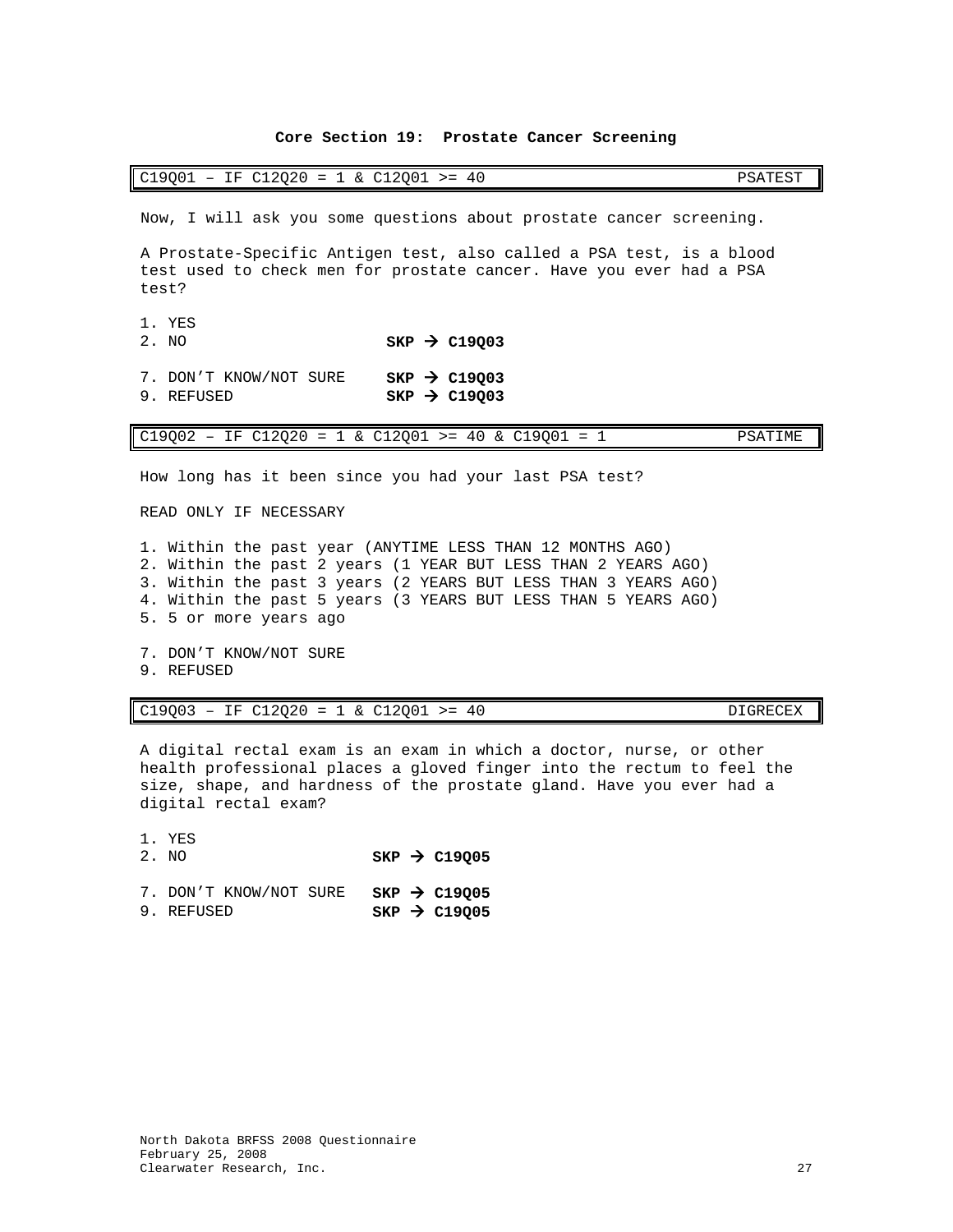# **Core Section 19: Prostate Cancer Screening**

<span id="page-28-0"></span>

| $C19001 - IF C12020 = 1 & C12001 >= 40$                                                                                                              | PSATEST |
|------------------------------------------------------------------------------------------------------------------------------------------------------|---------|
| Now, I will ask you some questions about prostate cancer screening.                                                                                  |         |
| A Prostate-Specific Antigen test, also called a PSA test, is a blood<br>test used to check men for prostate cancer. Have you ever had a PSA<br>test? |         |
| 1. YES<br>$SKP \rightarrow C19003$<br>2. NO                                                                                                          |         |
| SKP $\rightarrow$ C19003<br>7. DON'T KNOW/NOT SURE<br>$SKP \rightarrow C19003$<br>9. REFUSED                                                         |         |
| $C19Q02 - IF C12Q20 = 1 & C12Q01 > = 40 & C19Q01 = 1$                                                                                                | PSATIME |
| How long has it been since you had your last PSA test?<br>READ ONLY IF NECESSARY                                                                     |         |
| 1. Within the past year (ANYTIME LESS THAN 12 MONTHS AGO)<br>2. Within the past 2 years (1 YEAR BUT LESS THAN 2 YEARS AGO)                           |         |

3. Within the past 3 years (2 YEARS BUT LESS THAN 3 YEARS AGO) 4. Within the past 5 years (3 YEARS BUT LESS THAN 5 YEARS AGO)

- 5. 5 or more years ago
- 7. DON'T KNOW/NOT SURE
- 9. REFUSED

# $C19Q03 - IF C12Q20 = 1 & C12Q01 > = 40$  DIGRECEX

A digital rectal exam is an exam in which a doctor, nurse, or other health professional places a gloved finger into the rectum to feel the size, shape, and hardness of the prostate gland. Have you ever had a digital rectal exam?

1. YES<br>2. NO

2. NO **SKP C19Q05**

|            | 7. DON'T KNOW/NOT SURE |  | $SKP \rightarrow C19Q05$   |
|------------|------------------------|--|----------------------------|
| 9. REFUSED |                        |  | $SKP$ $\rightarrow$ C19005 |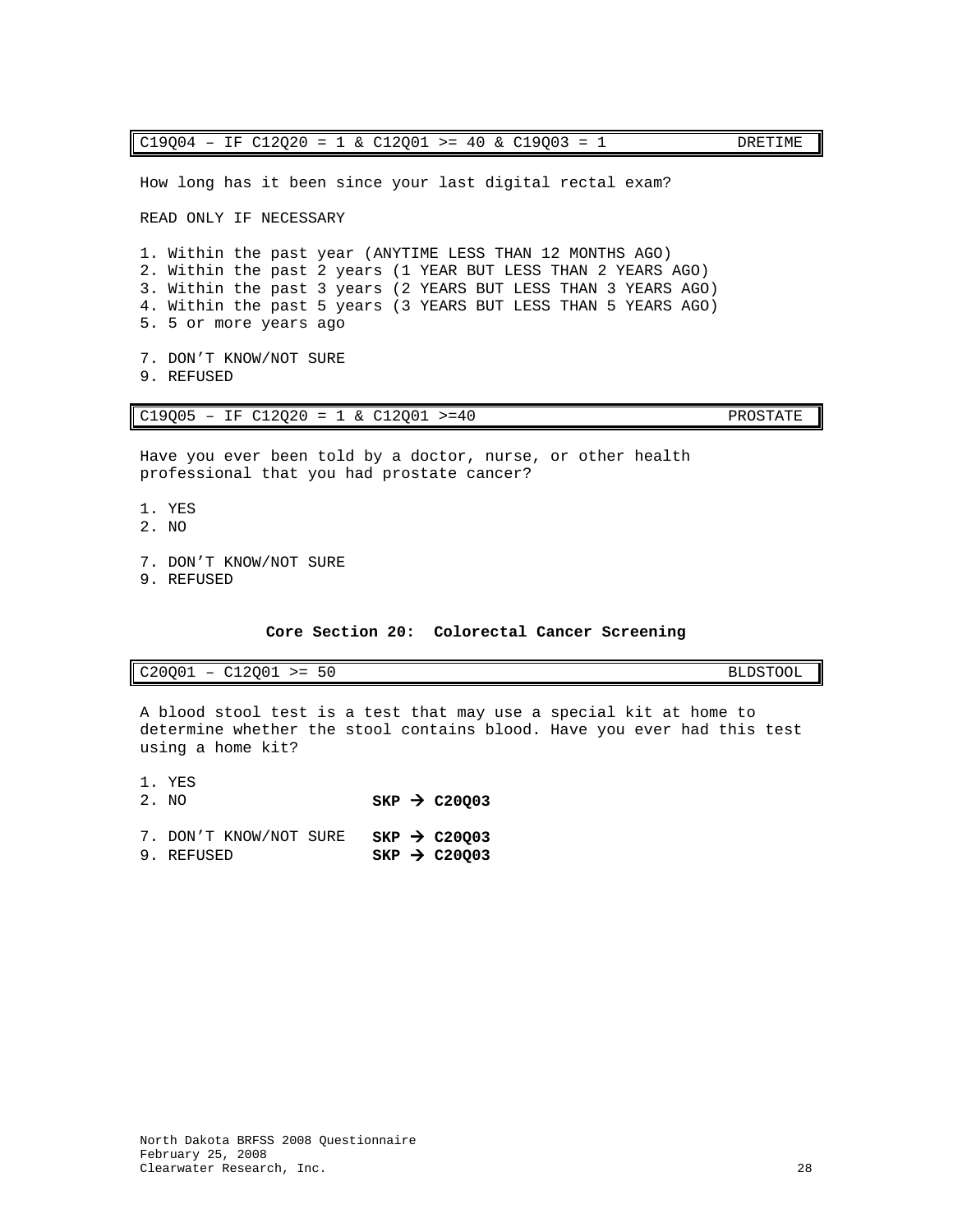How long has it been since your last digital rectal exam? READ ONLY IF NECESSARY 1. Within the past year (ANYTIME LESS THAN 12 MONTHS AGO) C19Q05 – IF C12Q20 = 1 & C12Q01 >=40 PROSTATE Have you ever been told by a doctor, nurse, or other health professional that you had prostate cancer? 1. YES 2. NO

- 7. DON'T KNOW/NOT SURE
- 

**Core Section 20: Colorectal Cancer Screening**

<span id="page-29-0"></span>C20Q01 – C12Q01 >= 50 BLDSTOOL

A blood stool test is a test that may use a special kit at home to determine whether the stool contains blood. Have you ever had this test using a home kit?

1. YES<br>2. NO  $SKP \rightarrow C20Q03$ 7. DON'T KNOW/NOT SURE **SKP > C20Q03**<br>9. REFUSED **SKP > C20003**  $SKP \rightarrow C20Q03$ 

2. Within the past 2 years (1 YEAR BUT LESS THAN 2 YEARS AGO) 3. Within the past 3 years (2 YEARS BUT LESS THAN 3 YEARS AGO) 4. Within the past 5 years (3 YEARS BUT LESS THAN 5 YEARS AGO) 5. 5 or more years ago

7. DON'T KNOW/NOT SURE 9. REFUSED

9. REFUSED

 $C19Q04 - IF C12Q20 = 1 & C12Q01 >= 40 & C19Q03 = 1$  DRETIME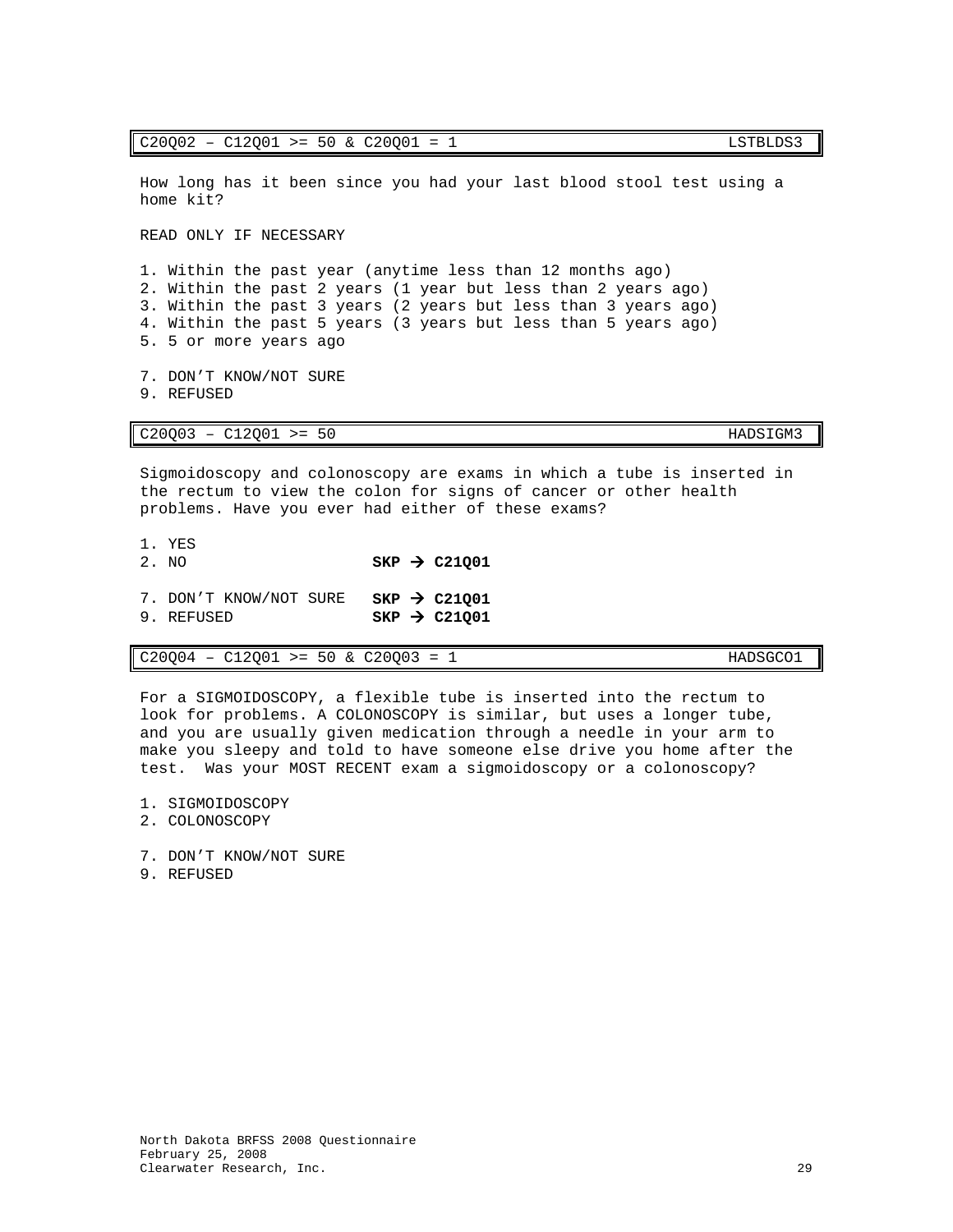$C20002 - C12001 \ge 50 \& C20001 = 1$  LSTBLDS3

How long has it been since you had your last blood stool test using a home kit?

READ ONLY IF NECESSARY

1. Within the past year (anytime less than 12 months ago) 2. Within the past 2 years (1 year but less than 2 years ago) 3. Within the past 3 years (2 years but less than 3 years ago) 4. Within the past 5 years (3 years but less than 5 years ago) 5. 5 or more years ago

7. DON'T KNOW/NOT SURE 9. REFUSED

C20Q03 – C12Q01 >= 50 HADSIGM3

Sigmoidoscopy and colonoscopy are exams in which a tube is inserted in the rectum to view the colon for signs of cancer or other health problems. Have you ever had either of these exams?

- 1. YES<br>2. NO  $SKP \rightarrow C21001$
- 7. DON'T KNOW/NOT SURE **SKP > C21Q01**<br>9. REFUSED **SKP > C21001**
- $SKP \rightarrow C21Q01$

 $C20Q04 - C12Q01 \geq 50 \& C20Q03 = 1$  HADSGCO1

For a SIGMOIDOSCOPY, a flexible tube is inserted into the rectum to look for problems. A COLONOSCOPY is similar, but uses a longer tube, and you are usually given medication through a needle in your arm to make you sleepy and told to have someone else drive you home after the test. Was your MOST RECENT exam a sigmoidoscopy or a colonoscopy?

- 1. SIGMOIDOSCOPY
- 2. COLONOSCOPY
- 7. DON'T KNOW/NOT SURE
- 9. REFUSED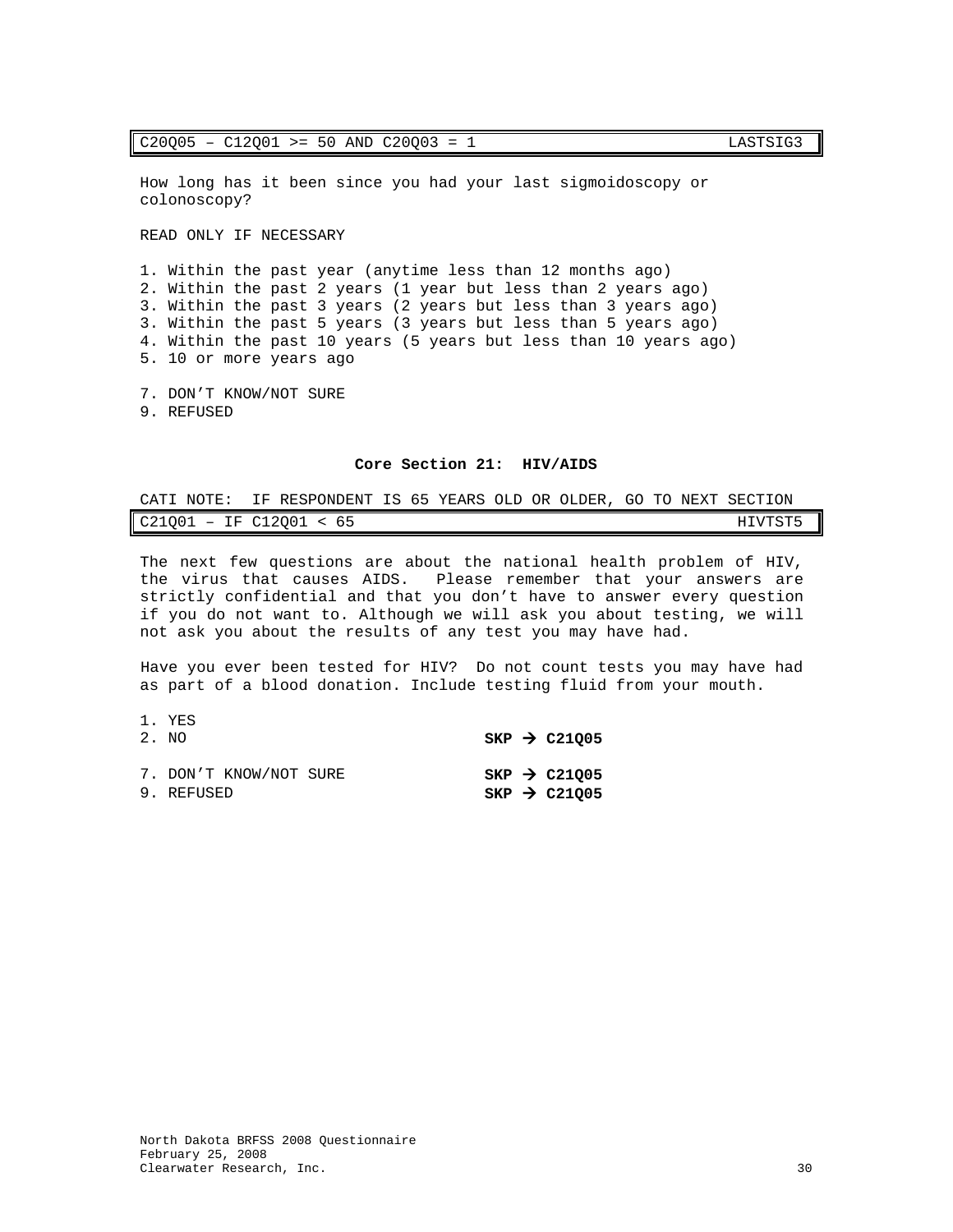How long has it been since you had your last sigmoidoscopy or colonoscopy?

READ ONLY IF NECESSARY

1. Within the past year (anytime less than 12 months ago) 2. Within the past 2 years (1 year but less than 2 years ago) 3. Within the past 3 years (2 years but less than 3 years ago) 3. Within the past 5 years (3 years but less than 5 years ago) 4. Within the past 10 years (5 years but less than 10 years ago) 5. 10 or more years ago

- 7. DON'T KNOW/NOT SURE
- 9. REFUSED

### **Core Section 21: HIV/AIDS**

<span id="page-31-0"></span>

| CATI NOTE: | IF RESPONDENT IS 65 YEARS OLD OR OLDER, GO TO NEXT SECTION |  |  |         |  |
|------------|------------------------------------------------------------|--|--|---------|--|
|            | $C21001$ – IF $C12001$ < 65                                |  |  | HIVTST5 |  |

The next few questions are about the national health problem of HIV,<br>the virus that causes AIDS. Please remember that your answers are Please remember that your answers are strictly confidential and that you don't have to answer every question if you do not want to. Although we will ask you about testing, we will not ask you about the results of any test you may have had.

Have you ever been tested for HIV? Do not count tests you may have had as part of a blood donation. Include testing fluid from your mouth.

| 1. YES<br>2. NO                      |  | $SKP$ $\rightarrow$ C21005                           |
|--------------------------------------|--|------------------------------------------------------|
| 7. DON'T KNOW/NOT SURE<br>9. REFUSED |  | SKP $\rightarrow$ C21005<br>SKP $\rightarrow$ C21005 |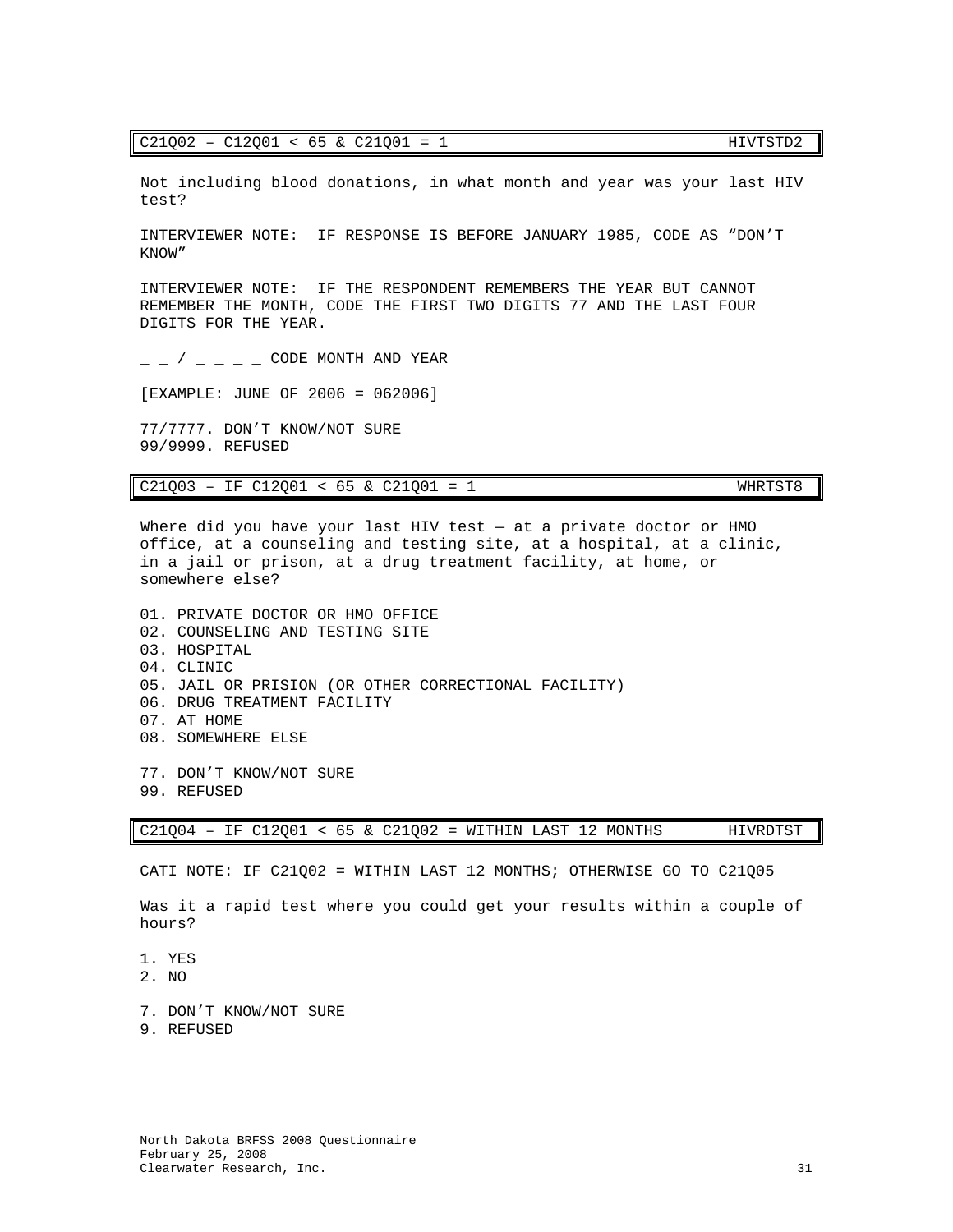| $C21002 - C12001 < 65$ & $C21001 = 1$ | HIVTSTD2 |
|---------------------------------------|----------|
|---------------------------------------|----------|

Not including blood donations, in what month and year was your last HIV test?

INTERVIEWER NOTE: IF RESPONSE IS BEFORE JANUARY 1985, CODE AS "DON'T KNOW"

INTERVIEWER NOTE: IF THE RESPONDENT REMEMBERS THE YEAR BUT CANNOT REMEMBER THE MONTH, CODE THE FIRST TWO DIGITS 77 AND THE LAST FOUR DIGITS FOR THE YEAR.

 $/$   $\subset$  CODE MONTH AND YEAR

[EXAMPLE: JUNE OF 2006 = 062006]

77/7777. DON'T KNOW/NOT SURE 99/9999. REFUSED

| $C21Q03 - IF C12Q01 < 65$ & $C21Q01 = 1$ |  |  |  |  |  |  |  | WHRTST8 |
|------------------------------------------|--|--|--|--|--|--|--|---------|
|------------------------------------------|--|--|--|--|--|--|--|---------|

Where did you have your last HIV test — at a private doctor or HMO office, at a counseling and testing site, at a hospital, at a clinic, in a jail or prison, at a drug treatment facility, at home, or somewhere else?

01. PRIVATE DOCTOR OR HMO OFFICE 02. COUNSELING AND TESTING SITE 03. HOSPITAL 04. CLINIC 05. JAIL OR PRISION (OR OTHER CORRECTIONAL FACILITY) 06. DRUG TREATMENT FACILITY 07. AT HOME 08. SOMEWHERE ELSE

77. DON'T KNOW/NOT SURE 99. REFUSED

C21Q04 – IF C12Q01 < 65 & C21Q02 = WITHIN LAST 12 MONTHS HIVRDTST

CATI NOTE: IF C21Q02 = WITHIN LAST 12 MONTHS; OTHERWISE GO TO C21Q05

Was it a rapid test where you could get your results within a couple of hours?

- 1. YES
- 2. NO
- 7. DON'T KNOW/NOT SURE
- 9. REFUSED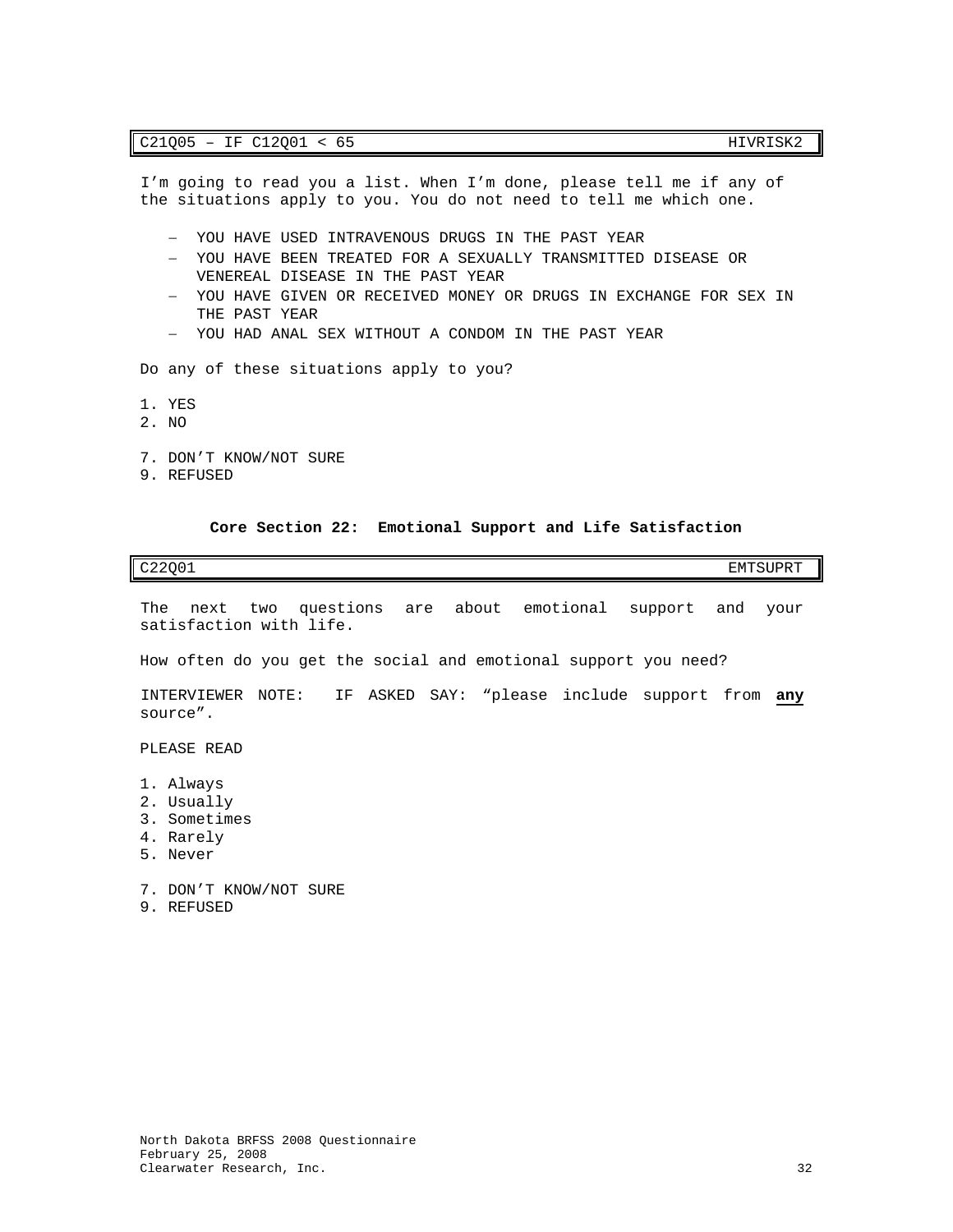I'm going to read you a list. When I'm done, please tell me if any of the situations apply to you. You do not need to tell me which one.

- − YOU HAVE USED INTRAVENOUS DRUGS IN THE PAST YEAR
- − YOU HAVE BEEN TREATED FOR A SEXUALLY TRANSMITTED DISEASE OR VENEREAL DISEASE IN THE PAST YEAR
- − YOU HAVE GIVEN OR RECEIVED MONEY OR DRUGS IN EXCHANGE FOR SEX IN THE PAST YEAR
- − YOU HAD ANAL SEX WITHOUT A CONDOM IN THE PAST YEAR

Do any of these situations apply to you?

- 1. YES
- 2. NO
- 7. DON'T KNOW/NOT SURE
- 9. REFUSED

### **Core Section 22: Emotional Support and Life Satisfaction**

<span id="page-33-0"></span>

| C22Q01 | EMTSUPRT<br>___ |
|--------|-----------------|
|        |                 |

The next two questions are about emotional support and your satisfaction with life.

How often do you get the social and emotional support you need?

INTERVIEWER NOTE: IF ASKED SAY: "please include support from **any** source".

PLEASE READ

- 1. Always
- 2. Usually
- 3. Sometimes
- 4. Rarely
- 5. Never

7. DON'T KNOW/NOT SURE

9. REFUSED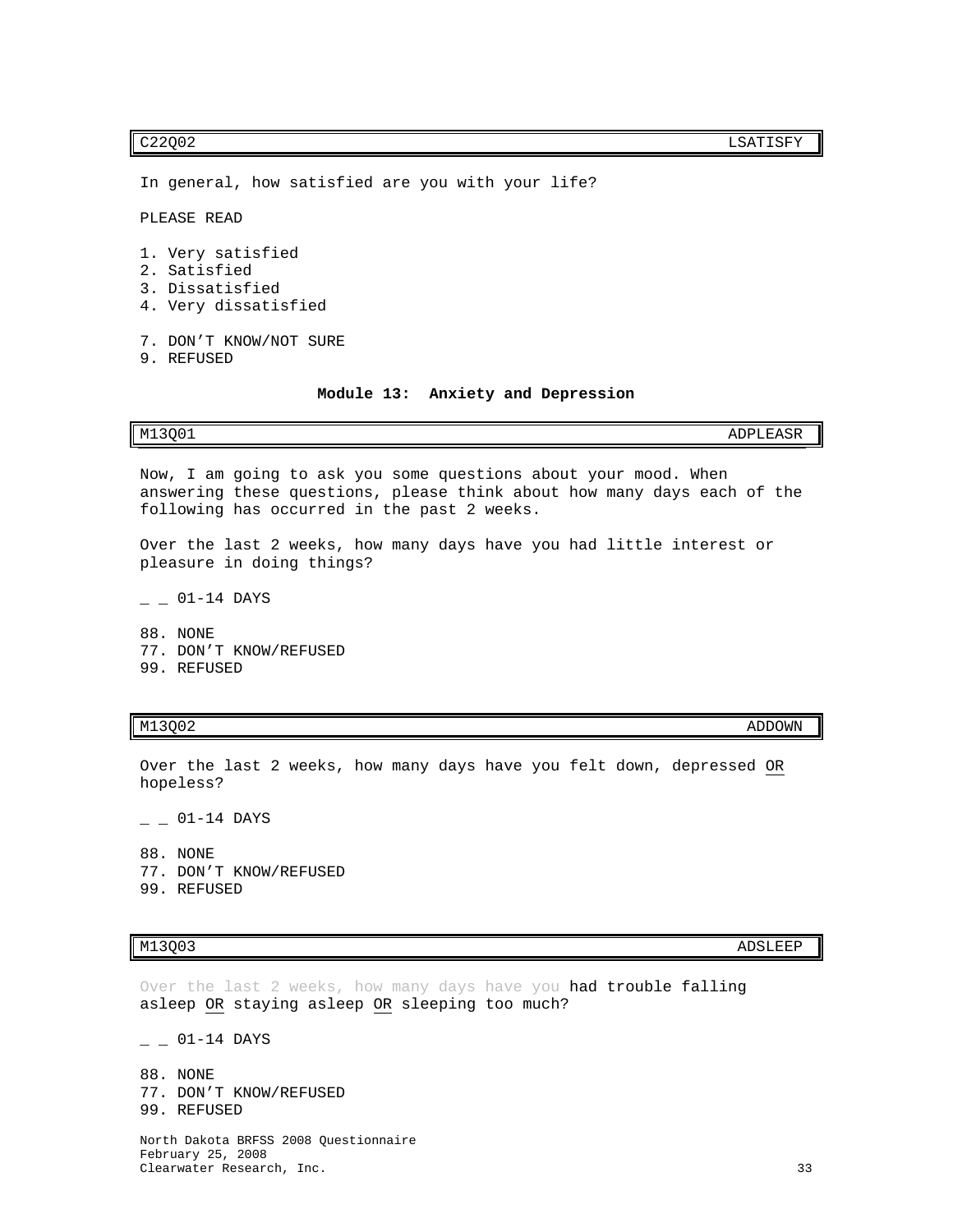C22Q02 LSATISFY

In general, how satisfied are you with your life?

following has occurred in the past 2 weeks.

PLEASE READ

1. Very satisfied

- 2. Satisfied
- 3. Dissatisfied
- 4. Very dissatisfied
- 7. DON'T KNOW/NOT SURE
- <span id="page-34-0"></span>9. REFUSED

### **Module 13: Anxiety and Depression**

|  |  |  |  | Now, I am going to ask you some questions about your mood. When         |  |  |  |  |  |
|--|--|--|--|-------------------------------------------------------------------------|--|--|--|--|--|
|  |  |  |  | answering these questions, please think about how many days each of the |  |  |  |  |  |

M13Q01 ADPLEASR

Over the last 2 weeks, how many days have you had little interest or pleasure in doing things?

 $-$  01-14 DAYS

88. NONE 77. DON'T KNOW/REFUSED 99. REFUSED

# M13Q02 ADDOWN AND A DISPONSIVE CONTRACT ON A SERVE CONTRACT OF A SERVE CONTRACT OF A SERVE CONTRACT OF A SERVE

Over the last 2 weeks, how many days have you felt down, depressed OR hopeless?

 $-$  01-14 DAYS

88. NONE 77. DON'T KNOW/REFUSED 99. REFUSED

Over the last 2 weeks, how many days have you had trouble falling asleep OR staying asleep OR sleeping too much?

 $-$  01-14 DAYS

88. NONE 77. DON'T KNOW/REFUSED 99. REFUSED

North Dakota BRFSS 2008 Questionnaire February 25, 2008 Clearwater Research, Inc. 33

M13Q03 ADSLEEP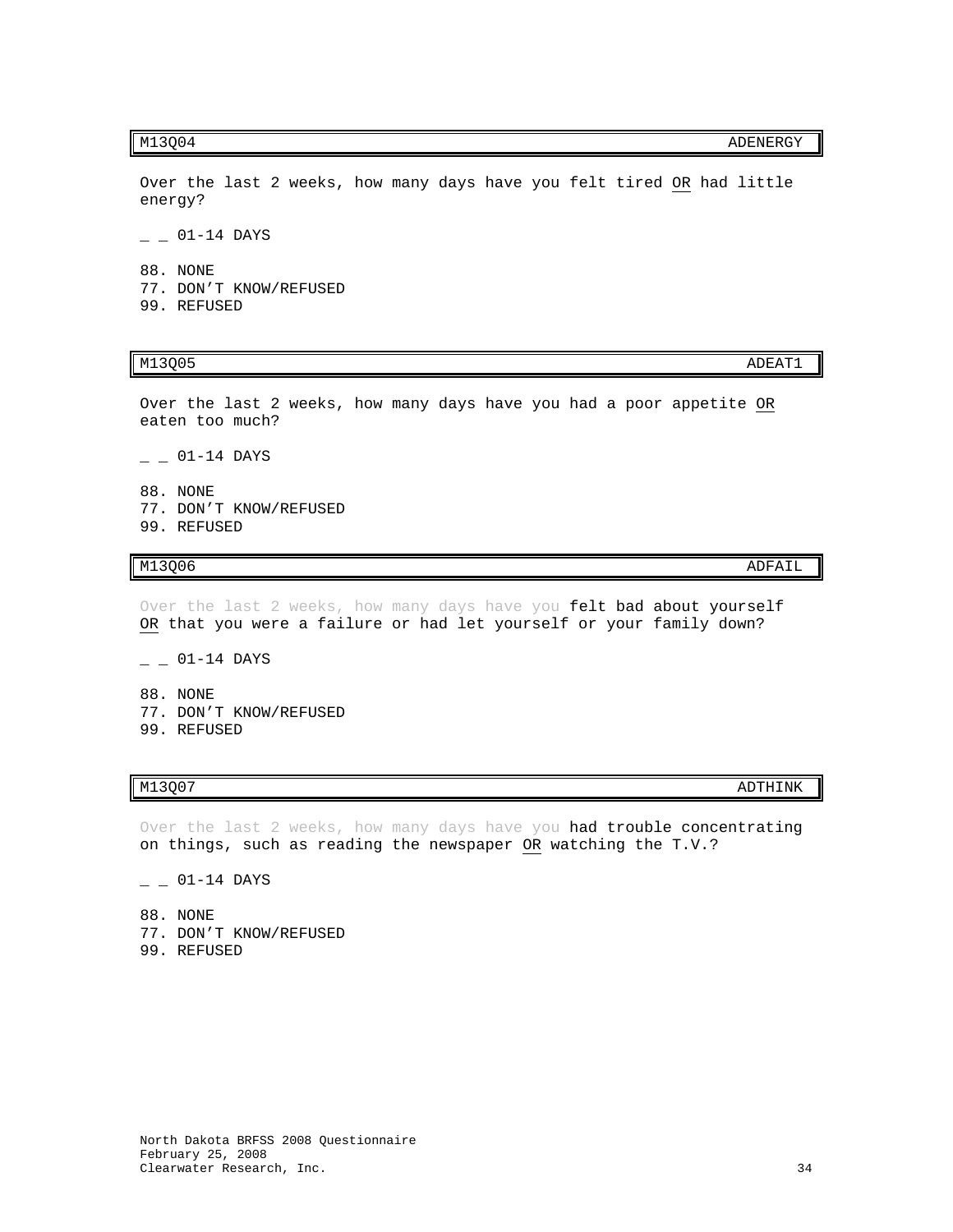Over the last 2 weeks, how many days have you felt tired OR had little energy?

 $- 01 - 14$  DAYS

88. NONE 77. DON'T KNOW/REFUSED 99. REFUSED

Over the last 2 weeks, how many days have you had a poor appetite OR eaten too much?

 $-$  01-14 DAYS

- 88. NONE
- 77. DON'T KNOW/REFUSED 99. REFUSED

Over the last 2 weeks, how many days have you felt bad about yourself OR that you were a failure or had let yourself or your family down?

- $01 14$  DAYS
- 88. NONE 77. DON'T KNOW/REFUSED 99. REFUSED

Over the last 2 weeks, how many days have you had trouble concentrating on things, such as reading the newspaper OR watching the T.V.?

 $-$  01-14 DAYS

88. NONE 77. DON'T KNOW/REFUSED 99. REFUSED

M13Q06 ADFAIL AND ADFAIL AND A SUITE AND A SUITE AND ANN ANN ANN AN ADFAIL ANN ANN AN ADFAIL ANN ANN AN ANN AN

M13Q07 ADTHINK

# M13Q05 ADEAT1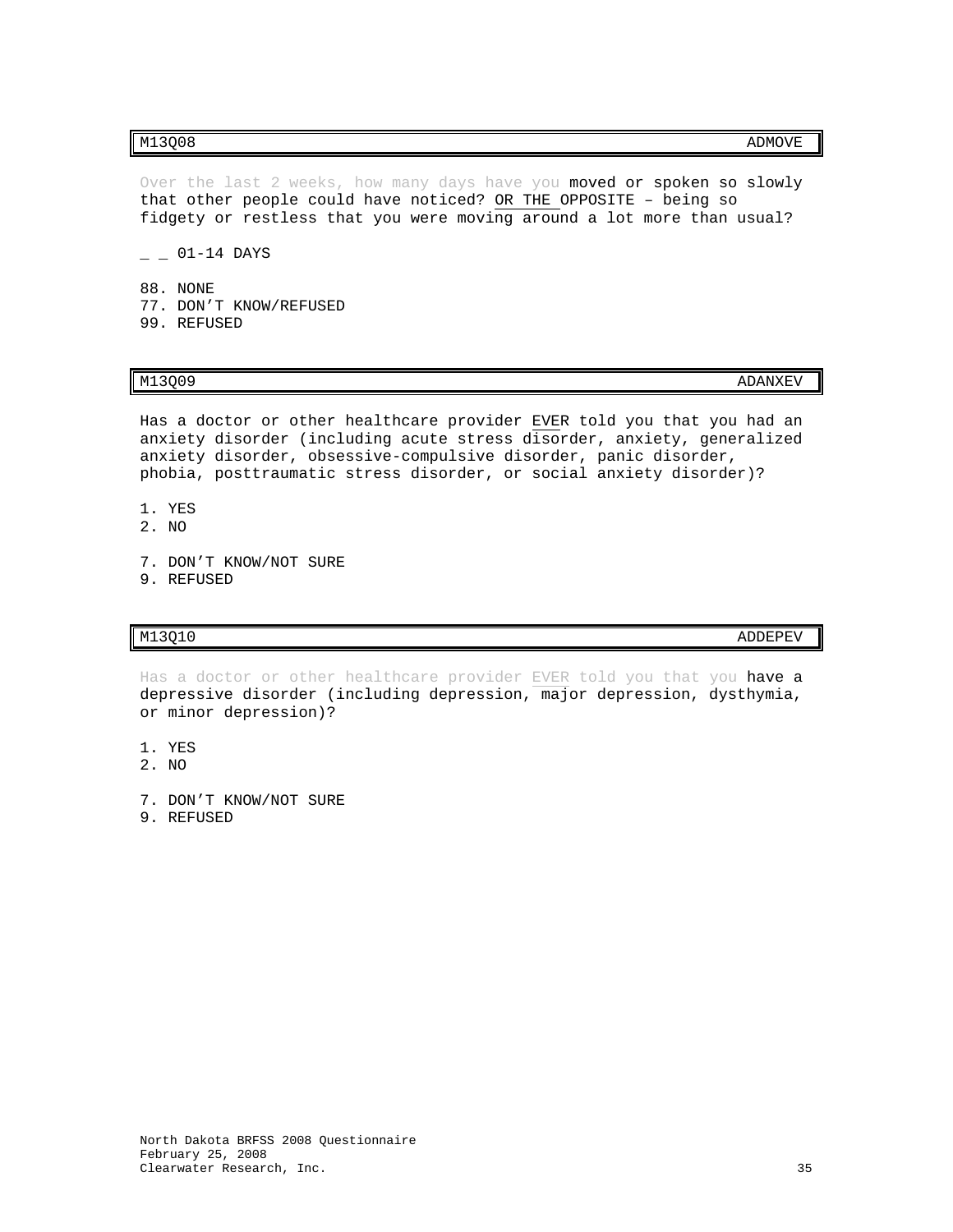Over the last 2 weeks, how many days have you moved or spoken so slowly that other people could have noticed? OR THE OPPOSITE – being so fidgety or restless that you were moving around a lot more than usual?

 $-$  01-14 DAYS

88. NONE 77. DON'T KNOW/REFUSED 99. REFUSED

M13Q09 ADANXEV

Has a doctor or other healthcare provider EVER told you that you had an anxiety disorder (including acute stress disorder, anxiety, generalized anxiety disorder, obsessive-compulsive disorder, panic disorder, phobia, posttraumatic stress disorder, or social anxiety disorder)?

- 1. YES
- 2. NO
- 7. DON'T KNOW/NOT SURE
- 9. REFUSED

# $M13Q10$  and  $M13Q10$

Has a doctor or other healthcare provider EVER told you that you have a depressive disorder (including depression, major depression, dysthymia, or minor depression)?

- 1. YES
- 2. NO
- 7. DON'T KNOW/NOT SURE
- 9. REFUSED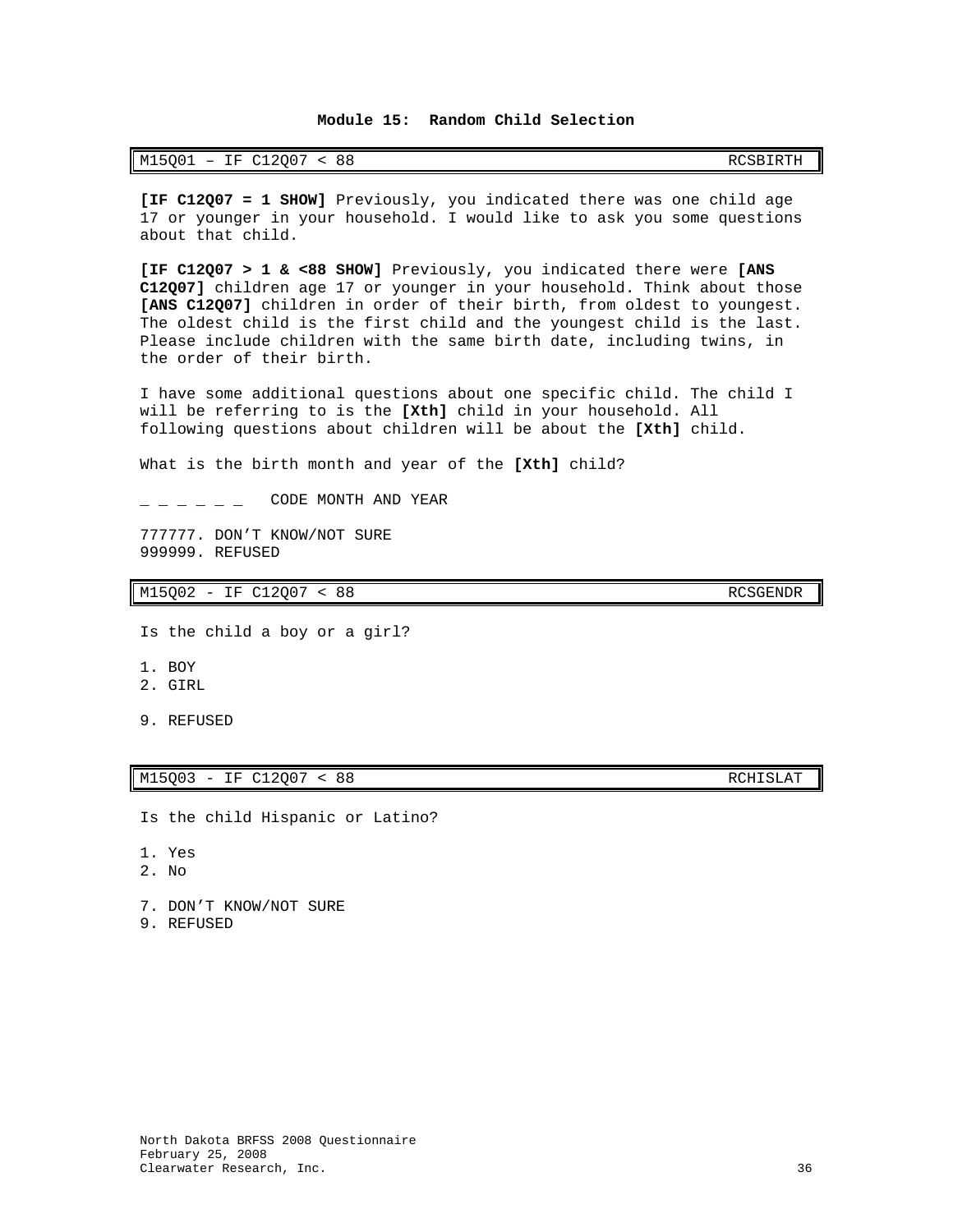# <span id="page-37-0"></span>M15Q01 – IF C12Q07 < 88 RCSBIRTH

**[IF C12Q07 = 1 SHOW]** Previously, you indicated there was one child age 17 or younger in your household. I would like to ask you some questions about that child.

**[IF C12Q07 > 1 & <88 SHOW]** Previously, you indicated there were **[ANS C12Q07]** children age 17 or younger in your household. Think about those **[ANS C12Q07]** children in order of their birth, from oldest to youngest. The oldest child is the first child and the youngest child is the last. Please include children with the same birth date, including twins, in the order of their birth.

I have some additional questions about one specific child. The child I will be referring to is the **[Xth]** child in your household. All following questions about children will be about the **[Xth]** child.

What is the birth month and year of the **[Xth]** child?

 $\degree$  CODE MONTH AND YEAR

777777. DON'T KNOW/NOT SURE 999999. REFUSED

M15Q02 - IF C12Q07 < 88 RCSGENDR

Is the child a boy or a girl?

- 1. BOY
- 2. GIRL
- 9. REFUSED

### M15Q03 - IF C12Q07 < 88 RCHISLAT

Is the child Hispanic or Latino?

- 1. Yes
- 2. No

7. DON'T KNOW/NOT SURE

9. REFUSED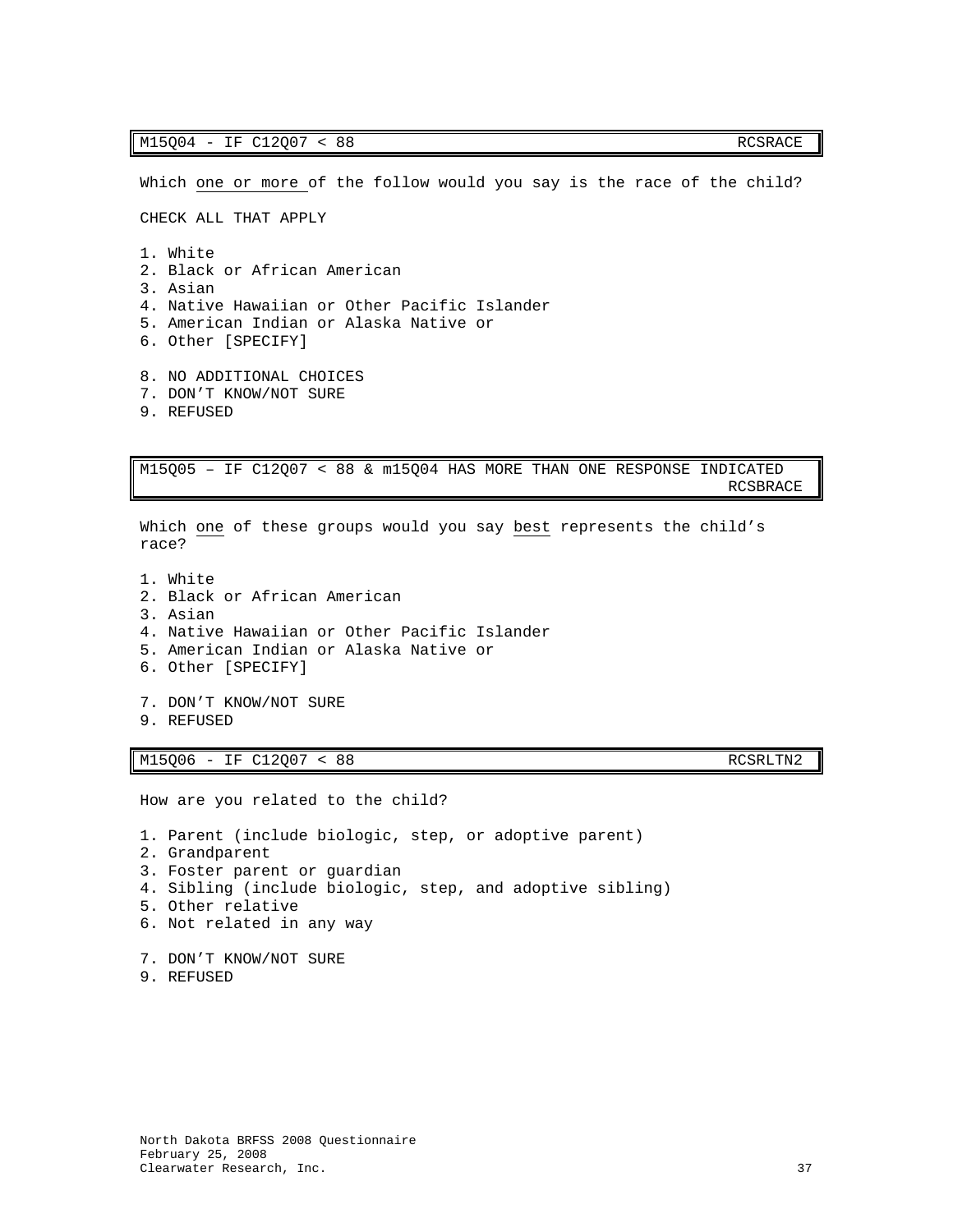Which one or more of the follow would you say is the race of the child? CHECK ALL THAT APPLY 1. White 2. Black or African American 3. Asian 4. Native Hawaiian or Other Pacific Islander 5. American Indian or Alaska Native or 6. Other [SPECIFY] 8. NO ADDITIONAL CHOICES 7. DON'T KNOW/NOT SURE 9. REFUSED M15Q05 – IF C12Q07 < 88 & m15Q04 HAS MORE THAN ONE RESPONSE INDICATED RCSBRACE Which one of these groups would you say best represents the child's race? 1. White 2. Black or African American

- 3. Asian 4. Native Hawaiian or Other Pacific Islander 5. American Indian or Alaska Native or 6. Other [SPECIFY] 7. DON'T KNOW/NOT SURE
- 9. REFUSED

M15Q06 - IF C12Q07 < 88 RCSRLTN2

How are you related to the child?

1. Parent (include biologic, step, or adoptive parent) 2. Grandparent 3. Foster parent or guardian 4. Sibling (include biologic, step, and adoptive sibling) 5. Other relative 6. Not related in any way 7. DON'T KNOW/NOT SURE 9. REFUSED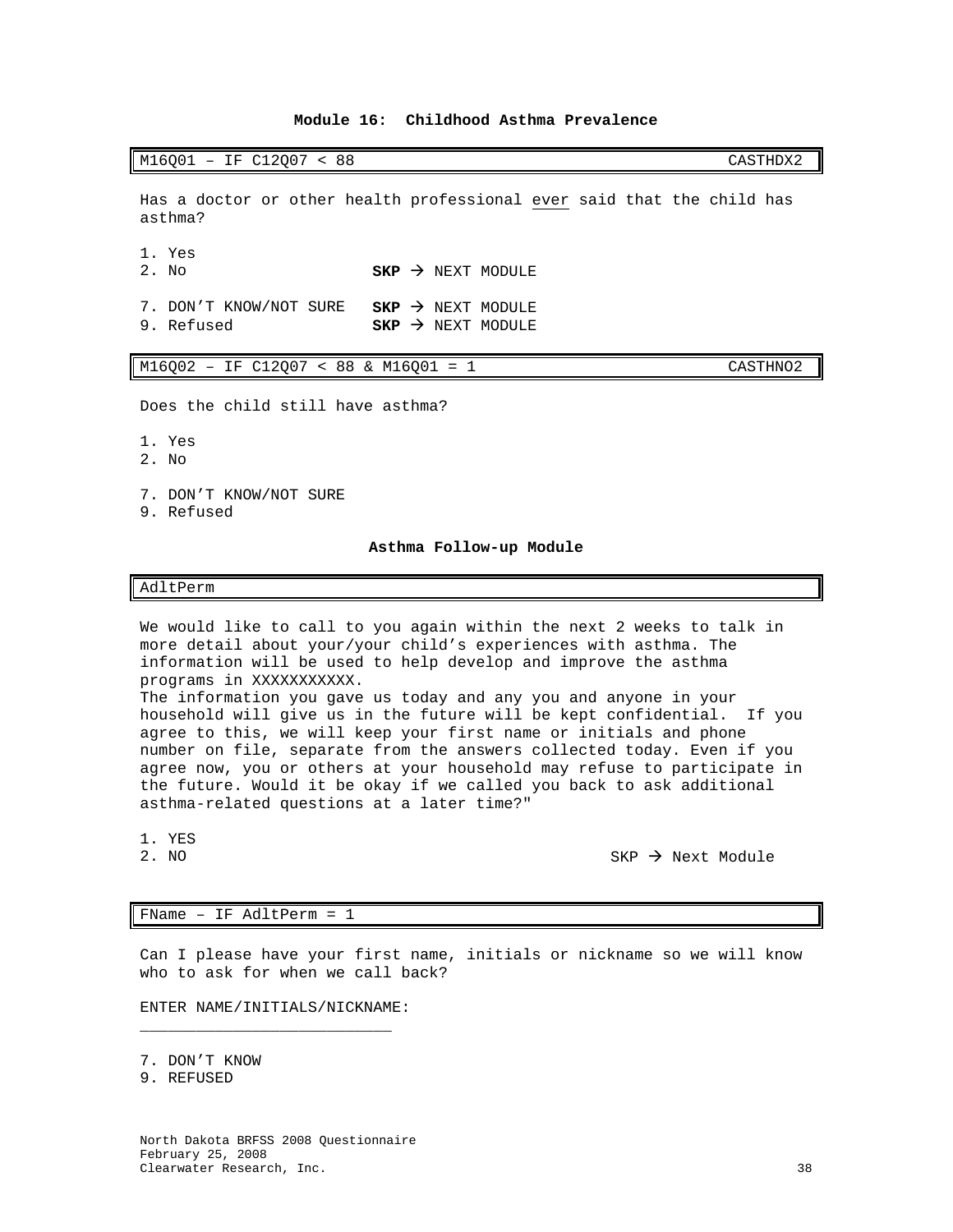# **Module 16: Childhood Asthma Prevalence**

<span id="page-39-0"></span>M16Q01 – IF C12Q07 < 88 CASTHDX2

Has a doctor or other health professional ever said that the child has asthma?

1. Yes

 $SKP$   $\rightarrow$  NEXT MODULE

7. DON'T KNOW/NOT SURE **SKP** > NEXT MODULE<br>9. Refused **SKP** > NEXT MODULE  $s$  $\mathbf{KP}$   $\rightarrow$  NEXT MODULE

| $M16Q02 - IF C12Q07 < 88$ & $M16Q01 = 1$ |  |  |  |  |  |  |  |  | CASTHN02 |
|------------------------------------------|--|--|--|--|--|--|--|--|----------|
|------------------------------------------|--|--|--|--|--|--|--|--|----------|

Does the child still have asthma?

- 1. Yes
- 2. No
- 7. DON'T KNOW/NOT SURE
- <span id="page-39-1"></span>9. Refused

### **Asthma Follow-up Module**

## AdltPerm

We would like to call to you again within the next 2 weeks to talk in more detail about your/your child's experiences with asthma. The information will be used to help develop and improve the asthma programs in XXXXXXXXXXX. The information you gave us today and any you and anyone in your household will give us in the future will be kept confidential. If you agree to this, we will keep your first name or initials and phone number on file, separate from the answers collected today. Even if you agree now, you or others at your household may refuse to participate in the future. Would it be okay if we called you back to ask additional asthma-related questions at a later time?"

1. YES<br>2. NO

 $SKP \rightarrow Next$  Module

### FName – IF AdltPerm = 1

Can I please have your first name, initials or nickname so we will know who to ask for when we call back?

ENTER NAME/INITIALS/NICKNAME: \_\_\_\_\_\_\_\_\_\_\_\_\_\_\_\_\_\_\_\_\_\_\_\_\_\_\_

7. DON'T KNOW

9. REFUSED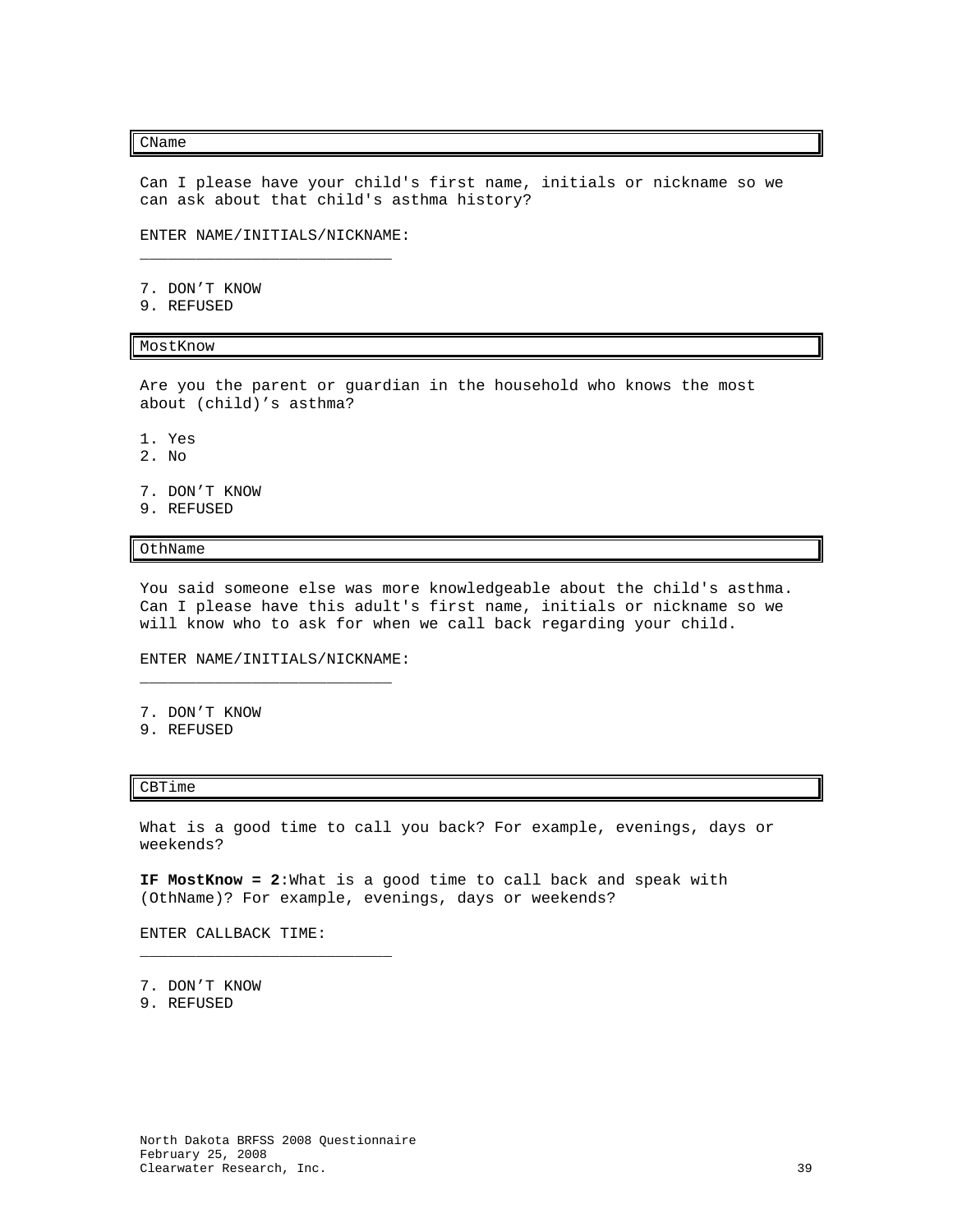### CName

Can I please have your child's first name, initials or nickname so we can ask about that child's asthma history?

ENTER NAME/INITIALS/NICKNAME: \_\_\_\_\_\_\_\_\_\_\_\_\_\_\_\_\_\_\_\_\_\_\_\_\_\_\_

7. DON'T KNOW

9. REFUSED

### MostKnow

Are you the parent or guardian in the household who knows the most about (child)'s asthma?

- 1. Yes
- 2. No
- 7. DON'T KNOW
- 9. REFUSED

OthName

You said someone else was more knowledgeable about the child's asthma. Can I please have this adult's first name, initials or nickname so we will know who to ask for when we call back regarding your child.

# ENTER NAME/INITIALS/NICKNAME: \_\_\_\_\_\_\_\_\_\_\_\_\_\_\_\_\_\_\_\_\_\_\_\_\_\_\_

- 7. DON'T KNOW
- 9. REFUSED

### CBTime

What is a good time to call you back? For example, evenings, days or weekends?

**IF MostKnow = 2**:What is a good time to call back and speak with (OthName)? For example, evenings, days or weekends?

ENTER CALLBACK TIME:

\_\_\_\_\_\_\_\_\_\_\_\_\_\_\_\_\_\_\_\_\_\_\_\_\_\_\_

7. DON'T KNOW

9. REFUSED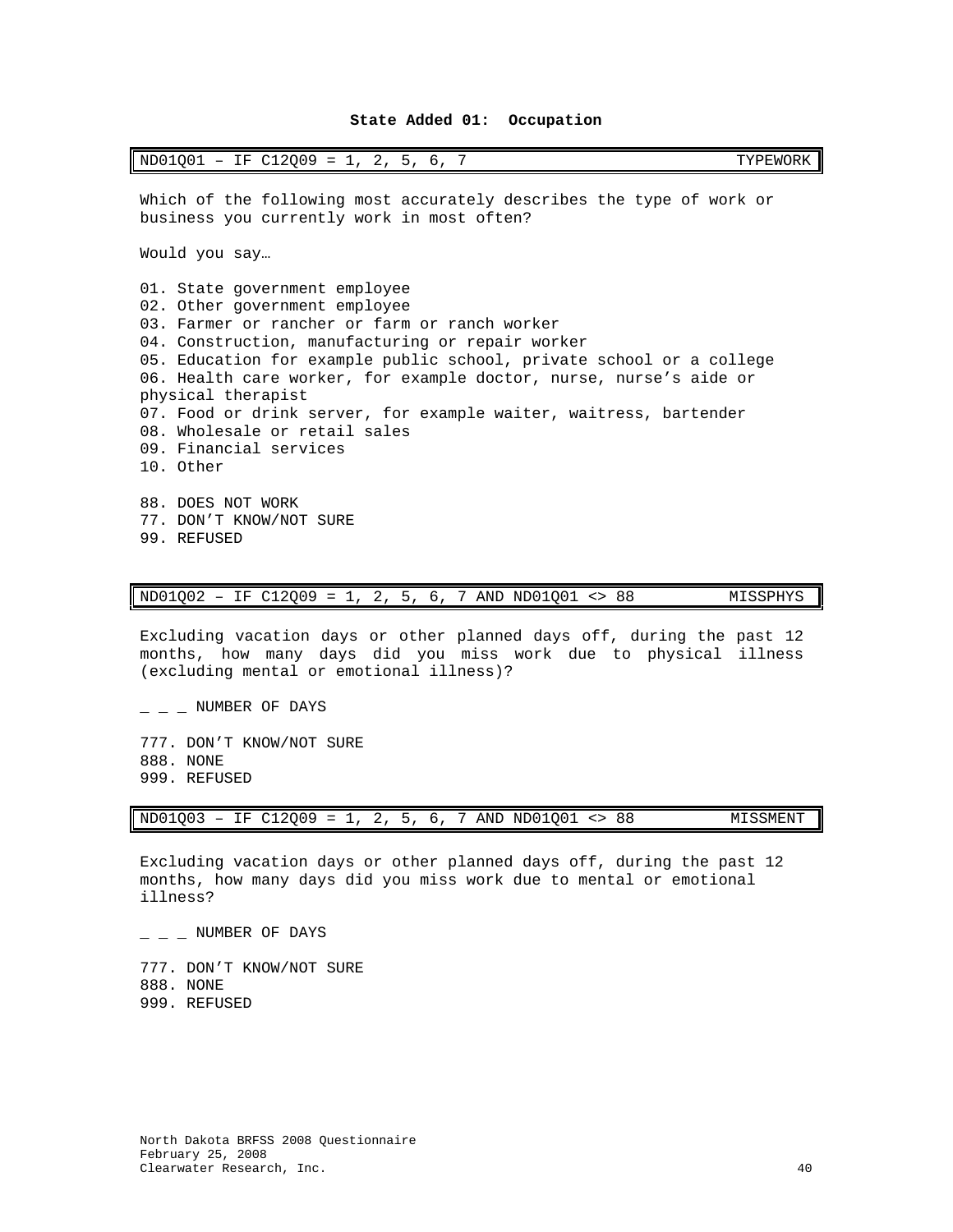| $ND01Q01 - IF C12Q09 = 1, 2, 5, 6, 7$<br>TYPEWORK                                                                                                                                                                                                                                                                                                                                                                                                                                    |
|--------------------------------------------------------------------------------------------------------------------------------------------------------------------------------------------------------------------------------------------------------------------------------------------------------------------------------------------------------------------------------------------------------------------------------------------------------------------------------------|
| Which of the following most accurately describes the type of work or<br>business you currently work in most often?                                                                                                                                                                                                                                                                                                                                                                   |
| Would you say                                                                                                                                                                                                                                                                                                                                                                                                                                                                        |
| 01. State government employee<br>02. Other government employee<br>03. Farmer or rancher or farm or ranch worker<br>04. Construction, manufacturing or repair worker<br>05. Education for example public school, private school or a college<br>06. Health care worker, for example doctor, nurse, nurse's aide or<br>physical therapist<br>07. Food or drink server, for example waiter, waitress, bartender<br>08. Wholesale or retail sales<br>09. Financial services<br>10. Other |
| 88. DOES NOT WORK<br>77. DON'T KNOW/NOT SURE<br>99. REFUSED                                                                                                                                                                                                                                                                                                                                                                                                                          |

ND01Q02 – IF C12Q09 = 1, 2, 5, 6, 7 AND ND01Q01 <> 88 MISSPHYS

Excluding vacation days or other planned days off, during the past 12 months, how many days did you miss work due to physical illness (excluding mental or emotional illness)?

 $-$  NUMBER OF DAYS

<span id="page-41-0"></span>F

777. DON'T KNOW/NOT SURE 888. NONE 999. REFUSED

| $ND01Q03 - IF C12Q09 = 1, 2, 5, 6, 7 AND NDO1Q01 < 88$ |  |  |  |  |  |  |  |  |  |  |  |  | MISSMENT |
|--------------------------------------------------------|--|--|--|--|--|--|--|--|--|--|--|--|----------|
|--------------------------------------------------------|--|--|--|--|--|--|--|--|--|--|--|--|----------|

Excluding vacation days or other planned days off, during the past 12 months, how many days did you miss work due to mental or emotional illness?

 $-$  NUMBER OF DAYS

777. DON'T KNOW/NOT SURE 888. NONE 999. REFUSED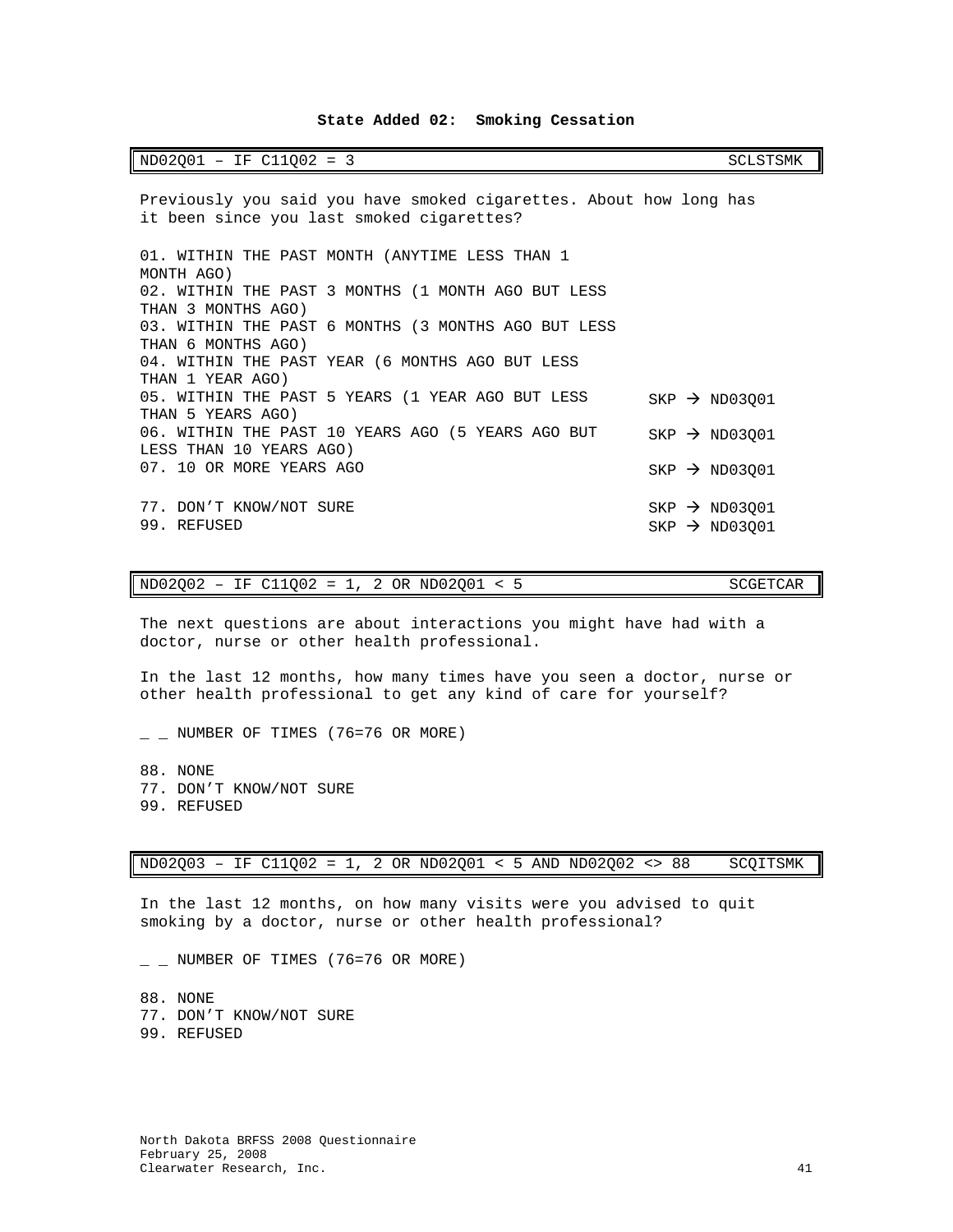## **State Added 02: Smoking Cessation**

### <span id="page-42-0"></span>ND02Q01 - IF C11Q02 = 3 SCLSTSMK

Previously you said you have smoked cigarettes. About how long has it been since you last smoked cigarettes? 01. WITHIN THE PAST MONTH (ANYTIME LESS THAN 1 MONTH AGO) 02. WITHIN THE PAST 3 MONTHS (1 MONTH AGO BUT LESS THAN 3 MONTHS AGO) 03. WITHIN THE PAST 6 MONTHS (3 MONTHS AGO BUT LESS THAN 6 MONTHS AGO) 04. WITHIN THE PAST YEAR (6 MONTHS AGO BUT LESS THAN 1 YEAR AGO) 05. WITHIN THE PAST 5 YEARS (1 YEAR AGO BUT LESS THAN 5 YEARS AGO)  $SKP \rightarrow ND03001$ 06. WITHIN THE PAST 10 YEARS AGO (5 YEARS AGO BUT  $_{\rm SKP}\rightarrow$  ND03Q01 LESS THAN 10 YEARS AGO) 07. 10 OR MORE YEARS AGO  $SKP \rightarrow NDO3Q01$ 77. DON'T KNOW/NOT SURE  $SKP \rightarrow ND03Q01$ <br>
99. REFUSED SKP  $\rightarrow ND03001$  $SKP \rightarrow ND03Q01$ 

### $ND02Q02 - IF C11Q02 = 1, 2 OR ND02Q01 < 5$  SCGETCAR

The next questions are about interactions you might have had with a doctor, nurse or other health professional.

In the last 12 months, how many times have you seen a doctor, nurse or other health professional to get any kind of care for yourself?

 $\_$  NUMBER OF TIMES (76=76 OR MORE)

88. NONE 77. DON'T KNOW/NOT SURE 99. REFUSED

ND02Q03 – IF C11Q02 = 1, 2 OR ND02Q01 < 5 AND ND02Q02 <> 88 SCQITSMK

In the last 12 months, on how many visits were you advised to quit smoking by a doctor, nurse or other health professional?

 $\_$  NUMBER OF TIMES (76=76 OR MORE)

88. NONE 77. DON'T KNOW/NOT SURE 99. REFUSED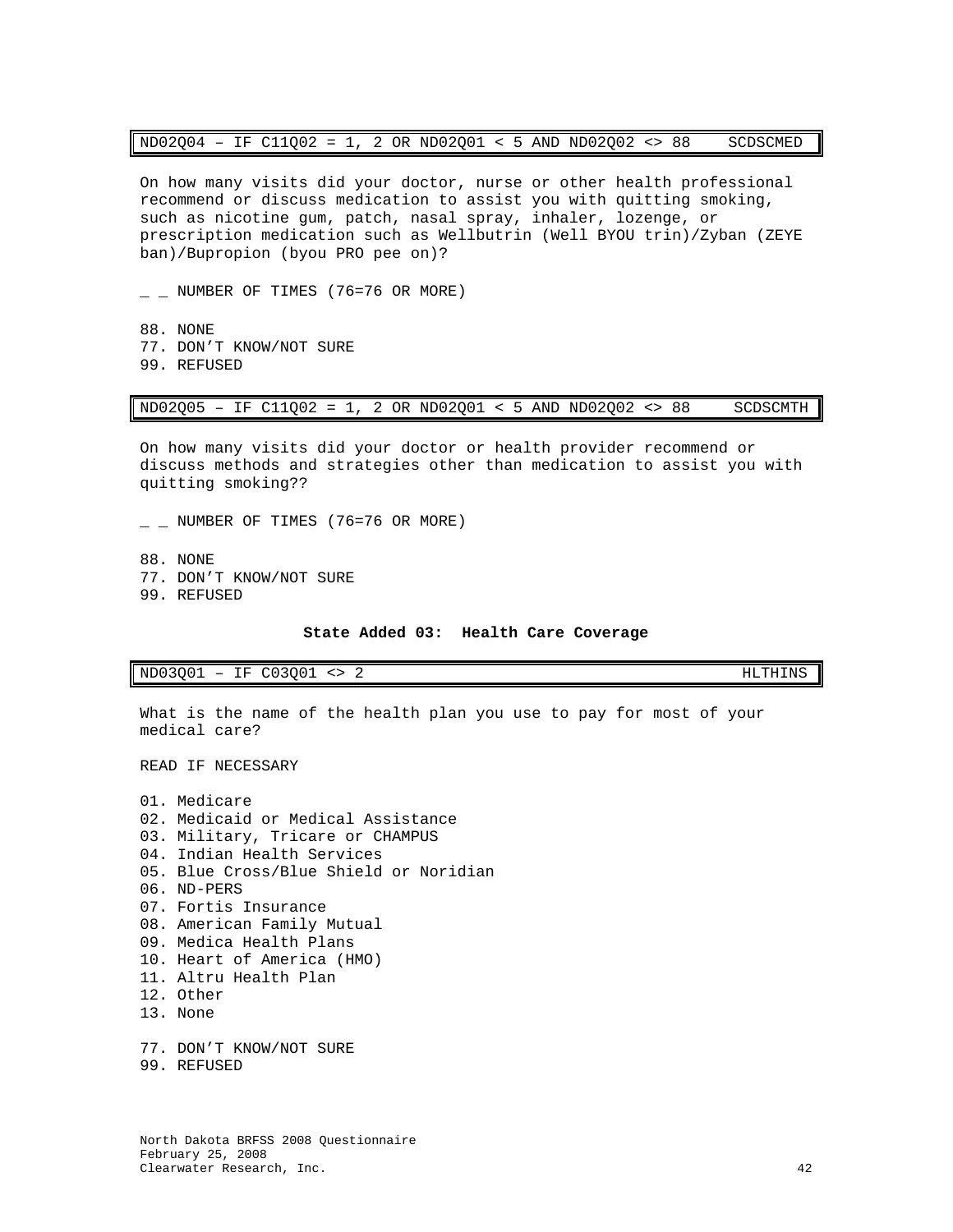| $ND02Q04 - IF C11Q02 = 1, 2 OR ND02Q01 < 5 AND ND02Q02 < 88$ |  |  |  |  |  |  |  |  |  |  |  |  |  | SCDSCMED |
|--------------------------------------------------------------|--|--|--|--|--|--|--|--|--|--|--|--|--|----------|
|--------------------------------------------------------------|--|--|--|--|--|--|--|--|--|--|--|--|--|----------|

On how many visits did your doctor, nurse or other health professional recommend or discuss medication to assist you with quitting smoking, such as nicotine gum, patch, nasal spray, inhaler, lozenge, or prescription medication such as Wellbutrin (Well BYOU trin)/Zyban (ZEYE ban)/Bupropion (byou PRO pee on)?

 $\_$  NUMBER OF TIMES (76=76 OR MORE)

88. NONE 77. DON'T KNOW/NOT SURE 99. REFUSED

ND02Q05 – IF C11Q02 = 1, 2 OR ND02Q01 < 5 AND ND02Q02 <> 88 SCDSCMTH

On how many visits did your doctor or health provider recommend or discuss methods and strategies other than medication to assist you with quitting smoking??

 $\_$  NUMBER OF TIMES (76=76 OR MORE)

88. NONE 77. DON'T KNOW/NOT SURE 99. REFUSED

### **State Added 03: Health Care Coverage**

<span id="page-43-0"></span>ND03Q01 - IF C03Q01 <> 2 HLTHINS

What is the name of the health plan you use to pay for most of your medical care?

READ IF NECESSARY

- 01. Medicare 02. Medicaid or Medical Assistance 03. Military, Tricare or CHAMPUS 04. Indian Health Services 05. Blue Cross/Blue Shield or Noridian 06. ND-PERS 07. Fortis Insurance 08. American Family Mutual 09. Medica Health Plans 10. Heart of America (HMO) 11. Altru Health Plan 12. Other 13. None 77. DON'T KNOW/NOT SURE
- 99. REFUSED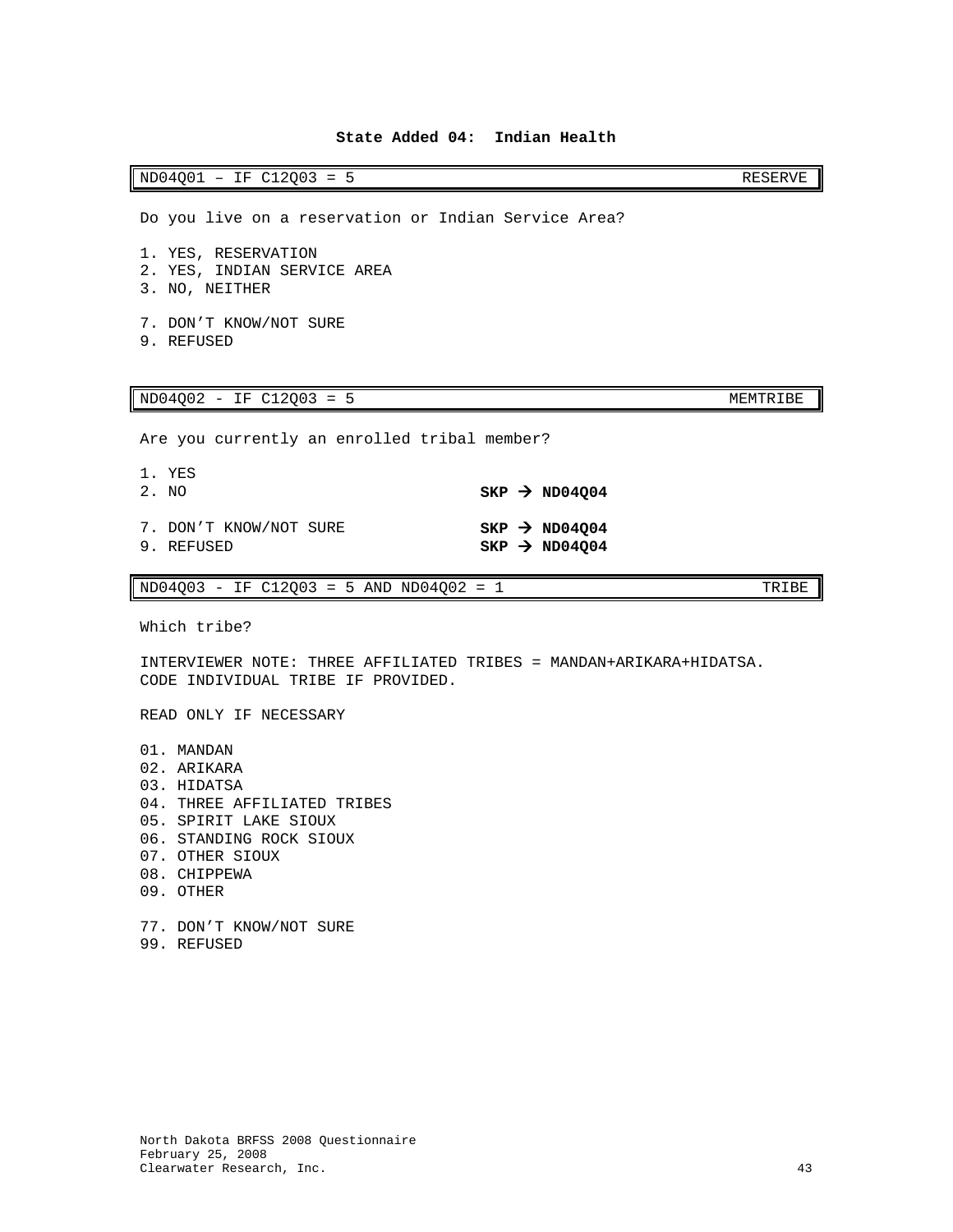# **State Added 04: Indian Health**

<span id="page-44-0"></span>ND04Q01 - IF C12Q03 = 5 RESERVE

Do you live on a reservation or Indian Service Area?

1. YES, RESERVATION

- 2. YES, INDIAN SERVICE AREA
- 3. NO, NEITHER
- 7. DON'T KNOW/NOT SURE
- 9. REFUSED

### ND04Q02 - IF C12Q03 = 5 MEMTRIBE

Are you currently an enrolled tribal member?

| 1. YES<br>2. NO                      |  | $SKP \rightarrow ND04004$                              |
|--------------------------------------|--|--------------------------------------------------------|
| 7. DON'T KNOW/NOT SURE<br>9. REFUSED |  | $SKP \rightarrow ND04004$<br>$SKP \rightarrow ND04004$ |

 $ND04Q03 - IF C12Q03 = 5 AND ND04Q02 = 1$  TRIBE

Which tribe?

INTERVIEWER NOTE: THREE AFFILIATED TRIBES = MANDAN+ARIKARA+HIDATSA. CODE INDIVIDUAL TRIBE IF PROVIDED.

READ ONLY IF NECESSARY

- 01. MANDAN 02. ARIKARA 03. HIDATSA 04. THREE AFFILIATED TRIBES 05. SPIRIT LAKE SIOUX 06. STANDING ROCK SIOUX 07. OTHER SIOUX 08. CHIPPEWA 09. OTHER 77. DON'T KNOW/NOT SURE
- 99. REFUSED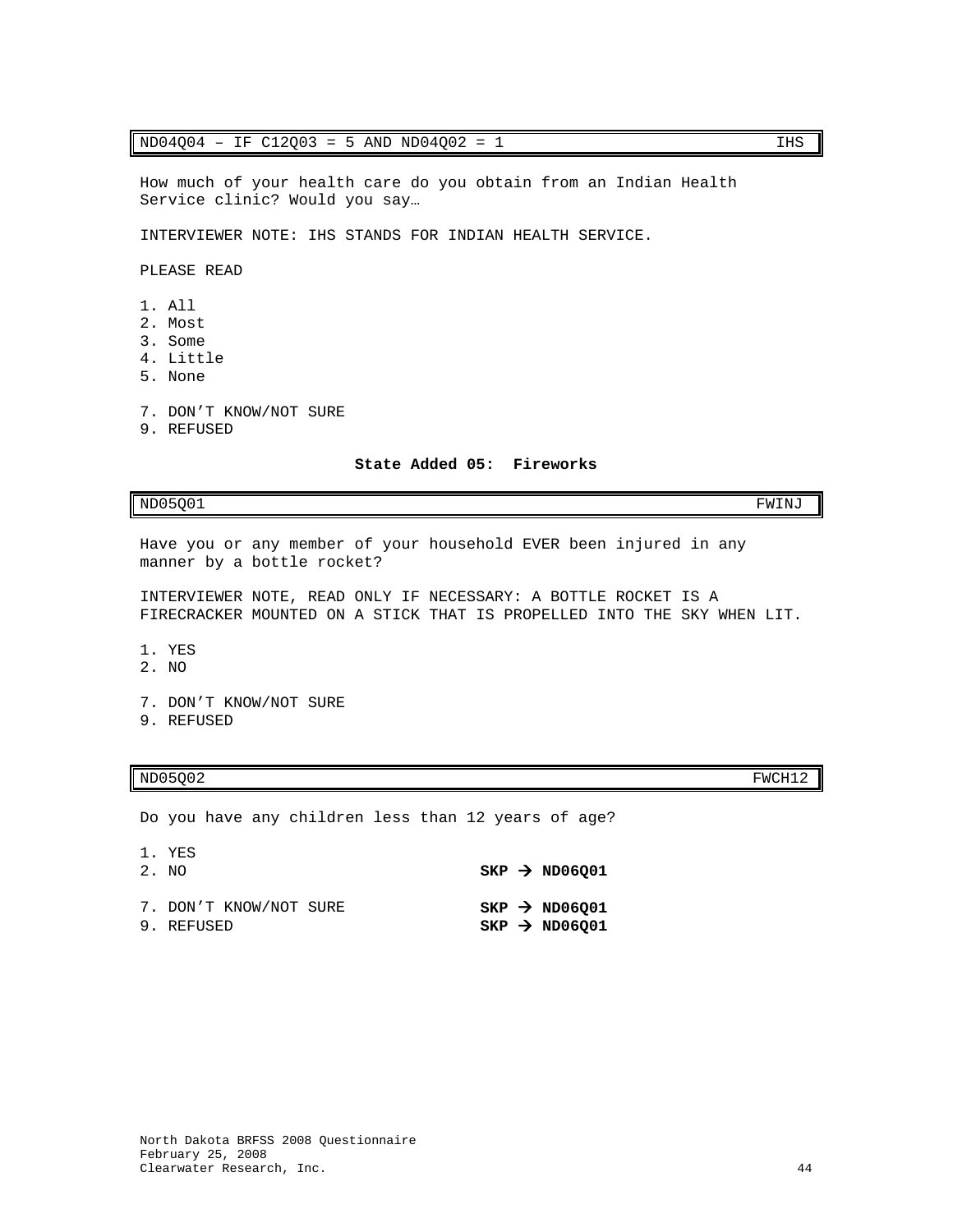### $ND04Q04 - IF C12Q03 = 5 AND ND04Q02 = 1$  IHS

How much of your health care do you obtain from an Indian Health Service clinic? Would you say…

INTERVIEWER NOTE: IHS STANDS FOR INDIAN HEALTH SERVICE.

PLEASE READ

- 1. All
- 2. Most
- 3. Some
- 4. Little
- 5. None
- 7. DON'T KNOW/NOT SURE
- <span id="page-45-0"></span>9. REFUSED

### **State Added 05: Fireworks**

 $NDO5Q01$  FWINJ

Have you or any member of your household EVER been injured in any manner by a bottle rocket?

INTERVIEWER NOTE, READ ONLY IF NECESSARY: A BOTTLE ROCKET IS A FIRECRACKER MOUNTED ON A STICK THAT IS PROPELLED INTO THE SKY WHEN LIT.

- 1. YES
- 2. NO

7. DON'T KNOW/NOT SURE

9. REFUSED

# $ND05Q02$  FWCH12

Do you have any children less than 12 years of age?

| 1. YES<br>2. NO                      |  | $SKP \rightarrow ND06001$                              |
|--------------------------------------|--|--------------------------------------------------------|
| 7. DON'T KNOW/NOT SURE<br>9. REFUSED |  | $SKP \rightarrow ND06Q01$<br>$SKP \rightarrow ND06Q01$ |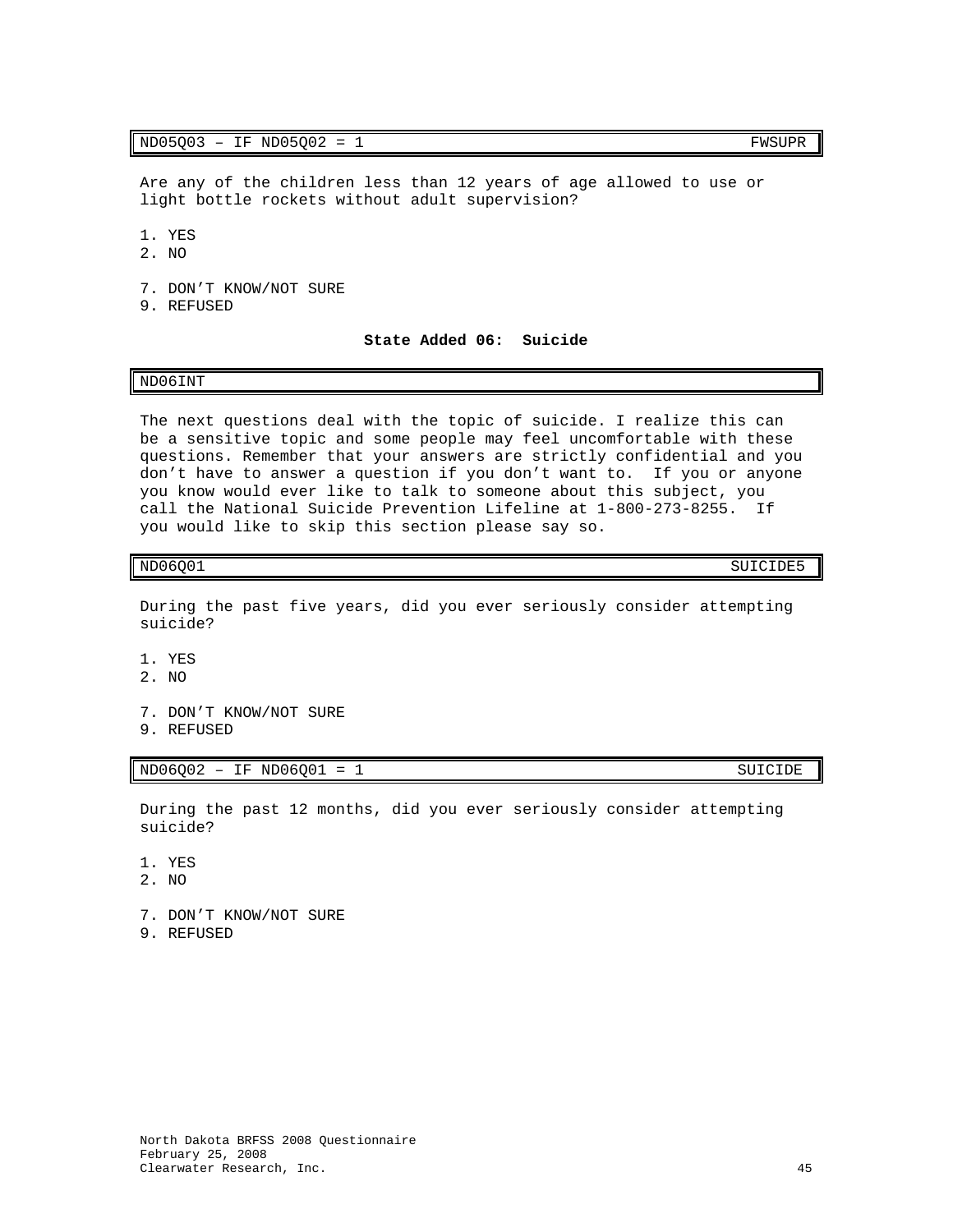Are any of the children less than 12 years of age allowed to use or light bottle rockets without adult supervision?

- 1. YES
- 2. NO
- 7. DON'T KNOW/NOT SURE
- <span id="page-46-0"></span>9. REFUSED

**State Added 06: Suicide**

### ND06INT

The next questions deal with the topic of suicide. I realize this can be a sensitive topic and some people may feel uncomfortable with these questions. Remember that your answers are strictly confidential and you don't have to answer a question if you don't want to. If you or anyone you know would ever like to talk to someone about this subject, you call the National Suicide Prevention Lifeline at 1-800-273-8255. If you would like to skip this section please say so.

# ND06Q01 SUICIDE5

During the past five years, did you ever seriously consider attempting suicide?

- 1. YES
- 2. NO
- 7. DON'T KNOW/NOT SURE
- 9. REFUSED

 $ND06Q02 - IF NDO6Q01 = 1$  SUICIDE

During the past 12 months, did you ever seriously consider attempting suicide?

- 1. YES
- 2. NO
- 7. DON'T KNOW/NOT SURE
- 9. REFUSED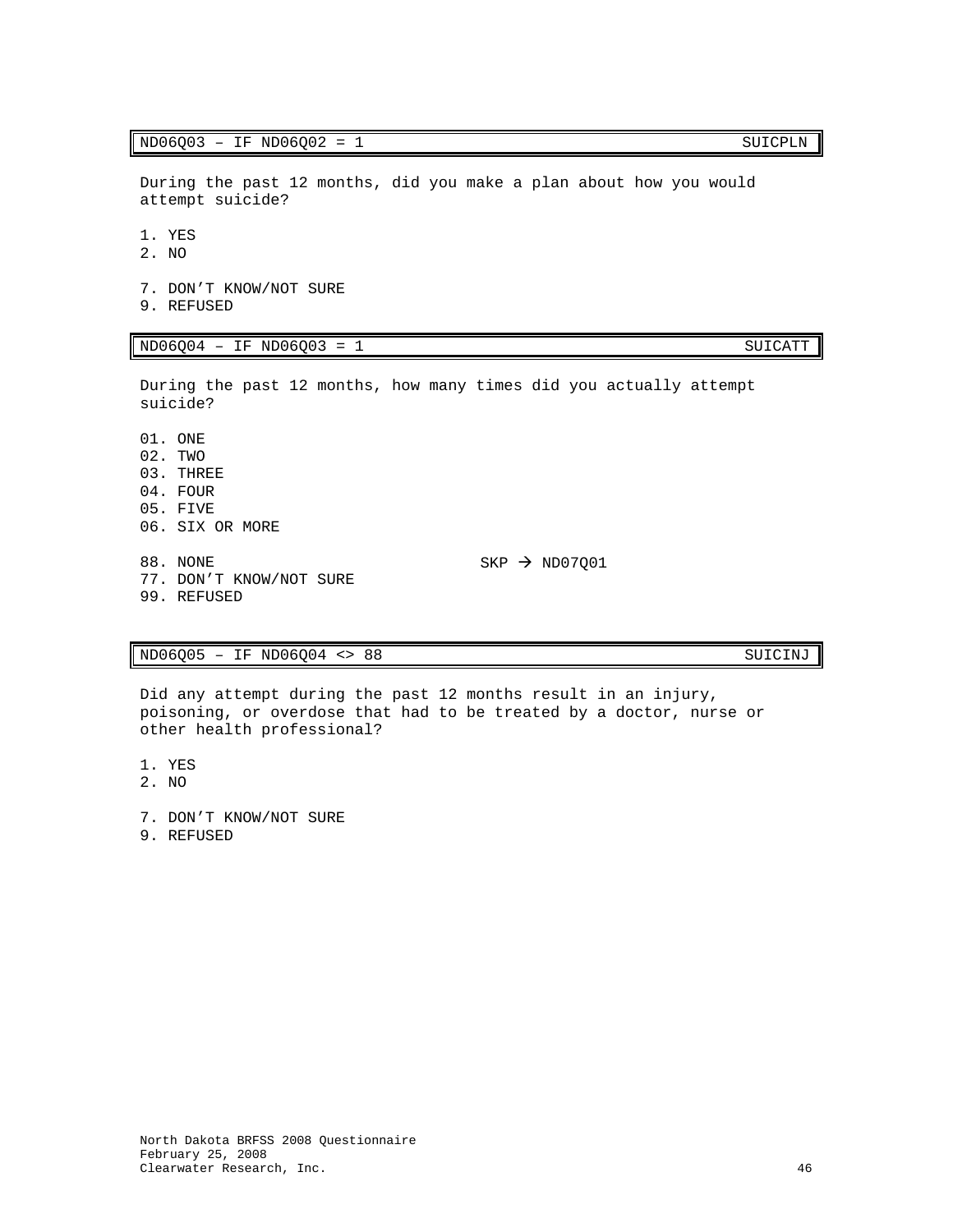# $ND06Q03 - IF NDO6Q02 = 1$  SUICPLN

During the past 12 months, did you make a plan about how you would attempt suicide?

- 1. YES
- 2. NO
- 7. DON'T KNOW/NOT SURE 9. REFUSED

# ND06Q04 – IF ND06Q03 = 1 SUICATT

During the past 12 months, how many times did you actually attempt suicide?

01. ONE 02. TWO 03. THREE 04. FOUR 05. FIVE 06. SIX OR MORE 88. NONE 77. DON'T KNOW/NOT SURE 99. REFUSED

# ND06Q05 – IF ND06Q04 <> 88 SUICINJ

Did any attempt during the past 12 months result in an injury, poisoning, or overdose that had to be treated by a doctor, nurse or other health professional?

- 1. YES
- 2. NO
- 7. DON'T KNOW/NOT SURE
- 9. REFUSED

 $SKP \rightarrow NDO7Q01$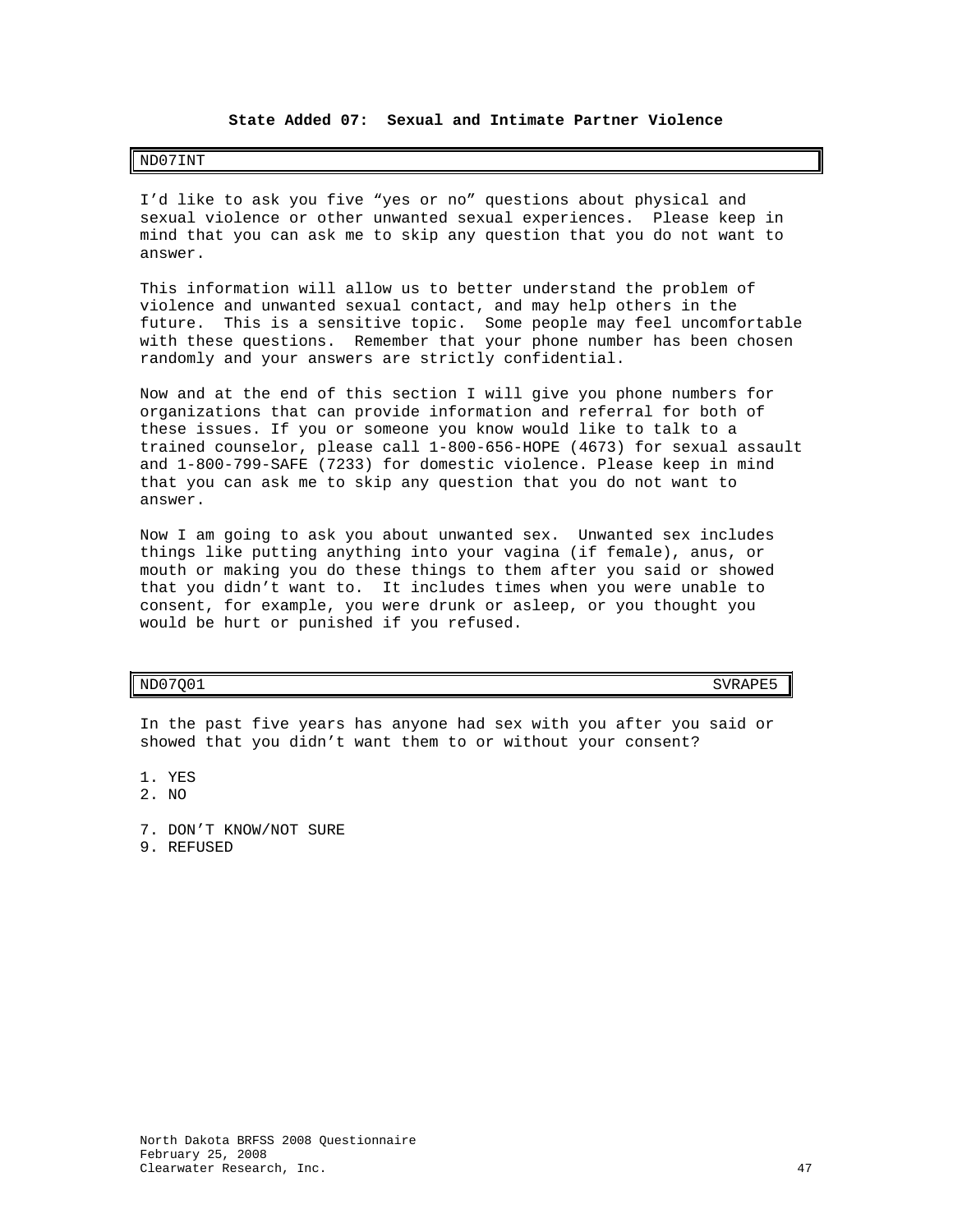# **State Added 07: Sexual and Intimate Partner Violence**

# <span id="page-48-0"></span>ND07INT

I'd like to ask you five "yes or no" questions about physical and sexual violence or other unwanted sexual experiences. Please keep in mind that you can ask me to skip any question that you do not want to answer.

This information will allow us to better understand the problem of violence and unwanted sexual contact, and may help others in the future. This is a sensitive topic. Some people may feel uncomfortable with these questions. Remember that your phone number has been chosen randomly and your answers are strictly confidential.

Now and at the end of this section I will give you phone numbers for organizations that can provide information and referral for both of these issues. If you or someone you know would like to talk to a trained counselor, please call 1-800-656-HOPE (4673) for sexual assault and 1-800-799-SAFE (7233) for domestic violence. Please keep in mind that you can ask me to skip any question that you do not want to answer.

Now I am going to ask you about unwanted sex. Unwanted sex includes things like putting anything into your vagina (if female), anus, or mouth or making you do these things to them after you said or showed that you didn't want to. It includes times when you were unable to consent, for example, you were drunk or asleep, or you thought you would be hurt or punished if you refused.

# $ND07Q01$  SVRAPE5

In the past five years has anyone had sex with you after you said or showed that you didn't want them to or without your consent?

1. YES

- 2. NO
- 7. DON'T KNOW/NOT SURE
- 9. REFUSED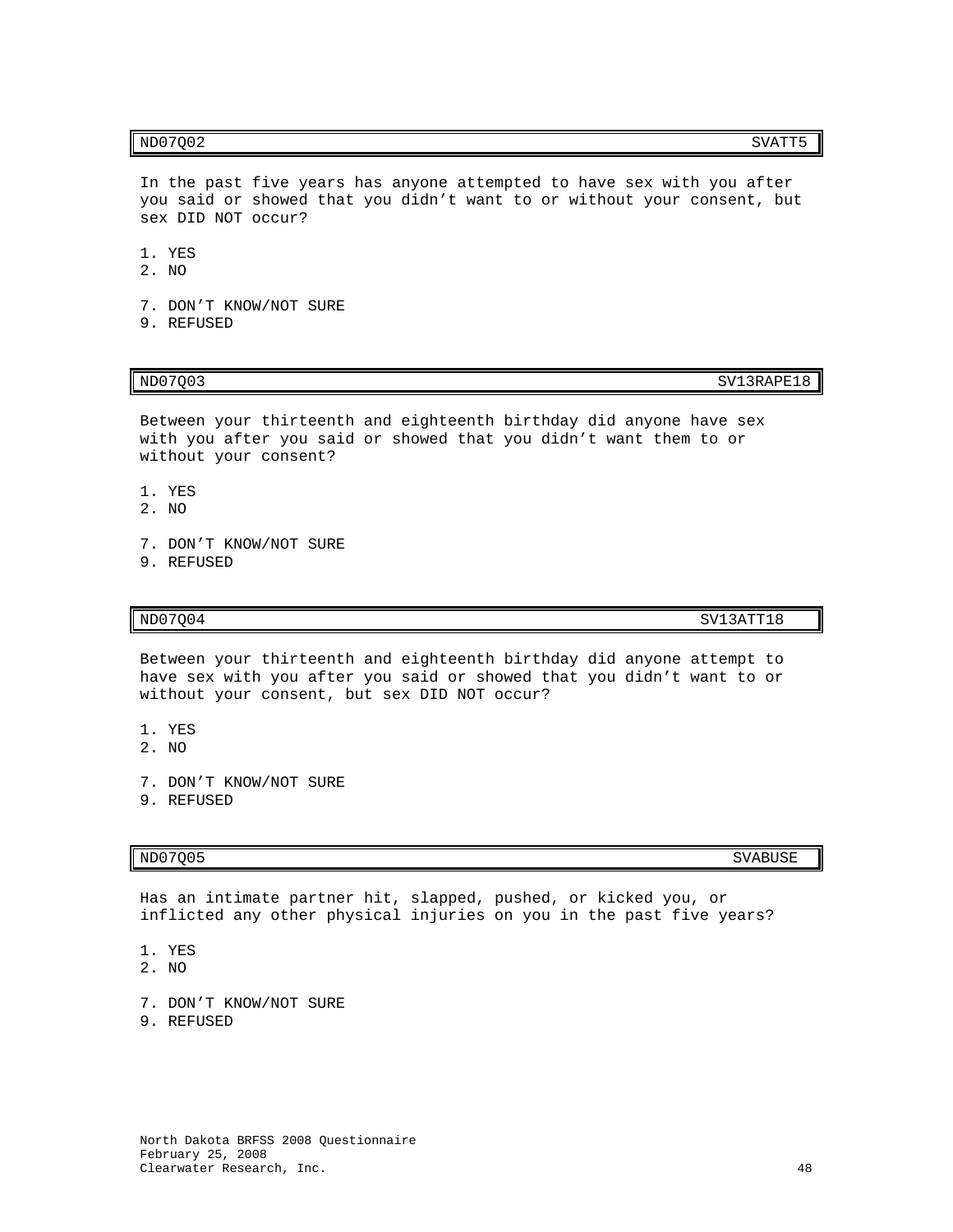In the past five years has anyone attempted to have sex with you after you said or showed that you didn't want to or without your consent, but sex DID NOT occur?

- 1. YES
- 2. NO
- 7. DON'T KNOW/NOT SURE
- 9. REFUSED

 $ND07Q03$  SV13RAPE18

Between your thirteenth and eighteenth birthday did anyone have sex with you after you said or showed that you didn't want them to or without your consent?

- 1. YES
- 2. NO
- 7. DON'T KNOW/NOT SURE
- 9. REFUSED

 $N$ D $07Q04$  SV13ATT18

Between your thirteenth and eighteenth birthday did anyone attempt to have sex with you after you said or showed that you didn't want to or without your consent, but sex DID NOT occur?

- 1. YES
- 2. NO
- 7. DON'T KNOW/NOT SURE
- 9. REFUSED

# ND07Q05 SVABUSE

Has an intimate partner hit, slapped, pushed, or kicked you, or inflicted any other physical injuries on you in the past five years?

- 1. YES
- 2. NO
- 7. DON'T KNOW/NOT SURE
- 9. REFUSED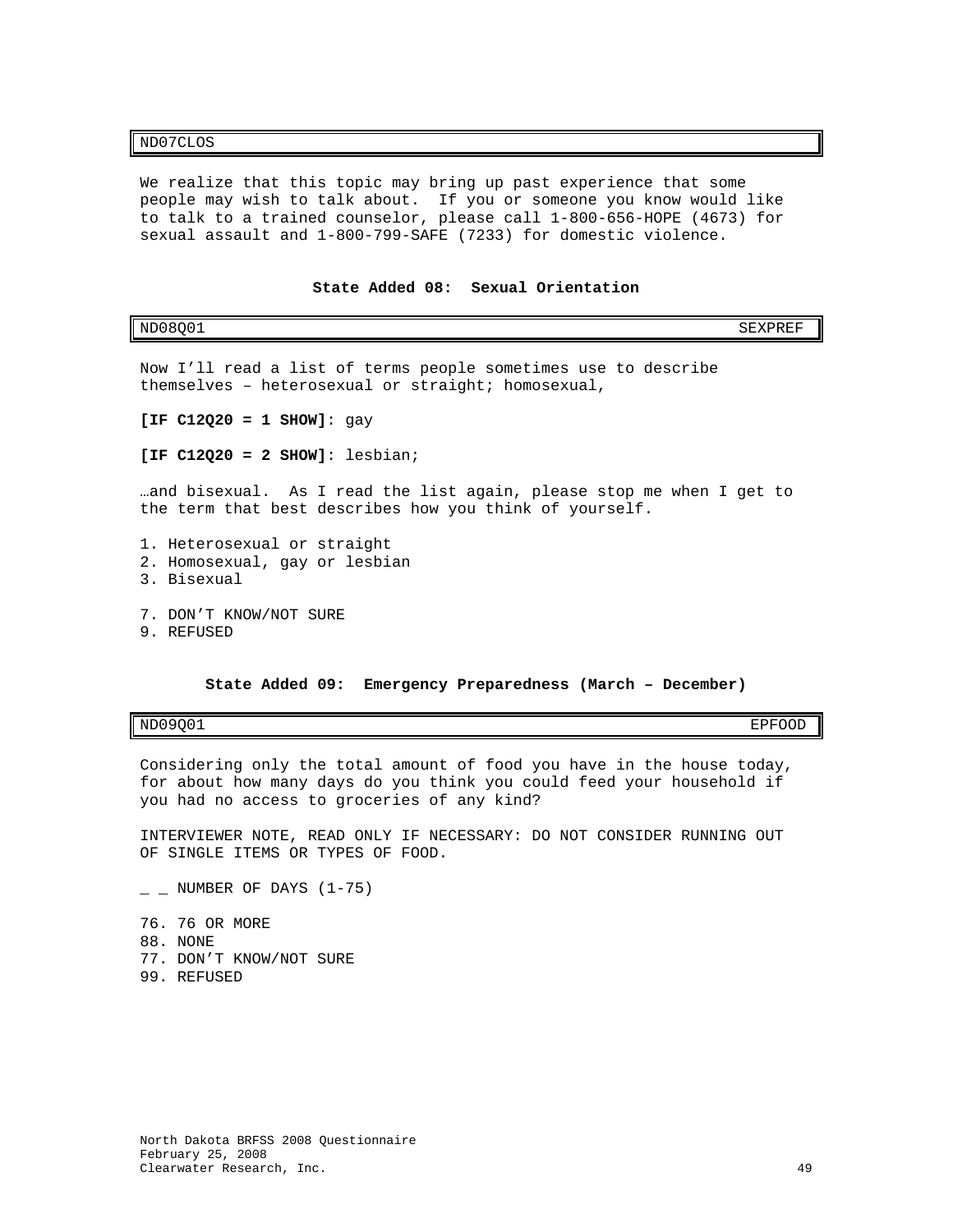### ND07CLOS

We realize that this topic may bring up past experience that some people may wish to talk about. If you or someone you know would like to talk to a trained counselor, please call 1-800-656-HOPE (4673) for sexual assault and 1-800-799-SAFE (7233) for domestic violence.

<span id="page-50-0"></span>

| ND08001                                                                                                                         | SEXPREF |
|---------------------------------------------------------------------------------------------------------------------------------|---------|
| Now I'll read a list of terms people sometimes use to describe<br>themselves - heterosexual or straight; homosexual,            |         |
| $[IF C12020 = 1 SIM]: qay$                                                                                                      |         |
| [IF $C12020 = 2$ SHOW]: lesbian;                                                                                                |         |
| and bisexual. As I read the list again, please stop me when I get to<br>the term that best describes how you think of yourself. |         |
| 1. Heterosexual or straight<br>2. Homosexual, gay or lesbian<br>3. Bisexual                                                     |         |
| 7. DON'T KNOW/NOT SURE<br>9. REFUSED                                                                                            |         |

## **State Added 09: Emergency Preparedness (March – December)**

<span id="page-50-1"></span>ND09Q01 EPFOOD

Considering only the total amount of food you have in the house today, for about how many days do you think you could feed your household if you had no access to groceries of any kind?

INTERVIEWER NOTE, READ ONLY IF NECESSARY: DO NOT CONSIDER RUNNING OUT OF SINGLE ITEMS OR TYPES OF FOOD.

- $\_$  NUMBER OF DAYS (1-75)
- 76. 76 OR MORE 88. NONE 77. DON'T KNOW/NOT SURE
- 99. REFUSED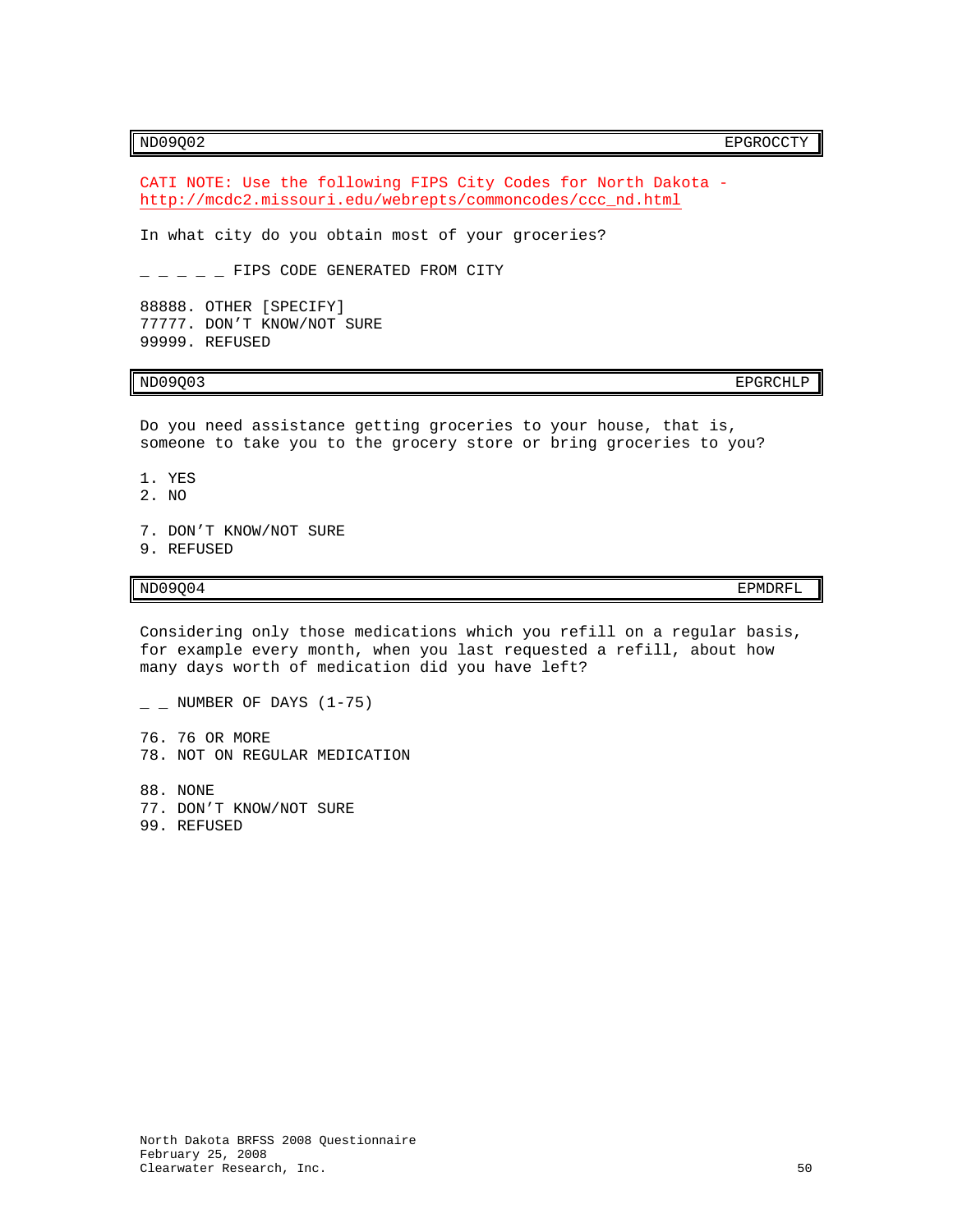# ND09Q02 EPGROCCTY

CATI NOTE: Use the following FIPS City Codes for North Dakota [http://mcdc2.missouri.edu/webrepts/commoncodes/ccc\\_nd.html](http://mcdc2.missouri.edu/webrepts/commoncodes/ccc_nd.html)

In what city do you obtain most of your groceries?

 $-$  FIPS CODE GENERATED FROM CITY

88888. OTHER [SPECIFY] 77777. DON'T KNOW/NOT SURE 99999. REFUSED

ND09Q03 EPGRCHLP

Do you need assistance getting groceries to your house, that is, someone to take you to the grocery store or bring groceries to you?

1. YES

- 2. NO
- 7. DON'T KNOW/NOT SURE
- 9. REFUSED

## ND09Q04 EPMDRFL

Considering only those medications which you refill on a regular basis, for example every month, when you last requested a refill, about how many days worth of medication did you have left?

- $\_$  NUMBER OF DAYS (1-75)
- 76. 76 OR MORE 78. NOT ON REGULAR MEDICATION
- 88. NONE 77. DON'T KNOW/NOT SURE 99. REFUSED